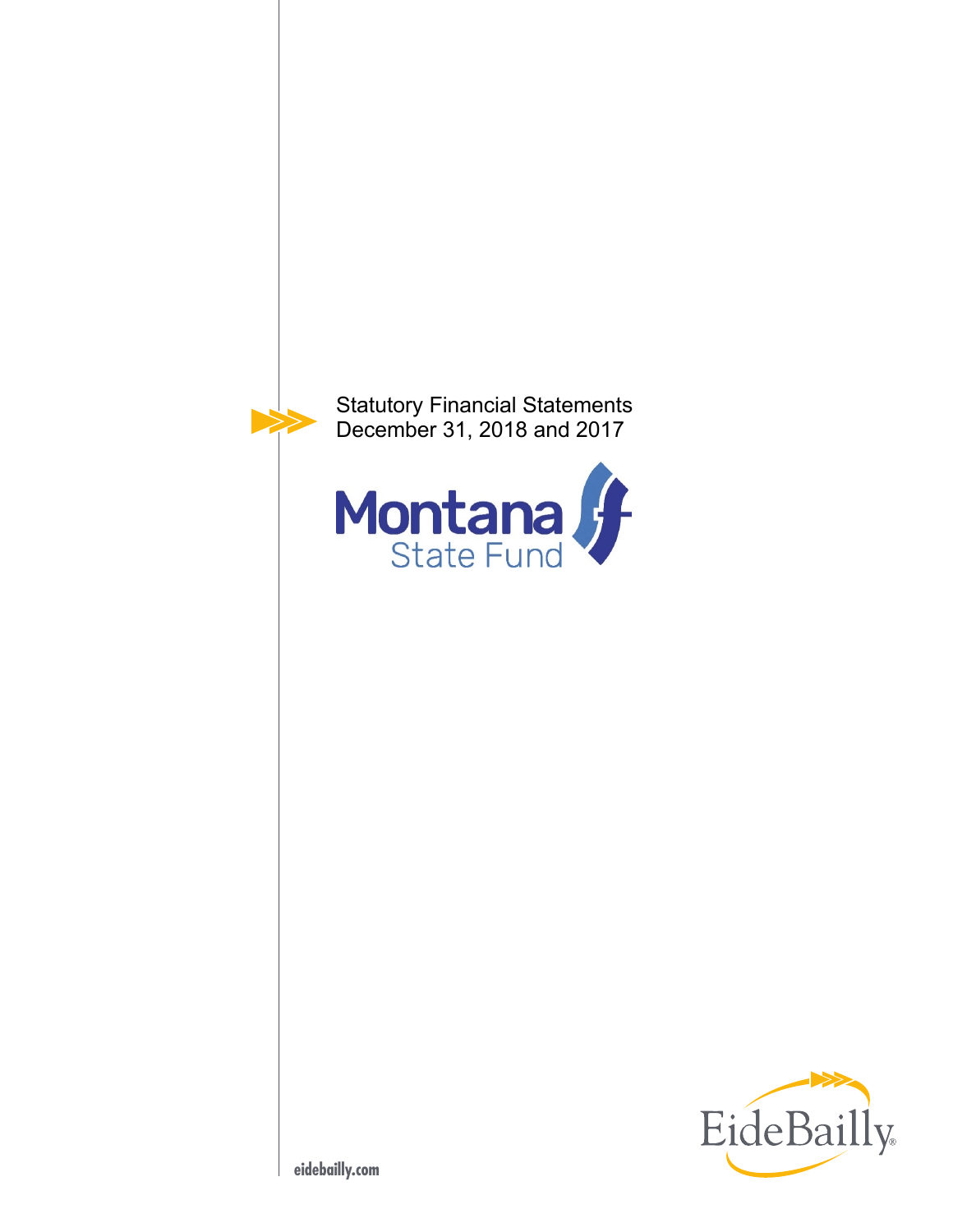

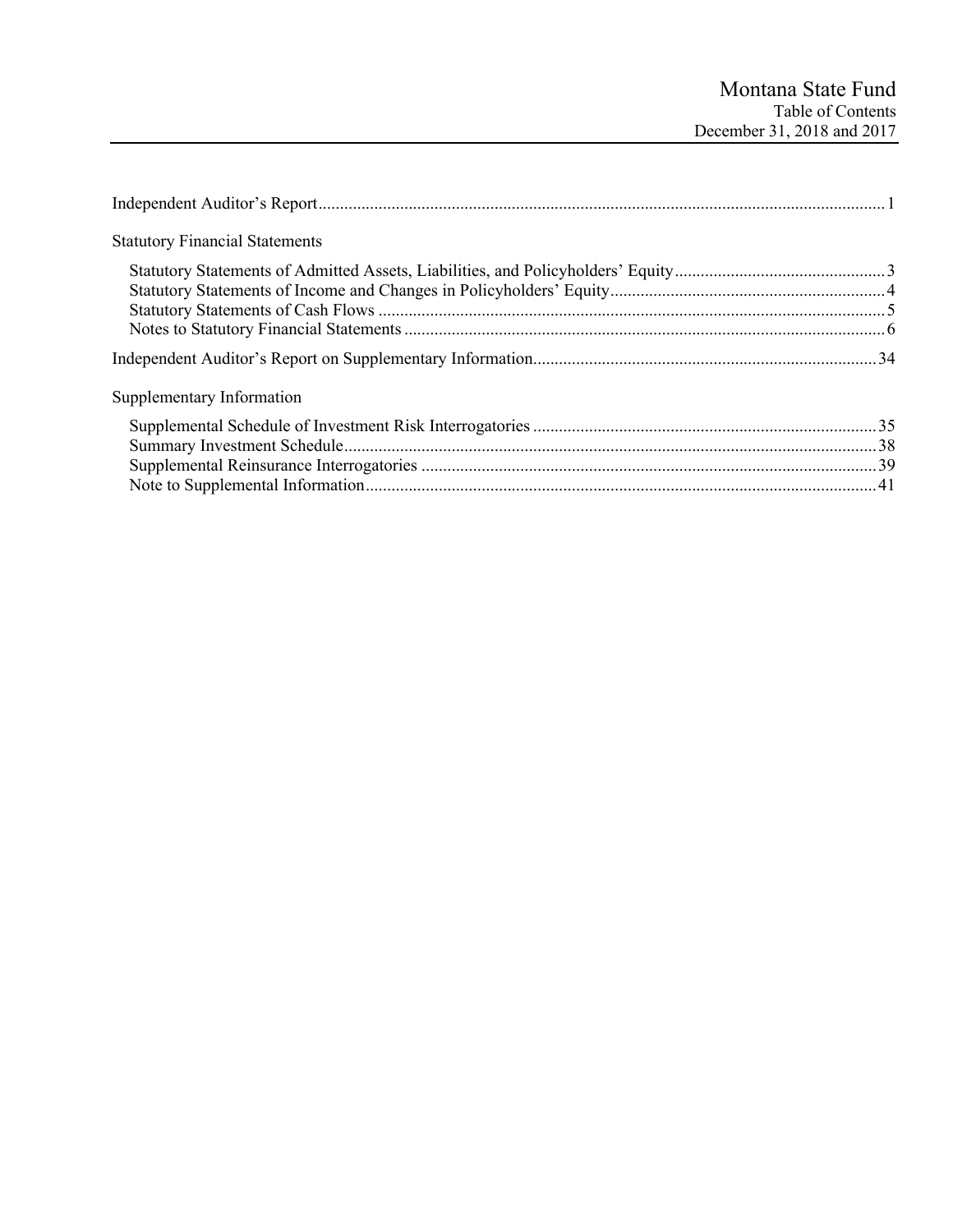| <b>Statutory Financial Statements</b> |  |
|---------------------------------------|--|
|                                       |  |
|                                       |  |
|                                       |  |
|                                       |  |
|                                       |  |
| Supplementary Information             |  |
|                                       |  |
|                                       |  |
|                                       |  |
|                                       |  |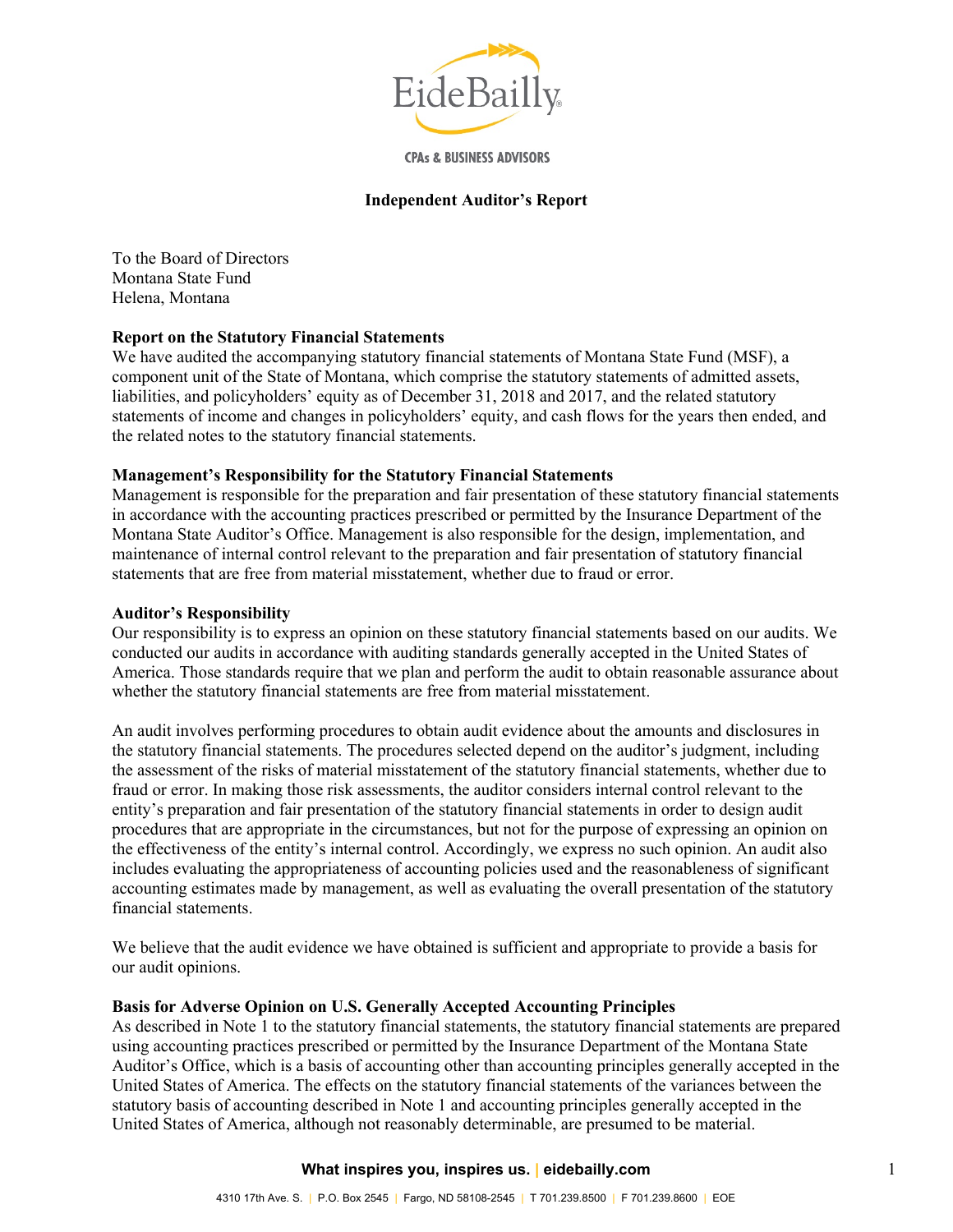

**CPAs & BUSINESS ADVISORS** 

#### **Independent Auditor's Report**

To the Board of Directors Montana State Fund Helena, Montana

## **Report on the Statutory Financial Statements**

We have audited the accompanying statutory financial statements of Montana State Fund (MSF), a component unit of the State of Montana, which comprise the statutory statements of admitted assets, liabilities, and policyholders' equity as of December 31, 2018 and 2017, and the related statutory statements of income and changes in policyholders' equity, and cash flows for the years then ended, and the related notes to the statutory financial statements.

#### **Management's Responsibility for the Statutory Financial Statements**

Management is responsible for the preparation and fair presentation of these statutory financial statements in accordance with the accounting practices prescribed or permitted by the Insurance Department of the Montana State Auditor's Office. Management is also responsible for the design, implementation, and maintenance of internal control relevant to the preparation and fair presentation of statutory financial statements that are free from material misstatement, whether due to fraud or error.

#### **Auditor's Responsibility**

Our responsibility is to express an opinion on these statutory financial statements based on our audits. We conducted our audits in accordance with auditing standards generally accepted in the United States of America. Those standards require that we plan and perform the audit to obtain reasonable assurance about whether the statutory financial statements are free from material misstatement.

An audit involves performing procedures to obtain audit evidence about the amounts and disclosures in the statutory financial statements. The procedures selected depend on the auditor's judgment, including the assessment of the risks of material misstatement of the statutory financial statements, whether due to fraud or error. In making those risk assessments, the auditor considers internal control relevant to the entity's preparation and fair presentation of the statutory financial statements in order to design audit procedures that are appropriate in the circumstances, but not for the purpose of expressing an opinion on the effectiveness of the entity's internal control. Accordingly, we express no such opinion. An audit also includes evaluating the appropriateness of accounting policies used and the reasonableness of significant accounting estimates made by management, as well as evaluating the overall presentation of the statutory financial statements.

We believe that the audit evidence we have obtained is sufficient and appropriate to provide a basis for our audit opinions.

#### **Basis for Adverse Opinion on U.S. Generally Accepted Accounting Principles**

As described in Note 1 to the statutory financial statements, the statutory financial statements are prepared using accounting practices prescribed or permitted by the Insurance Department of the Montana State Auditor's Office, which is a basis of accounting other than accounting principles generally accepted in the United States of America. The effects on the statutory financial statements of the variances between the statutory basis of accounting described in Note 1 and accounting principles generally accepted in the United States of America, although not reasonably determinable, are presumed to be material.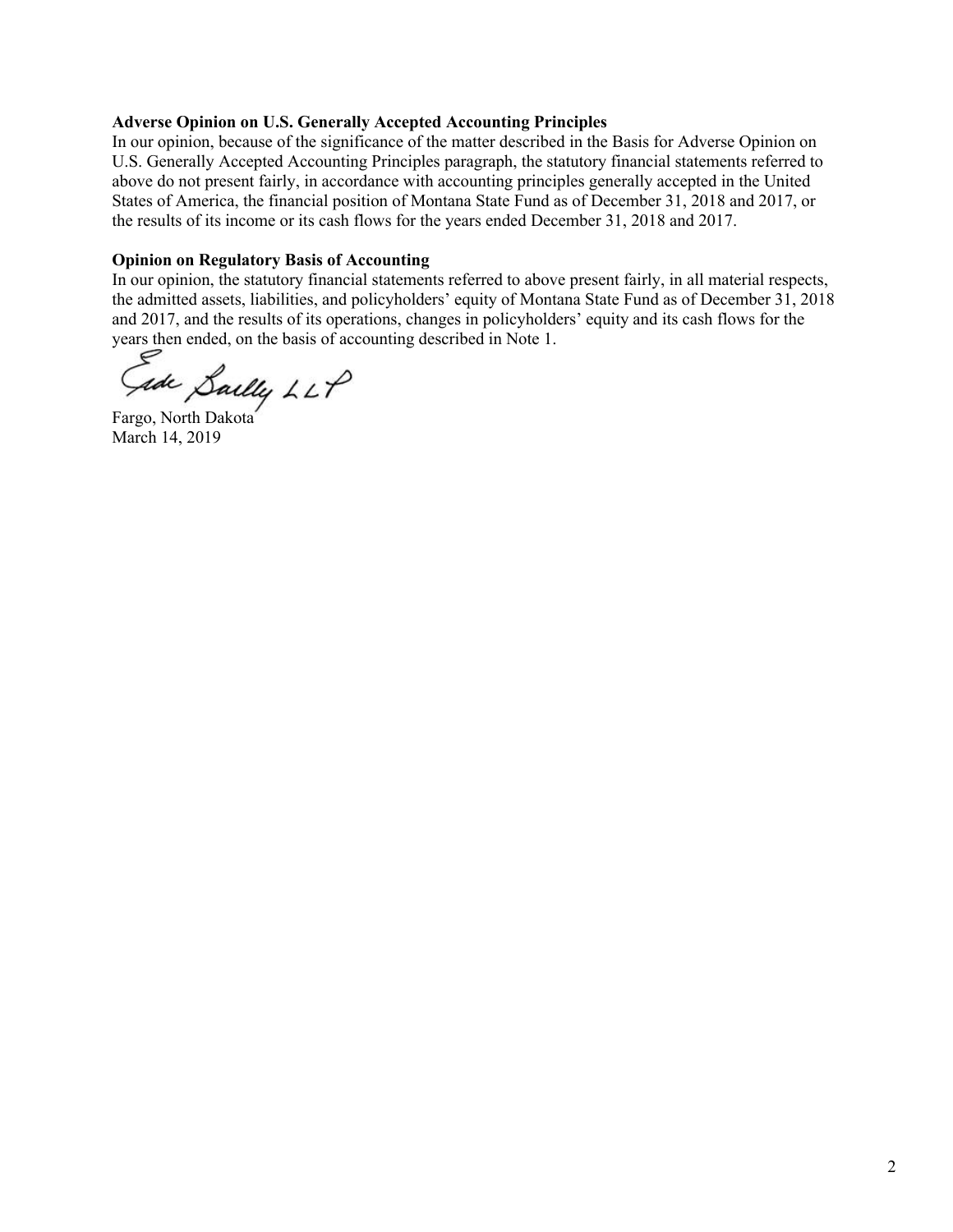## **Adverse Opinion on U.S. Generally Accepted Accounting Principles**

In our opinion, because of the significance of the matter described in the Basis for Adverse Opinion on U.S. Generally Accepted Accounting Principles paragraph, the statutory financial statements referred to above do not present fairly, in accordance with accounting principles generally accepted in the United States of America, the financial position of Montana State Fund as of December 31, 2018 and 2017, or the results of its income or its cash flows for the years ended December 31, 2018 and 2017.

## **Opinion on Regulatory Basis of Accounting**

In our opinion, the statutory financial statements referred to above present fairly, in all material respects, the admitted assets, liabilities, and policyholders' equity of Montana State Fund as of December 31, 2018 and 2017, and the results of its operations, changes in policyholders' equity and its cash flows for the years then ended, on the basis of accounting described in Note 1.

ade Sailly LLP

Fargo, North Dakota March 14, 2019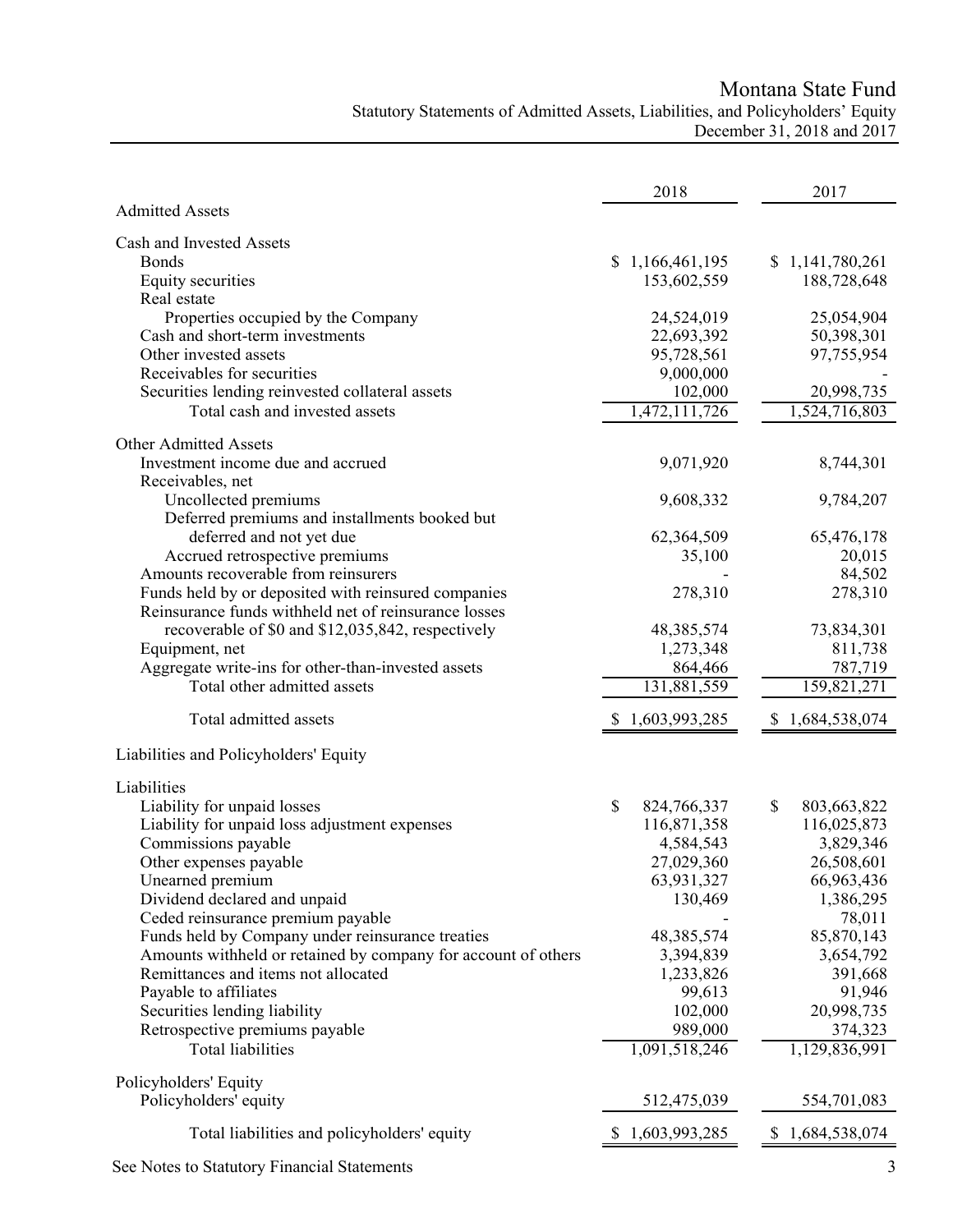Montana State Fund

# Statutory Statements of Admitted Assets, Liabilities, and Policyholders' Equity December 31, 2018 and 2017

|                                                               | 2018                    | 2017              |
|---------------------------------------------------------------|-------------------------|-------------------|
| <b>Admitted Assets</b>                                        |                         |                   |
| Cash and Invested Assets                                      |                         |                   |
| <b>Bonds</b>                                                  | \$1,166,461,195         | \$1,141,780,261   |
| Equity securities                                             | 153,602,559             | 188,728,648       |
| Real estate                                                   |                         |                   |
| Properties occupied by the Company                            | 24,524,019              | 25,054,904        |
| Cash and short-term investments<br>Other invested assets      | 22,693,392              | 50,398,301        |
| Receivables for securities                                    | 95,728,561<br>9,000,000 | 97,755,954        |
| Securities lending reinvested collateral assets               | 102,000                 | 20,998,735        |
| Total cash and invested assets                                | 1,472,111,726           | 1,524,716,803     |
|                                                               |                         |                   |
| <b>Other Admitted Assets</b>                                  |                         |                   |
| Investment income due and accrued                             | 9,071,920               | 8,744,301         |
| Receivables, net                                              |                         |                   |
| Uncollected premiums                                          | 9,608,332               | 9,784,207         |
| Deferred premiums and installments booked but                 |                         | 65,476,178        |
| deferred and not yet due<br>Accrued retrospective premiums    | 62,364,509<br>35,100    | 20,015            |
| Amounts recoverable from reinsurers                           |                         | 84,502            |
| Funds held by or deposited with reinsured companies           | 278,310                 | 278,310           |
| Reinsurance funds withheld net of reinsurance losses          |                         |                   |
| recoverable of \$0 and \$12,035,842, respectively             | 48, 385, 574            | 73,834,301        |
| Equipment, net                                                | 1,273,348               | 811,738           |
| Aggregate write-ins for other-than-invested assets            | 864,466                 | 787,719           |
| Total other admitted assets                                   | 131,881,559             | 159,821,271       |
| Total admitted assets                                         | 1,603,993,285           | 1,684,538,074     |
| Liabilities and Policyholders' Equity                         |                         |                   |
|                                                               |                         |                   |
| Liabilities<br>Liability for unpaid losses                    | \$<br>824,766,337       | \$<br>803,663,822 |
| Liability for unpaid loss adjustment expenses                 | 116,871,358             | 116,025,873       |
| Commissions payable                                           | 4,584,543               | 3,829,346         |
| Other expenses payable                                        | 27,029,360              | 26,508,601        |
| Unearned premium                                              | 63,931,327              | 66,963,436        |
| Dividend declared and unpaid                                  | 130,469                 | 1,386,295         |
| Ceded reinsurance premium payable                             |                         | 78,011            |
| Funds held by Company under reinsurance treaties              | 48,385,574              | 85,870,143        |
| Amounts withheld or retained by company for account of others | 3,394,839               | 3,654,792         |
| Remittances and items not allocated                           | 1,233,826               | 391,668           |
| Payable to affiliates                                         | 99,613                  | 91,946            |
| Securities lending liability                                  | 102,000                 | 20,998,735        |
| Retrospective premiums payable                                | 989,000                 | 374,323           |
| <b>Total liabilities</b>                                      | 1,091,518,246           | 1,129,836,991     |
| Policyholders' Equity                                         |                         |                   |
| Policyholders' equity                                         | 512,475,039             | 554,701,083       |
| Total liabilities and policyholders' equity                   | 1,603,993,285           | 1,684,538,074     |
| See Notes to Statutory Financial Statements                   |                         |                   |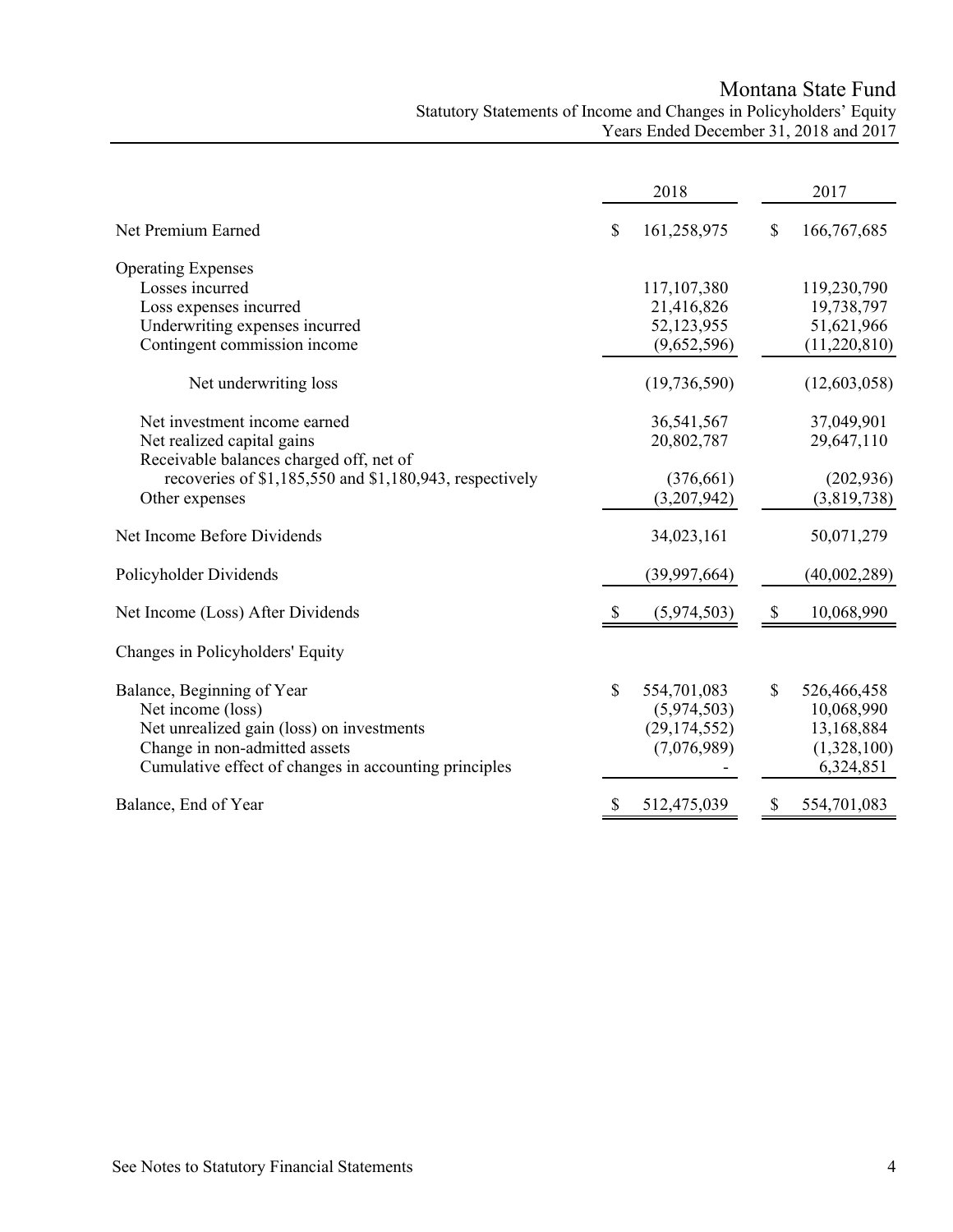Montana State Fund Statutory Statements of Income and Changes in Policyholders' Equity Years Ended December 31, 2018 and 2017

|                                                         | 2018          |                |    | 2017         |
|---------------------------------------------------------|---------------|----------------|----|--------------|
| Net Premium Earned                                      | \$            | 161,258,975    | \$ | 166,767,685  |
| <b>Operating Expenses</b>                               |               |                |    |              |
| Losses incurred                                         |               | 117,107,380    |    | 119,230,790  |
| Loss expenses incurred                                  |               | 21,416,826     |    | 19,738,797   |
| Underwriting expenses incurred                          |               | 52,123,955     |    | 51,621,966   |
| Contingent commission income                            |               | (9,652,596)    |    | (11,220,810) |
| Net underwriting loss                                   |               | (19, 736, 590) |    | (12,603,058) |
| Net investment income earned                            |               | 36,541,567     |    | 37,049,901   |
| Net realized capital gains                              |               | 20,802,787     |    | 29,647,110   |
| Receivable balances charged off, net of                 |               |                |    |              |
| recoveries of \$1,185,550 and \$1,180,943, respectively |               | (376, 661)     |    | (202, 936)   |
| Other expenses                                          |               | (3,207,942)    |    | (3,819,738)  |
| Net Income Before Dividends                             |               | 34,023,161     |    | 50,071,279   |
| Policyholder Dividends                                  |               | (39,997,664)   |    | (40,002,289) |
| Net Income (Loss) After Dividends                       | <sup>\$</sup> | (5,974,503)    | \$ | 10,068,990   |
| Changes in Policyholders' Equity                        |               |                |    |              |
| Balance, Beginning of Year                              | \$            | 554,701,083    | \$ | 526,466,458  |
| Net income (loss)                                       |               | (5,974,503)    |    | 10,068,990   |
| Net unrealized gain (loss) on investments               |               | (29, 174, 552) |    | 13,168,884   |
| Change in non-admitted assets                           |               | (7,076,989)    |    | (1,328,100)  |
| Cumulative effect of changes in accounting principles   |               |                |    | 6,324,851    |
| Balance, End of Year                                    | \$            | 512,475,039    | S  | 554,701,083  |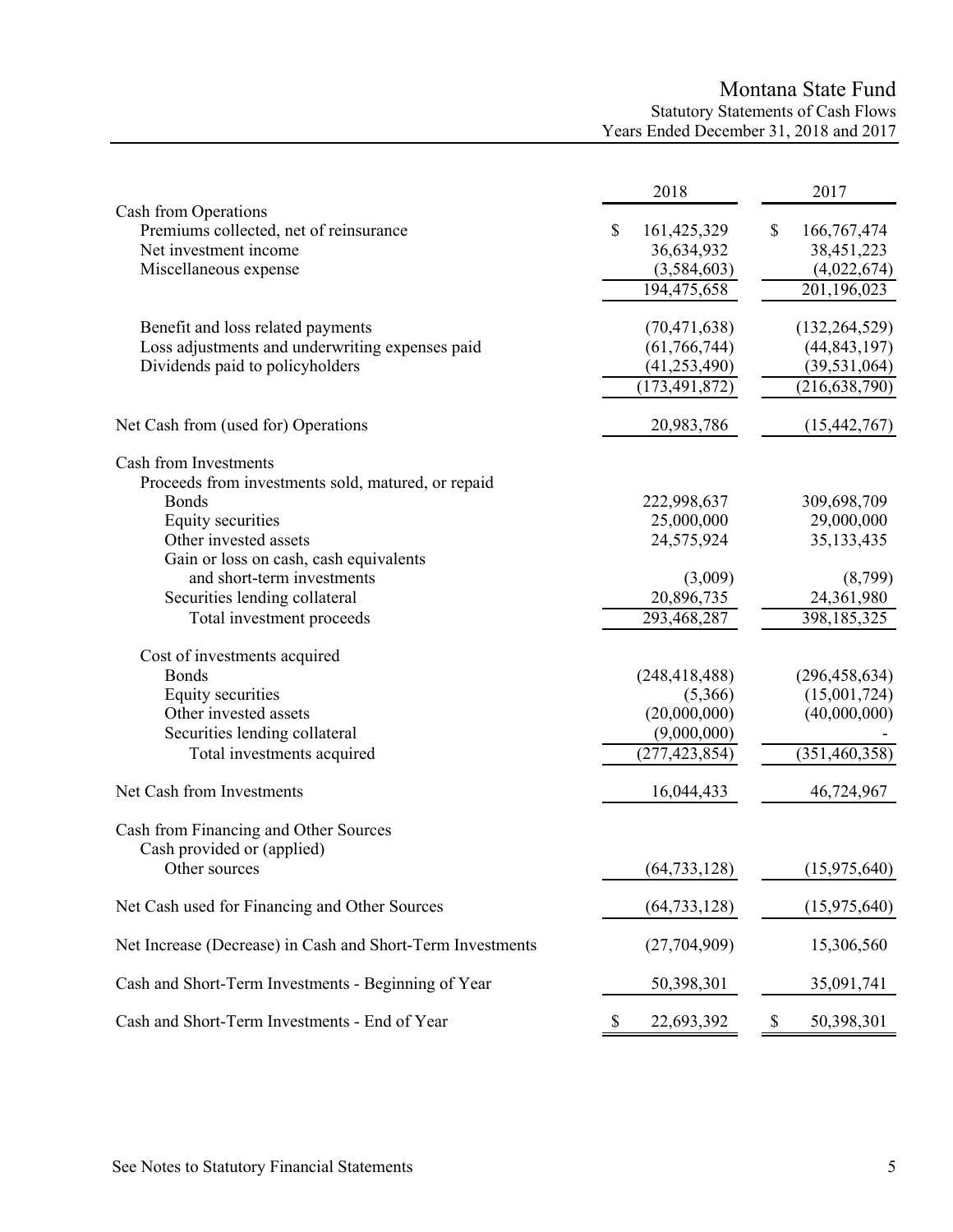# Montana State Fund Statutory Statements of Cash Flows Years Ended December 31, 2018 and 2017

|                                                                                                                                                                                                                                                                                                                                 | 2018                                                                                               | 2017                                                                                                 |
|---------------------------------------------------------------------------------------------------------------------------------------------------------------------------------------------------------------------------------------------------------------------------------------------------------------------------------|----------------------------------------------------------------------------------------------------|------------------------------------------------------------------------------------------------------|
| Cash from Operations<br>Premiums collected, net of reinsurance<br>Net investment income<br>Miscellaneous expense                                                                                                                                                                                                                | \$<br>161,425,329<br>36,634,932<br>(3,584,603)<br>194,475,658                                      | \$<br>166,767,474<br>38,451,223<br>(4,022,674)<br>201,196,023                                        |
| Benefit and loss related payments<br>Loss adjustments and underwriting expenses paid<br>Dividends paid to policyholders                                                                                                                                                                                                         | (70, 471, 638)<br>(61, 766, 744)<br>(41, 253, 490)<br>(173, 491, 872)                              | (132, 264, 529)<br>(44, 843, 197)<br>(39, 531, 064)<br>(216, 638, 790)                               |
| Net Cash from (used for) Operations                                                                                                                                                                                                                                                                                             | 20,983,786                                                                                         | (15, 442, 767)                                                                                       |
| Cash from Investments<br>Proceeds from investments sold, matured, or repaid<br><b>Bonds</b><br>Equity securities<br>Other invested assets<br>Gain or loss on cash, cash equivalents<br>and short-term investments<br>Securities lending collateral<br>Total investment proceeds<br>Cost of investments acquired<br><b>Bonds</b> | 222,998,637<br>25,000,000<br>24,575,924<br>(3,009)<br>20,896,735<br>293,468,287<br>(248, 418, 488) | 309,698,709<br>29,000,000<br>35, 133, 435<br>(8,799)<br>24,361,980<br>398,185,325<br>(296, 458, 634) |
| Equity securities                                                                                                                                                                                                                                                                                                               | (5,366)                                                                                            | (15,001,724)                                                                                         |
| Other invested assets<br>Securities lending collateral                                                                                                                                                                                                                                                                          | (20,000,000)<br>(9,000,000)                                                                        | (40,000,000)                                                                                         |
| Total investments acquired                                                                                                                                                                                                                                                                                                      | (277, 423, 854)                                                                                    | $\overline{(351,460,358)}$                                                                           |
| Net Cash from Investments                                                                                                                                                                                                                                                                                                       | 16,044,433                                                                                         | 46,724,967                                                                                           |
| Cash from Financing and Other Sources<br>Cash provided or (applied)                                                                                                                                                                                                                                                             |                                                                                                    |                                                                                                      |
| Other sources                                                                                                                                                                                                                                                                                                                   | (64, 733, 128)                                                                                     | (15,975,640)                                                                                         |
| Net Cash used for Financing and Other Sources                                                                                                                                                                                                                                                                                   | (64, 733, 128)                                                                                     | (15,975,640)                                                                                         |
| Net Increase (Decrease) in Cash and Short-Term Investments                                                                                                                                                                                                                                                                      | (27,704,909)                                                                                       | 15,306,560                                                                                           |
| Cash and Short-Term Investments - Beginning of Year                                                                                                                                                                                                                                                                             | 50,398,301                                                                                         | 35,091,741                                                                                           |
| Cash and Short-Term Investments - End of Year                                                                                                                                                                                                                                                                                   | \$<br>22,693,392                                                                                   | \$<br>50,398,301                                                                                     |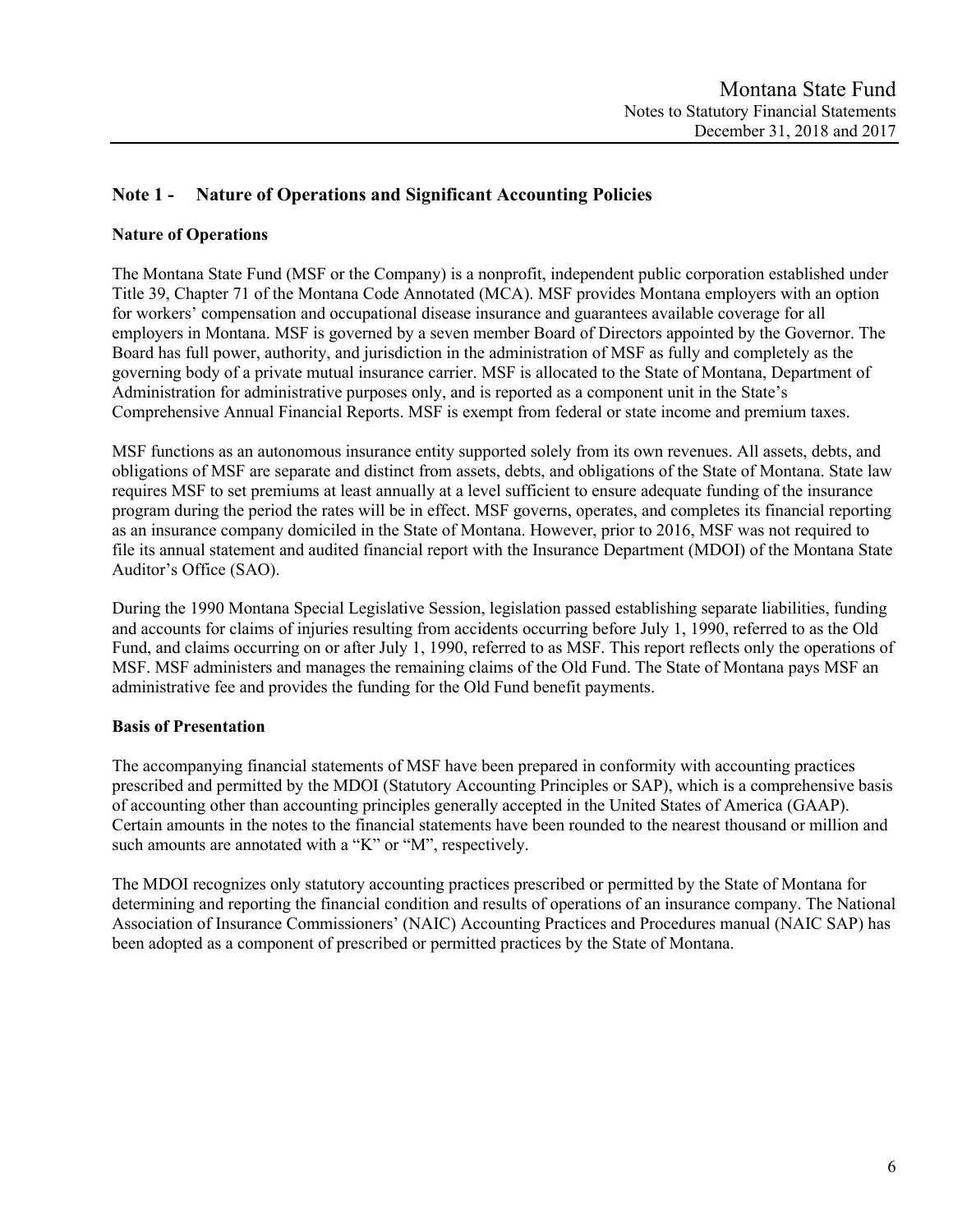# **Note 1 - Nature of Operations and Significant Accounting Policies**

# **Nature of Operations**

The Montana State Fund (MSF or the Company) is a nonprofit, independent public corporation established under Title 39, Chapter 71 of the Montana Code Annotated (MCA). MSF provides Montana employers with an option for workers' compensation and occupational disease insurance and guarantees available coverage for all employers in Montana. MSF is governed by a seven member Board of Directors appointed by the Governor. The Board has full power, authority, and jurisdiction in the administration of MSF as fully and completely as the governing body of a private mutual insurance carrier. MSF is allocated to the State of Montana, Department of Administration for administrative purposes only, and is reported as a component unit in the State's Comprehensive Annual Financial Reports. MSF is exempt from federal or state income and premium taxes.

MSF functions as an autonomous insurance entity supported solely from its own revenues. All assets, debts, and obligations of MSF are separate and distinct from assets, debts, and obligations of the State of Montana. State law requires MSF to set premiums at least annually at a level sufficient to ensure adequate funding of the insurance program during the period the rates will be in effect. MSF governs, operates, and completes its financial reporting as an insurance company domiciled in the State of Montana. However, prior to 2016, MSF was not required to file its annual statement and audited financial report with the Insurance Department (MDOI) of the Montana State Auditor's Office (SAO).

During the 1990 Montana Special Legislative Session, legislation passed establishing separate liabilities, funding and accounts for claims of injuries resulting from accidents occurring before July 1, 1990, referred to as the Old Fund, and claims occurring on or after July 1, 1990, referred to as MSF. This report reflects only the operations of MSF. MSF administers and manages the remaining claims of the Old Fund. The State of Montana pays MSF an administrative fee and provides the funding for the Old Fund benefit payments.

# **Basis of Presentation**

The accompanying financial statements of MSF have been prepared in conformity with accounting practices prescribed and permitted by the MDOI (Statutory Accounting Principles or SAP), which is a comprehensive basis of accounting other than accounting principles generally accepted in the United States of America (GAAP). Certain amounts in the notes to the financial statements have been rounded to the nearest thousand or million and such amounts are annotated with a "K" or "M", respectively.

The MDOI recognizes only statutory accounting practices prescribed or permitted by the State of Montana for determining and reporting the financial condition and results of operations of an insurance company. The National Association of Insurance Commissioners' (NAIC) Accounting Practices and Procedures manual (NAIC SAP) has been adopted as a component of prescribed or permitted practices by the State of Montana.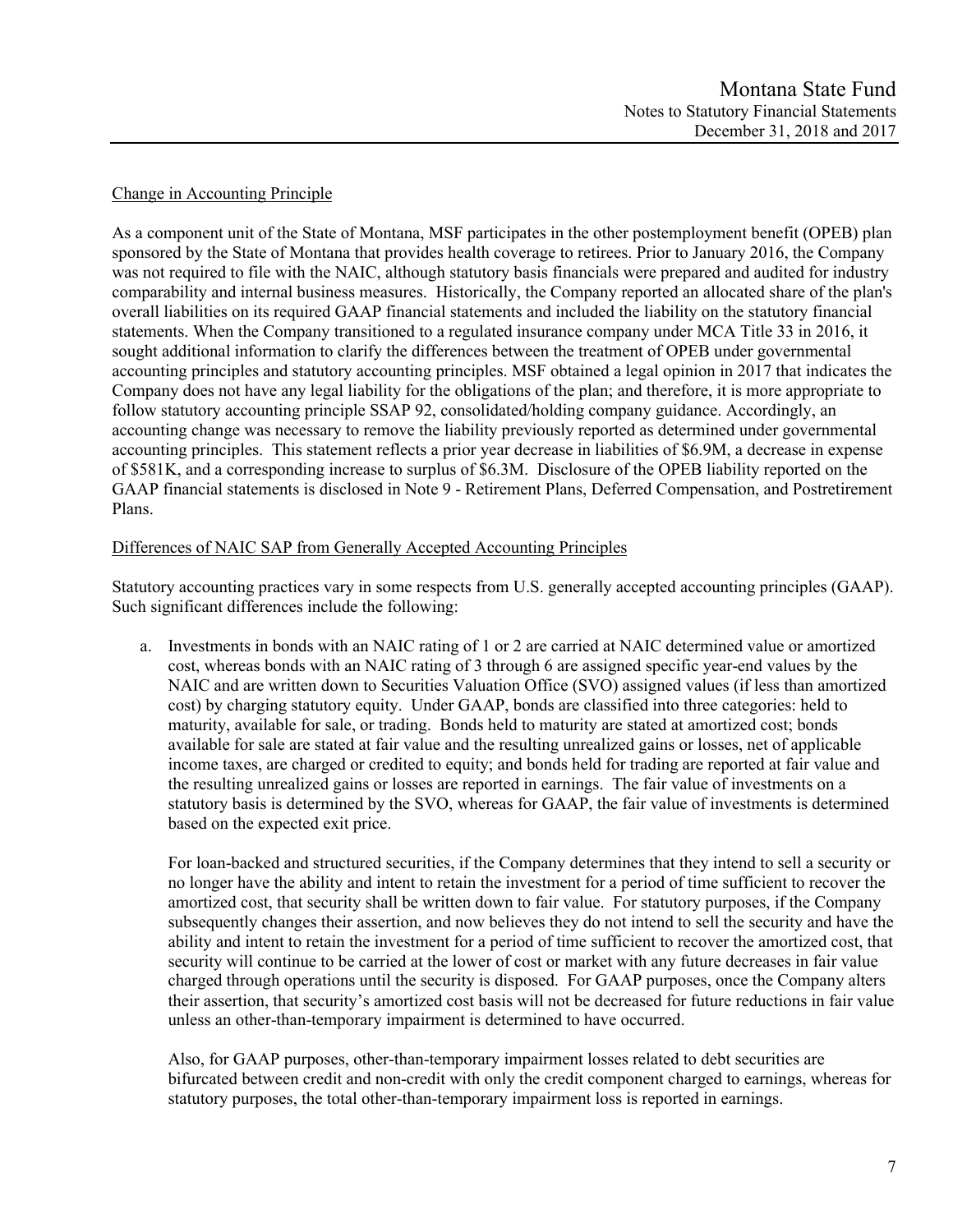## Change in Accounting Principle

As a component unit of the State of Montana, MSF participates in the other postemployment benefit (OPEB) plan sponsored by the State of Montana that provides health coverage to retirees. Prior to January 2016, the Company was not required to file with the NAIC, although statutory basis financials were prepared and audited for industry comparability and internal business measures. Historically, the Company reported an allocated share of the plan's overall liabilities on its required GAAP financial statements and included the liability on the statutory financial statements. When the Company transitioned to a regulated insurance company under MCA Title 33 in 2016, it sought additional information to clarify the differences between the treatment of OPEB under governmental accounting principles and statutory accounting principles. MSF obtained a legal opinion in 2017 that indicates the Company does not have any legal liability for the obligations of the plan; and therefore, it is more appropriate to follow statutory accounting principle SSAP 92, consolidated/holding company guidance. Accordingly, an accounting change was necessary to remove the liability previously reported as determined under governmental accounting principles. This statement reflects a prior year decrease in liabilities of \$6.9M, a decrease in expense of \$581K, and a corresponding increase to surplus of \$6.3M. Disclosure of the OPEB liability reported on the GAAP financial statements is disclosed in Note 9 - Retirement Plans, Deferred Compensation, and Postretirement Plans.

## Differences of NAIC SAP from Generally Accepted Accounting Principles

Statutory accounting practices vary in some respects from U.S. generally accepted accounting principles (GAAP). Such significant differences include the following:

a. Investments in bonds with an NAIC rating of 1 or 2 are carried at NAIC determined value or amortized cost, whereas bonds with an NAIC rating of 3 through 6 are assigned specific year-end values by the NAIC and are written down to Securities Valuation Office (SVO) assigned values (if less than amortized cost) by charging statutory equity. Under GAAP, bonds are classified into three categories: held to maturity, available for sale, or trading. Bonds held to maturity are stated at amortized cost; bonds available for sale are stated at fair value and the resulting unrealized gains or losses, net of applicable income taxes, are charged or credited to equity; and bonds held for trading are reported at fair value and the resulting unrealized gains or losses are reported in earnings. The fair value of investments on a statutory basis is determined by the SVO, whereas for GAAP, the fair value of investments is determined based on the expected exit price.

For loan-backed and structured securities, if the Company determines that they intend to sell a security or no longer have the ability and intent to retain the investment for a period of time sufficient to recover the amortized cost, that security shall be written down to fair value. For statutory purposes, if the Company subsequently changes their assertion, and now believes they do not intend to sell the security and have the ability and intent to retain the investment for a period of time sufficient to recover the amortized cost, that security will continue to be carried at the lower of cost or market with any future decreases in fair value charged through operations until the security is disposed. For GAAP purposes, once the Company alters their assertion, that security's amortized cost basis will not be decreased for future reductions in fair value unless an other-than-temporary impairment is determined to have occurred.

Also, for GAAP purposes, other-than-temporary impairment losses related to debt securities are bifurcated between credit and non-credit with only the credit component charged to earnings, whereas for statutory purposes, the total other-than-temporary impairment loss is reported in earnings.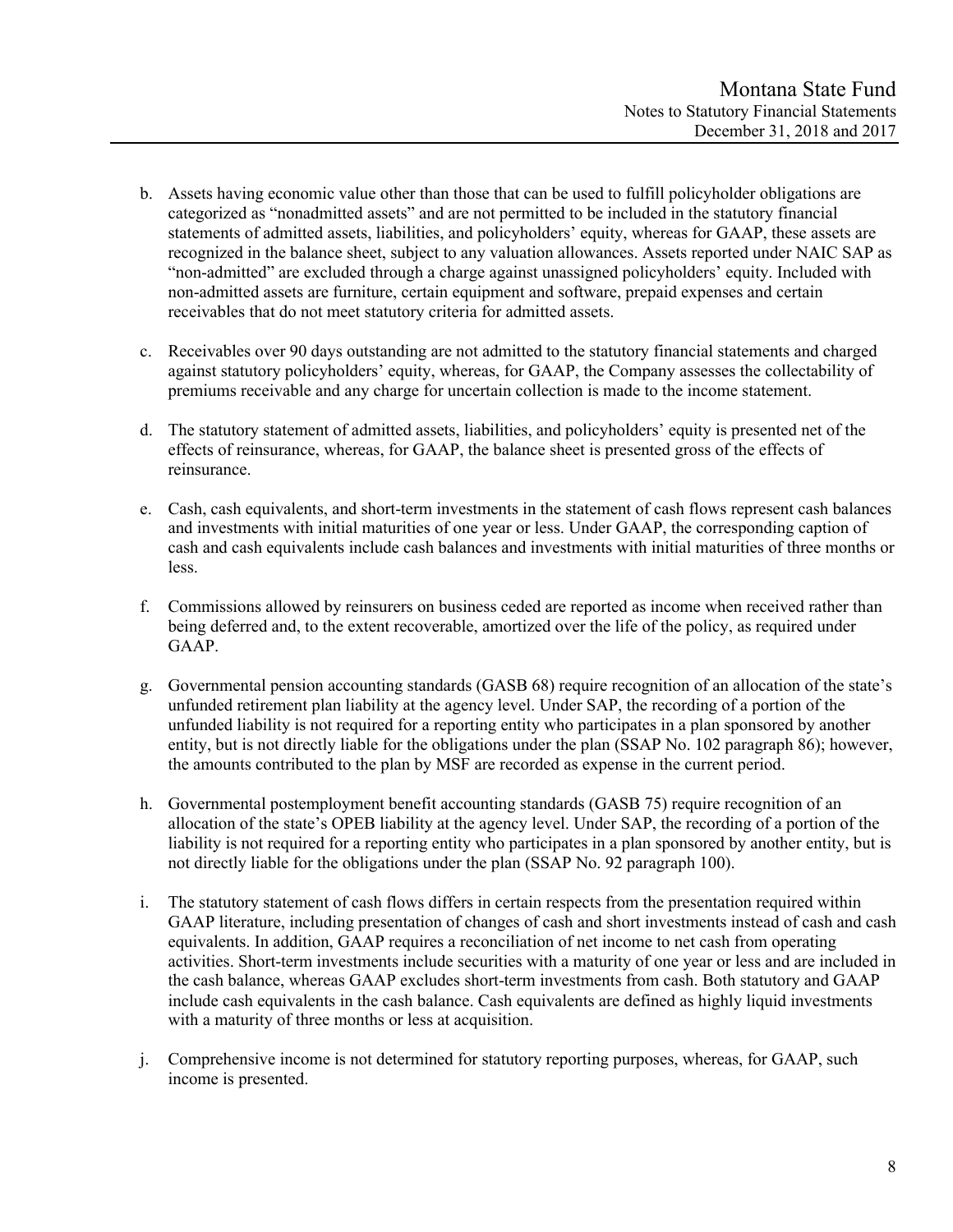- b. Assets having economic value other than those that can be used to fulfill policyholder obligations are categorized as "nonadmitted assets" and are not permitted to be included in the statutory financial statements of admitted assets, liabilities, and policyholders' equity, whereas for GAAP, these assets are recognized in the balance sheet, subject to any valuation allowances. Assets reported under NAIC SAP as "non-admitted" are excluded through a charge against unassigned policyholders' equity. Included with non-admitted assets are furniture, certain equipment and software, prepaid expenses and certain receivables that do not meet statutory criteria for admitted assets.
- c. Receivables over 90 days outstanding are not admitted to the statutory financial statements and charged against statutory policyholders' equity, whereas, for GAAP, the Company assesses the collectability of premiums receivable and any charge for uncertain collection is made to the income statement.
- d. The statutory statement of admitted assets, liabilities, and policyholders' equity is presented net of the effects of reinsurance, whereas, for GAAP, the balance sheet is presented gross of the effects of reinsurance.
- e. Cash, cash equivalents, and short-term investments in the statement of cash flows represent cash balances and investments with initial maturities of one year or less. Under GAAP, the corresponding caption of cash and cash equivalents include cash balances and investments with initial maturities of three months or less.
- f. Commissions allowed by reinsurers on business ceded are reported as income when received rather than being deferred and, to the extent recoverable, amortized over the life of the policy, as required under GAAP.
- g. Governmental pension accounting standards (GASB 68) require recognition of an allocation of the state's unfunded retirement plan liability at the agency level. Under SAP, the recording of a portion of the unfunded liability is not required for a reporting entity who participates in a plan sponsored by another entity, but is not directly liable for the obligations under the plan (SSAP No. 102 paragraph 86); however, the amounts contributed to the plan by MSF are recorded as expense in the current period.
- h. Governmental postemployment benefit accounting standards (GASB 75) require recognition of an allocation of the state's OPEB liability at the agency level. Under SAP, the recording of a portion of the liability is not required for a reporting entity who participates in a plan sponsored by another entity, but is not directly liable for the obligations under the plan (SSAP No. 92 paragraph 100).
- i. The statutory statement of cash flows differs in certain respects from the presentation required within GAAP literature, including presentation of changes of cash and short investments instead of cash and cash equivalents. In addition, GAAP requires a reconciliation of net income to net cash from operating activities. Short-term investments include securities with a maturity of one year or less and are included in the cash balance, whereas GAAP excludes short-term investments from cash. Both statutory and GAAP include cash equivalents in the cash balance. Cash equivalents are defined as highly liquid investments with a maturity of three months or less at acquisition.
- j. Comprehensive income is not determined for statutory reporting purposes, whereas, for GAAP, such income is presented.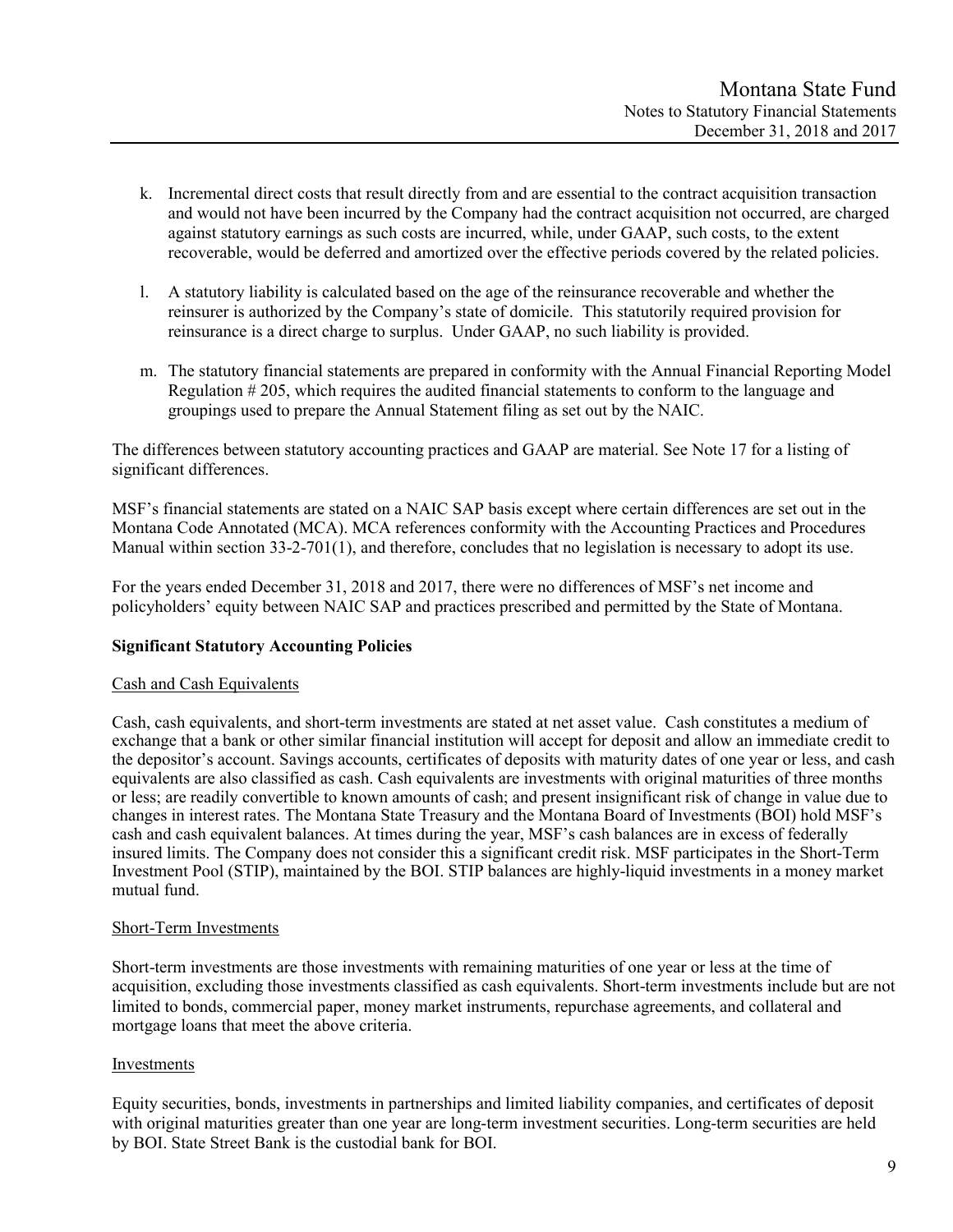- k. Incremental direct costs that result directly from and are essential to the contract acquisition transaction and would not have been incurred by the Company had the contract acquisition not occurred, are charged against statutory earnings as such costs are incurred, while, under GAAP, such costs, to the extent recoverable, would be deferred and amortized over the effective periods covered by the related policies.
- l. A statutory liability is calculated based on the age of the reinsurance recoverable and whether the reinsurer is authorized by the Company's state of domicile. This statutorily required provision for reinsurance is a direct charge to surplus. Under GAAP, no such liability is provided.
- m. The statutory financial statements are prepared in conformity with the Annual Financial Reporting Model Regulation # 205, which requires the audited financial statements to conform to the language and groupings used to prepare the Annual Statement filing as set out by the NAIC.

The differences between statutory accounting practices and GAAP are material. See Note 17 for a listing of significant differences.

MSF's financial statements are stated on a NAIC SAP basis except where certain differences are set out in the Montana Code Annotated (MCA). MCA references conformity with the Accounting Practices and Procedures Manual within section 33-2-701(1), and therefore, concludes that no legislation is necessary to adopt its use.

For the years ended December 31, 2018 and 2017, there were no differences of MSF's net income and policyholders' equity between NAIC SAP and practices prescribed and permitted by the State of Montana.

# **Significant Statutory Accounting Policies**

## Cash and Cash Equivalents

Cash, cash equivalents, and short-term investments are stated at net asset value. Cash constitutes a medium of exchange that a bank or other similar financial institution will accept for deposit and allow an immediate credit to the depositor's account. Savings accounts, certificates of deposits with maturity dates of one year or less, and cash equivalents are also classified as cash. Cash equivalents are investments with original maturities of three months or less; are readily convertible to known amounts of cash; and present insignificant risk of change in value due to changes in interest rates. The Montana State Treasury and the Montana Board of Investments (BOI) hold MSF's cash and cash equivalent balances. At times during the year, MSF's cash balances are in excess of federally insured limits. The Company does not consider this a significant credit risk. MSF participates in the Short-Term Investment Pool (STIP), maintained by the BOI. STIP balances are highly-liquid investments in a money market mutual fund.

## Short-Term Investments

Short-term investments are those investments with remaining maturities of one year or less at the time of acquisition, excluding those investments classified as cash equivalents. Short-term investments include but are not limited to bonds, commercial paper, money market instruments, repurchase agreements, and collateral and mortgage loans that meet the above criteria.

## Investments

Equity securities, bonds, investments in partnerships and limited liability companies, and certificates of deposit with original maturities greater than one year are long-term investment securities. Long-term securities are held by BOI. State Street Bank is the custodial bank for BOI.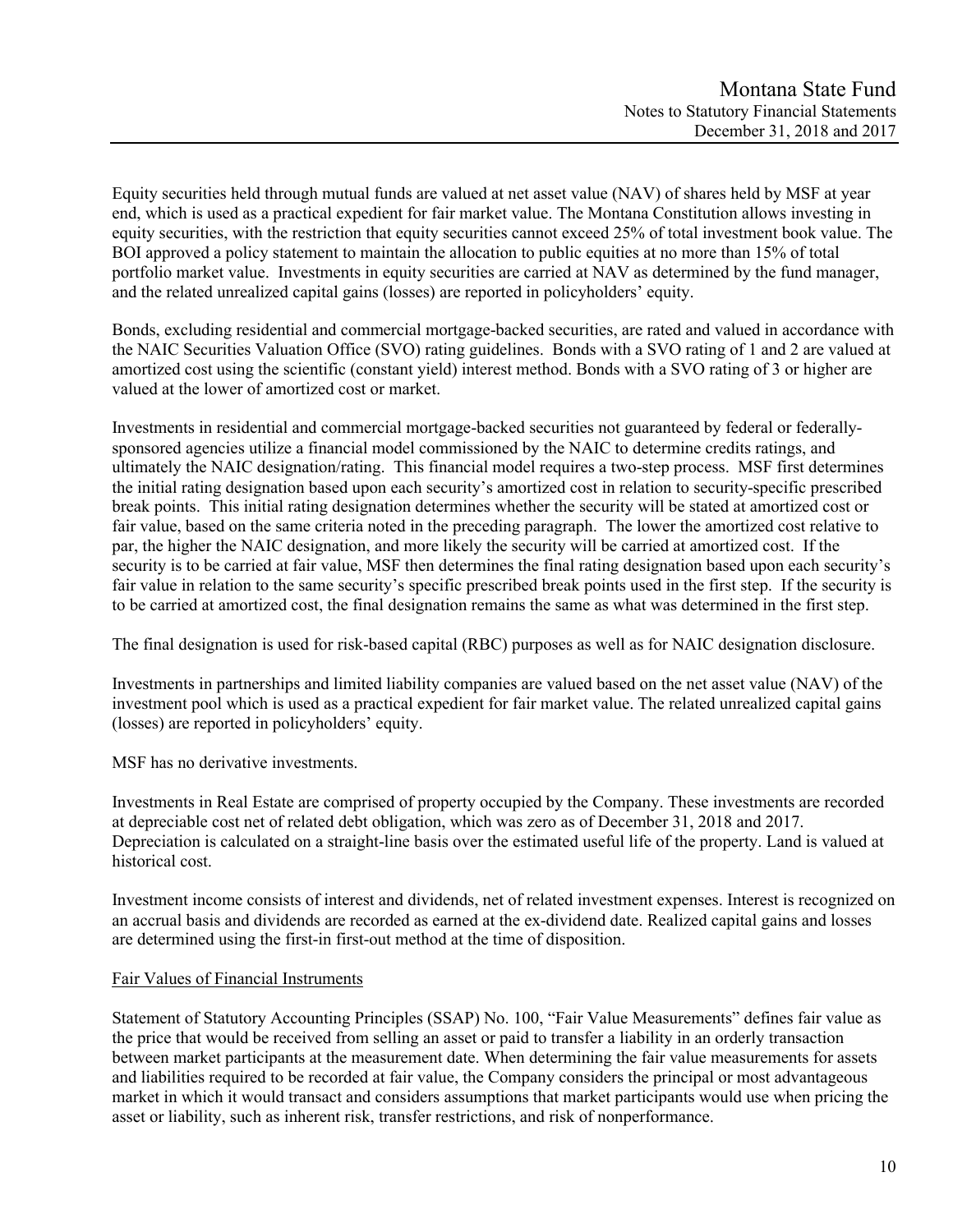Equity securities held through mutual funds are valued at net asset value (NAV) of shares held by MSF at year end, which is used as a practical expedient for fair market value. The Montana Constitution allows investing in equity securities, with the restriction that equity securities cannot exceed 25% of total investment book value. The BOI approved a policy statement to maintain the allocation to public equities at no more than 15% of total portfolio market value. Investments in equity securities are carried at NAV as determined by the fund manager, and the related unrealized capital gains (losses) are reported in policyholders' equity.

Bonds, excluding residential and commercial mortgage-backed securities, are rated and valued in accordance with the NAIC Securities Valuation Office (SVO) rating guidelines. Bonds with a SVO rating of 1 and 2 are valued at amortized cost using the scientific (constant yield) interest method. Bonds with a SVO rating of 3 or higher are valued at the lower of amortized cost or market.

Investments in residential and commercial mortgage-backed securities not guaranteed by federal or federallysponsored agencies utilize a financial model commissioned by the NAIC to determine credits ratings, and ultimately the NAIC designation/rating. This financial model requires a two-step process. MSF first determines the initial rating designation based upon each security's amortized cost in relation to security-specific prescribed break points. This initial rating designation determines whether the security will be stated at amortized cost or fair value, based on the same criteria noted in the preceding paragraph. The lower the amortized cost relative to par, the higher the NAIC designation, and more likely the security will be carried at amortized cost. If the security is to be carried at fair value, MSF then determines the final rating designation based upon each security's fair value in relation to the same security's specific prescribed break points used in the first step. If the security is to be carried at amortized cost, the final designation remains the same as what was determined in the first step.

The final designation is used for risk-based capital (RBC) purposes as well as for NAIC designation disclosure.

Investments in partnerships and limited liability companies are valued based on the net asset value (NAV) of the investment pool which is used as a practical expedient for fair market value. The related unrealized capital gains (losses) are reported in policyholders' equity.

MSF has no derivative investments.

Investments in Real Estate are comprised of property occupied by the Company. These investments are recorded at depreciable cost net of related debt obligation, which was zero as of December 31, 2018 and 2017. Depreciation is calculated on a straight-line basis over the estimated useful life of the property. Land is valued at historical cost.

Investment income consists of interest and dividends, net of related investment expenses. Interest is recognized on an accrual basis and dividends are recorded as earned at the ex-dividend date. Realized capital gains and losses are determined using the first-in first-out method at the time of disposition.

# Fair Values of Financial Instruments

Statement of Statutory Accounting Principles (SSAP) No. 100, "Fair Value Measurements" defines fair value as the price that would be received from selling an asset or paid to transfer a liability in an orderly transaction between market participants at the measurement date. When determining the fair value measurements for assets and liabilities required to be recorded at fair value, the Company considers the principal or most advantageous market in which it would transact and considers assumptions that market participants would use when pricing the asset or liability, such as inherent risk, transfer restrictions, and risk of nonperformance.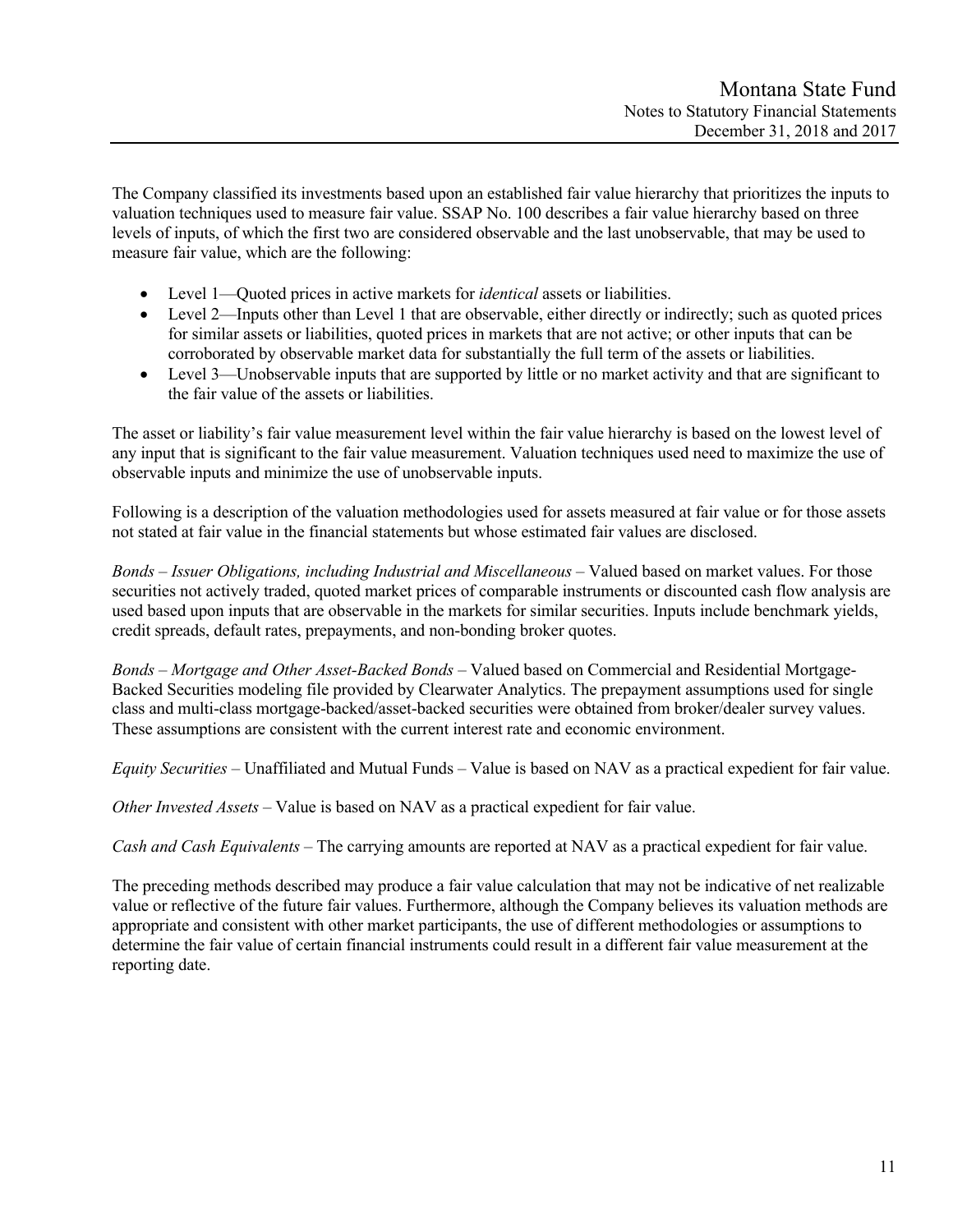The Company classified its investments based upon an established fair value hierarchy that prioritizes the inputs to valuation techniques used to measure fair value. SSAP No. 100 describes a fair value hierarchy based on three levels of inputs, of which the first two are considered observable and the last unobservable, that may be used to measure fair value, which are the following:

- Level 1—Quoted prices in active markets for *identical* assets or liabilities.
- Level 2—Inputs other than Level 1 that are observable, either directly or indirectly; such as quoted prices for similar assets or liabilities, quoted prices in markets that are not active; or other inputs that can be corroborated by observable market data for substantially the full term of the assets or liabilities.
- Level 3—Unobservable inputs that are supported by little or no market activity and that are significant to the fair value of the assets or liabilities.

The asset or liability's fair value measurement level within the fair value hierarchy is based on the lowest level of any input that is significant to the fair value measurement. Valuation techniques used need to maximize the use of observable inputs and minimize the use of unobservable inputs.

Following is a description of the valuation methodologies used for assets measured at fair value or for those assets not stated at fair value in the financial statements but whose estimated fair values are disclosed.

*Bonds – Issuer Obligations, including Industrial and Miscellaneous* – Valued based on market values. For those securities not actively traded, quoted market prices of comparable instruments or discounted cash flow analysis are used based upon inputs that are observable in the markets for similar securities. Inputs include benchmark yields, credit spreads, default rates, prepayments, and non-bonding broker quotes.

*Bonds – Mortgage and Other Asset-Backed Bonds* – Valued based on Commercial and Residential Mortgage-Backed Securities modeling file provided by Clearwater Analytics. The prepayment assumptions used for single class and multi-class mortgage-backed/asset-backed securities were obtained from broker/dealer survey values. These assumptions are consistent with the current interest rate and economic environment.

*Equity Securities* – Unaffiliated and Mutual Funds – Value is based on NAV as a practical expedient for fair value.

*Other Invested Assets* – Value is based on NAV as a practical expedient for fair value.

*Cash and Cash Equivalents* – The carrying amounts are reported at NAV as a practical expedient for fair value.

The preceding methods described may produce a fair value calculation that may not be indicative of net realizable value or reflective of the future fair values. Furthermore, although the Company believes its valuation methods are appropriate and consistent with other market participants, the use of different methodologies or assumptions to determine the fair value of certain financial instruments could result in a different fair value measurement at the reporting date.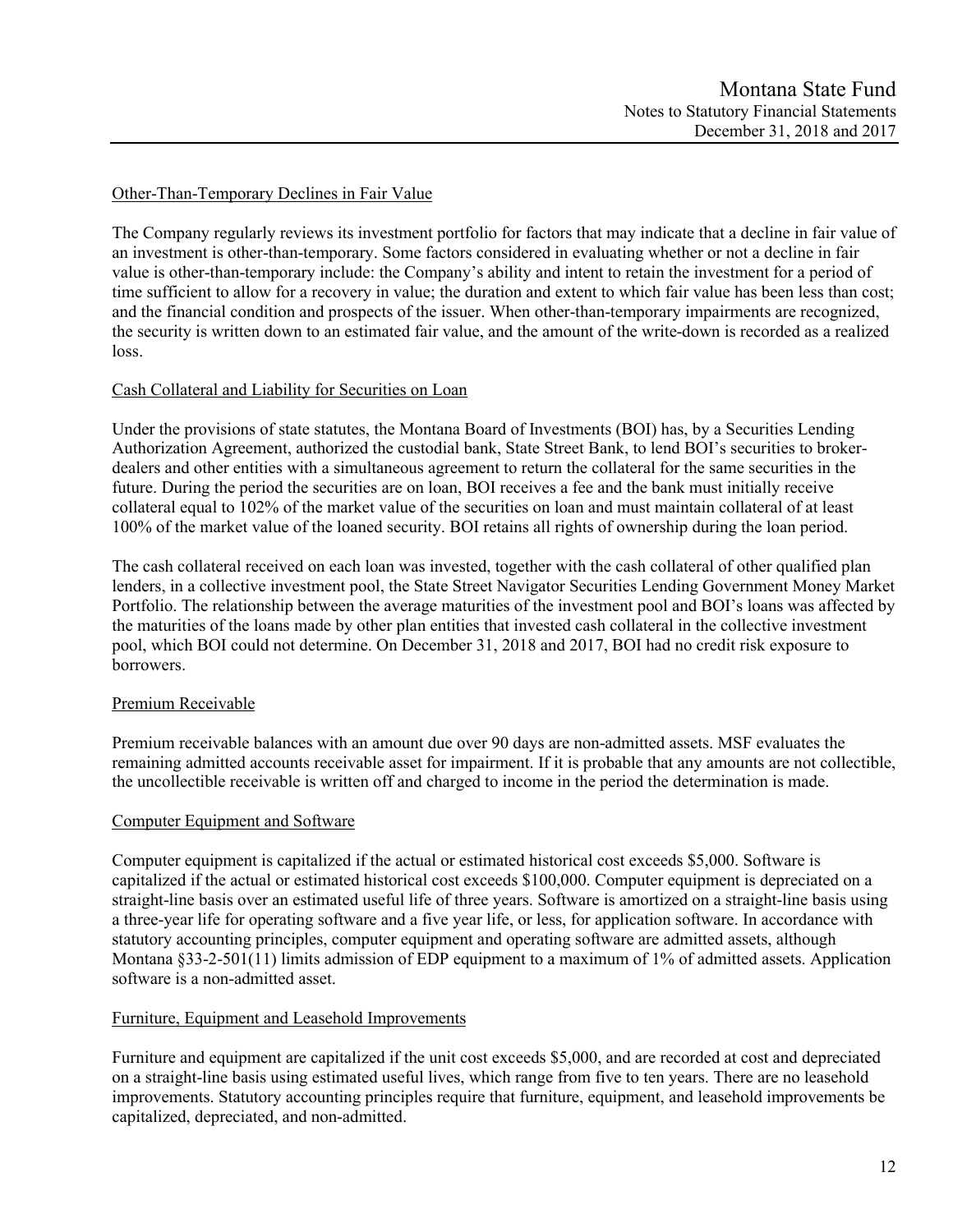## Other-Than-Temporary Declines in Fair Value

The Company regularly reviews its investment portfolio for factors that may indicate that a decline in fair value of an investment is other-than-temporary. Some factors considered in evaluating whether or not a decline in fair value is other-than-temporary include: the Company's ability and intent to retain the investment for a period of time sufficient to allow for a recovery in value; the duration and extent to which fair value has been less than cost; and the financial condition and prospects of the issuer. When other-than-temporary impairments are recognized, the security is written down to an estimated fair value, and the amount of the write-down is recorded as a realized loss.

## Cash Collateral and Liability for Securities on Loan

Under the provisions of state statutes, the Montana Board of Investments (BOI) has, by a Securities Lending Authorization Agreement, authorized the custodial bank, State Street Bank, to lend BOI's securities to brokerdealers and other entities with a simultaneous agreement to return the collateral for the same securities in the future. During the period the securities are on loan, BOI receives a fee and the bank must initially receive collateral equal to 102% of the market value of the securities on loan and must maintain collateral of at least 100% of the market value of the loaned security. BOI retains all rights of ownership during the loan period.

The cash collateral received on each loan was invested, together with the cash collateral of other qualified plan lenders, in a collective investment pool, the State Street Navigator Securities Lending Government Money Market Portfolio. The relationship between the average maturities of the investment pool and BOI's loans was affected by the maturities of the loans made by other plan entities that invested cash collateral in the collective investment pool, which BOI could not determine. On December 31, 2018 and 2017, BOI had no credit risk exposure to borrowers.

## Premium Receivable

Premium receivable balances with an amount due over 90 days are non-admitted assets. MSF evaluates the remaining admitted accounts receivable asset for impairment. If it is probable that any amounts are not collectible, the uncollectible receivable is written off and charged to income in the period the determination is made.

## Computer Equipment and Software

Computer equipment is capitalized if the actual or estimated historical cost exceeds \$5,000. Software is capitalized if the actual or estimated historical cost exceeds \$100,000. Computer equipment is depreciated on a straight-line basis over an estimated useful life of three years. Software is amortized on a straight-line basis using a three-year life for operating software and a five year life, or less, for application software. In accordance with statutory accounting principles, computer equipment and operating software are admitted assets, although Montana §33-2-501(11) limits admission of EDP equipment to a maximum of 1% of admitted assets. Application software is a non-admitted asset.

## Furniture, Equipment and Leasehold Improvements

Furniture and equipment are capitalized if the unit cost exceeds \$5,000, and are recorded at cost and depreciated on a straight-line basis using estimated useful lives, which range from five to ten years. There are no leasehold improvements. Statutory accounting principles require that furniture, equipment, and leasehold improvements be capitalized, depreciated, and non-admitted.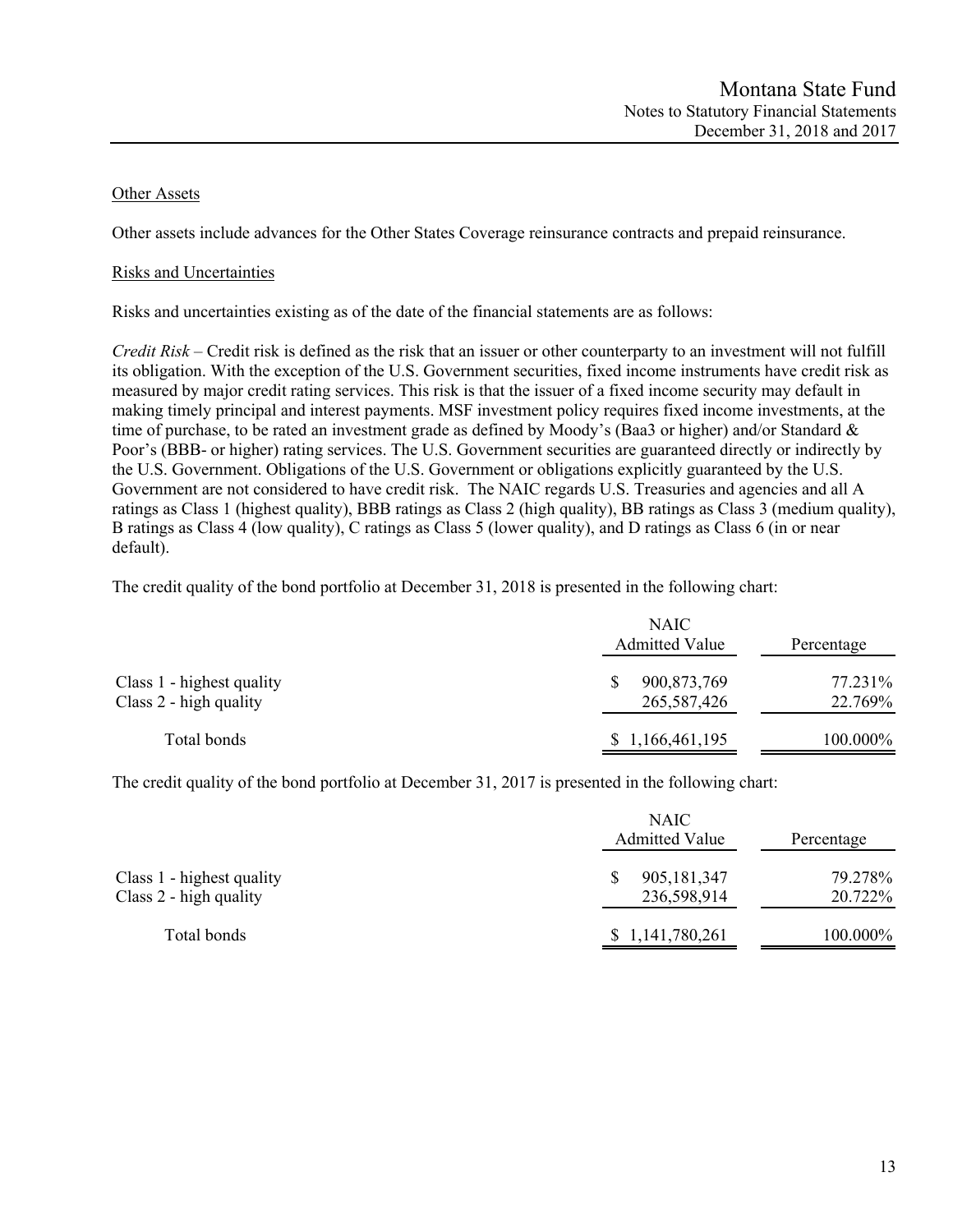## Other Assets

Other assets include advances for the Other States Coverage reinsurance contracts and prepaid reinsurance.

## Risks and Uncertainties

Risks and uncertainties existing as of the date of the financial statements are as follows:

*Credit Risk* – Credit risk is defined as the risk that an issuer or other counterparty to an investment will not fulfill its obligation. With the exception of the U.S. Government securities, fixed income instruments have credit risk as measured by major credit rating services. This risk is that the issuer of a fixed income security may default in making timely principal and interest payments. MSF investment policy requires fixed income investments, at the time of purchase, to be rated an investment grade as defined by Moody's (Baa3 or higher) and/or Standard & Poor's (BBB- or higher) rating services. The U.S. Government securities are guaranteed directly or indirectly by the U.S. Government. Obligations of the U.S. Government or obligations explicitly guaranteed by the U.S. Government are not considered to have credit risk. The NAIC regards U.S. Treasuries and agencies and all A ratings as Class 1 (highest quality), BBB ratings as Class 2 (high quality), BB ratings as Class 3 (medium quality), B ratings as Class 4 (low quality), C ratings as Class 5 (lower quality), and D ratings as Class 6 (in or near default).

The credit quality of the bond portfolio at December 31, 2018 is presented in the following chart:

|                                                     | <b>NAIC</b><br><b>Admitted Value</b> | Percentage         |
|-----------------------------------------------------|--------------------------------------|--------------------|
| Class 1 - highest quality<br>Class 2 - high quality | 900,873,769<br>265, 587, 426         | 77.231%<br>22.769% |
| Total bonds                                         | \$1,166,461,195                      | 100.000%           |

The credit quality of the bond portfolio at December 31, 2017 is presented in the following chart:

|                                                     | <b>NAIC</b><br><b>Admitted Value</b> | Percentage         |  |  |
|-----------------------------------------------------|--------------------------------------|--------------------|--|--|
| Class 1 - highest quality<br>Class 2 - high quality | 905, 181, 347<br>236,598,914         | 79.278%<br>20.722% |  |  |
| Total bonds                                         | \$1,141,780,261                      | 100.000%           |  |  |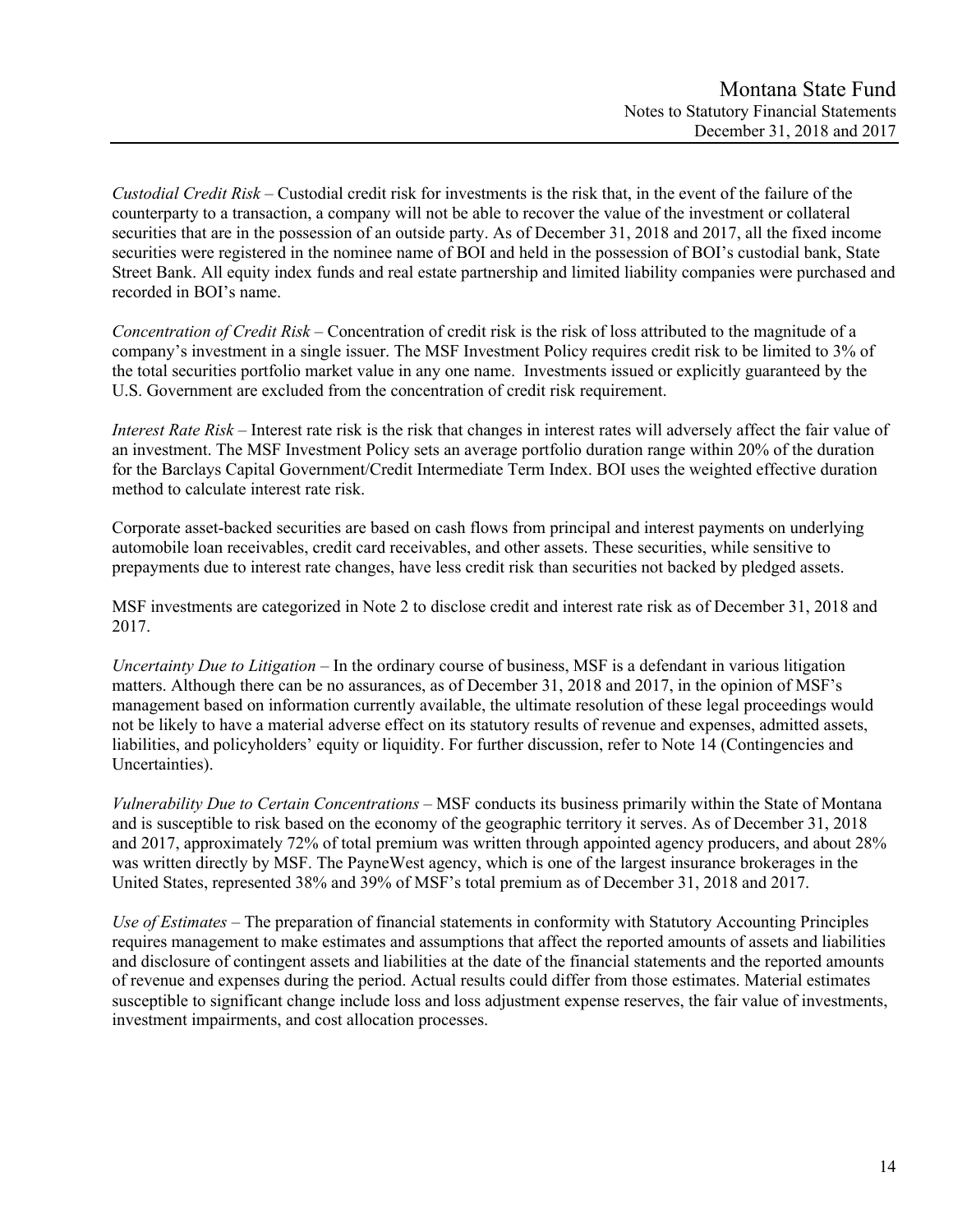*Custodial Credit Risk* – Custodial credit risk for investments is the risk that, in the event of the failure of the counterparty to a transaction, a company will not be able to recover the value of the investment or collateral securities that are in the possession of an outside party. As of December 31, 2018 and 2017, all the fixed income securities were registered in the nominee name of BOI and held in the possession of BOI's custodial bank, State Street Bank. All equity index funds and real estate partnership and limited liability companies were purchased and recorded in BOI's name.

*Concentration of Credit Risk* – Concentration of credit risk is the risk of loss attributed to the magnitude of a company's investment in a single issuer. The MSF Investment Policy requires credit risk to be limited to 3% of the total securities portfolio market value in any one name. Investments issued or explicitly guaranteed by the U.S. Government are excluded from the concentration of credit risk requirement.

*Interest Rate Risk* – Interest rate risk is the risk that changes in interest rates will adversely affect the fair value of an investment. The MSF Investment Policy sets an average portfolio duration range within 20% of the duration for the Barclays Capital Government/Credit Intermediate Term Index. BOI uses the weighted effective duration method to calculate interest rate risk.

Corporate asset-backed securities are based on cash flows from principal and interest payments on underlying automobile loan receivables, credit card receivables, and other assets. These securities, while sensitive to prepayments due to interest rate changes, have less credit risk than securities not backed by pledged assets.

MSF investments are categorized in Note 2 to disclose credit and interest rate risk as of December 31, 2018 and 2017.

*Uncertainty Due to Litigation* – In the ordinary course of business, MSF is a defendant in various litigation matters. Although there can be no assurances, as of December 31, 2018 and 2017, in the opinion of MSF's management based on information currently available, the ultimate resolution of these legal proceedings would not be likely to have a material adverse effect on its statutory results of revenue and expenses, admitted assets, liabilities, and policyholders' equity or liquidity. For further discussion, refer to Note 14 (Contingencies and Uncertainties).

*Vulnerability Due to Certain Concentrations* – MSF conducts its business primarily within the State of Montana and is susceptible to risk based on the economy of the geographic territory it serves. As of December 31, 2018 and 2017, approximately 72% of total premium was written through appointed agency producers, and about 28% was written directly by MSF. The PayneWest agency, which is one of the largest insurance brokerages in the United States, represented 38% and 39% of MSF's total premium as of December 31, 2018 and 2017.

*Use of Estimates –* The preparation of financial statements in conformity with Statutory Accounting Principles requires management to make estimates and assumptions that affect the reported amounts of assets and liabilities and disclosure of contingent assets and liabilities at the date of the financial statements and the reported amounts of revenue and expenses during the period. Actual results could differ from those estimates. Material estimates susceptible to significant change include loss and loss adjustment expense reserves, the fair value of investments, investment impairments, and cost allocation processes.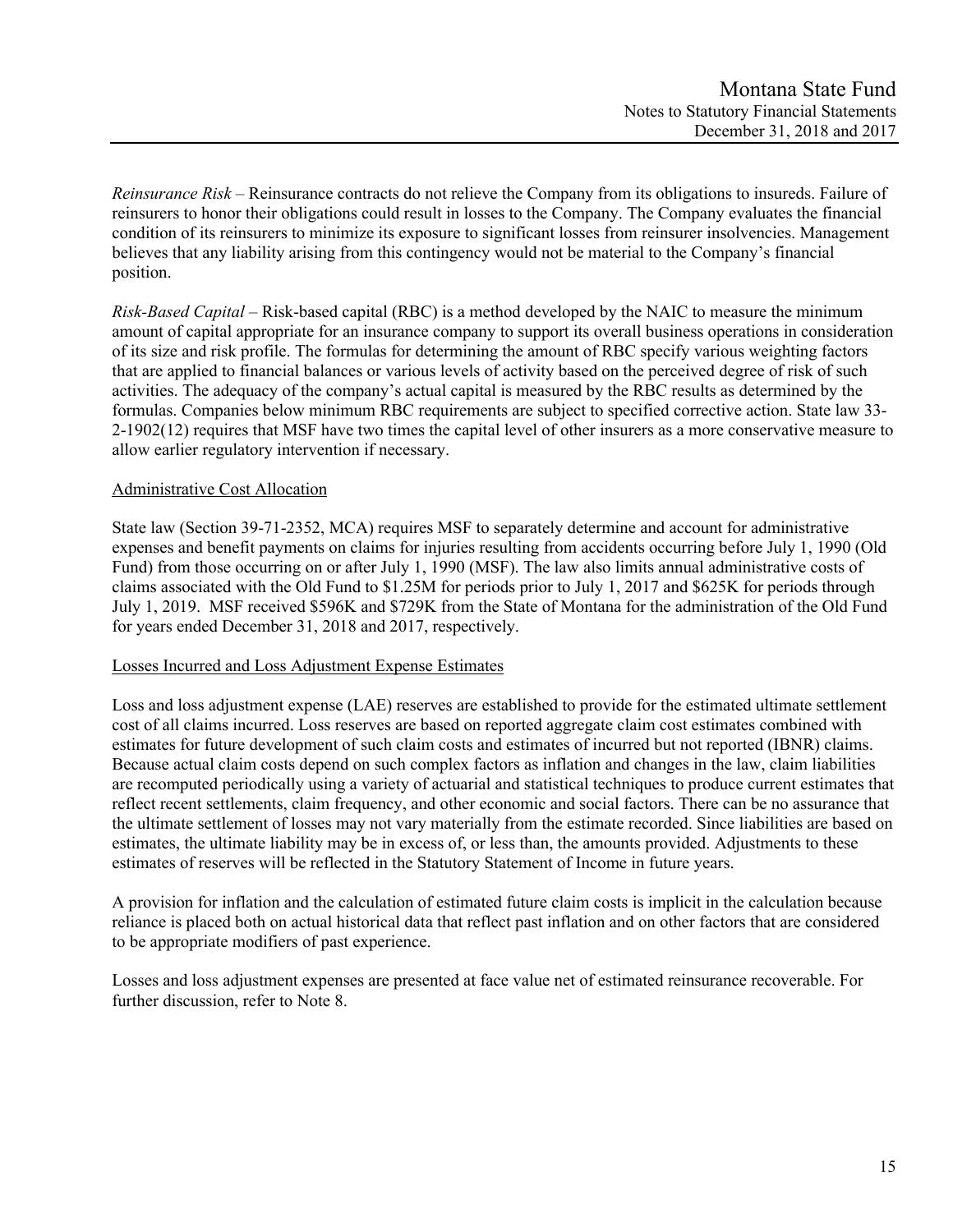*Reinsurance Risk –* Reinsurance contracts do not relieve the Company from its obligations to insureds. Failure of reinsurers to honor their obligations could result in losses to the Company. The Company evaluates the financial condition of its reinsurers to minimize its exposure to significant losses from reinsurer insolvencies. Management believes that any liability arising from this contingency would not be material to the Company's financial position.

*Risk-Based Capital* – Risk-based capital (RBC) is a method developed by the NAIC to measure the minimum amount of capital appropriate for an insurance company to support its overall business operations in consideration of its size and risk profile. The formulas for determining the amount of RBC specify various weighting factors that are applied to financial balances or various levels of activity based on the perceived degree of risk of such activities. The adequacy of the company's actual capital is measured by the RBC results as determined by the formulas. Companies below minimum RBC requirements are subject to specified corrective action. State law 33- 2-1902(12) requires that MSF have two times the capital level of other insurers as a more conservative measure to allow earlier regulatory intervention if necessary.

## Administrative Cost Allocation

State law (Section 39-71-2352, MCA) requires MSF to separately determine and account for administrative expenses and benefit payments on claims for injuries resulting from accidents occurring before July 1, 1990 (Old Fund) from those occurring on or after July 1, 1990 (MSF). The law also limits annual administrative costs of claims associated with the Old Fund to \$1.25M for periods prior to July 1, 2017 and \$625K for periods through July 1, 2019. MSF received \$596K and \$729K from the State of Montana for the administration of the Old Fund for years ended December 31, 2018 and 2017, respectively.

## Losses Incurred and Loss Adjustment Expense Estimates

Loss and loss adjustment expense (LAE) reserves are established to provide for the estimated ultimate settlement cost of all claims incurred. Loss reserves are based on reported aggregate claim cost estimates combined with estimates for future development of such claim costs and estimates of incurred but not reported (IBNR) claims. Because actual claim costs depend on such complex factors as inflation and changes in the law, claim liabilities are recomputed periodically using a variety of actuarial and statistical techniques to produce current estimates that reflect recent settlements, claim frequency, and other economic and social factors. There can be no assurance that the ultimate settlement of losses may not vary materially from the estimate recorded. Since liabilities are based on estimates, the ultimate liability may be in excess of, or less than, the amounts provided. Adjustments to these estimates of reserves will be reflected in the Statutory Statement of Income in future years.

A provision for inflation and the calculation of estimated future claim costs is implicit in the calculation because reliance is placed both on actual historical data that reflect past inflation and on other factors that are considered to be appropriate modifiers of past experience.

Losses and loss adjustment expenses are presented at face value net of estimated reinsurance recoverable. For further discussion, refer to Note 8.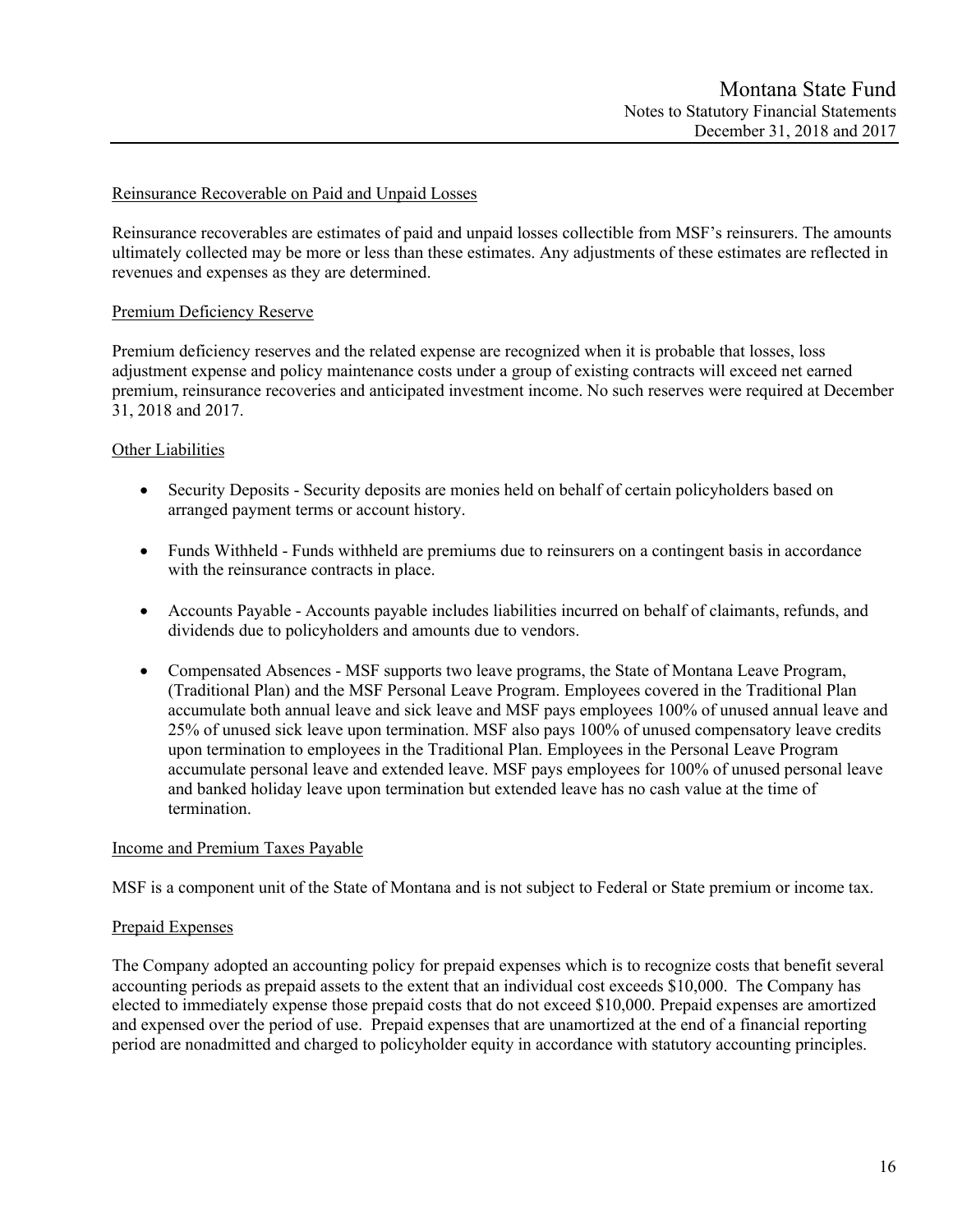## Reinsurance Recoverable on Paid and Unpaid Losses

Reinsurance recoverables are estimates of paid and unpaid losses collectible from MSF's reinsurers. The amounts ultimately collected may be more or less than these estimates. Any adjustments of these estimates are reflected in revenues and expenses as they are determined.

## Premium Deficiency Reserve

Premium deficiency reserves and the related expense are recognized when it is probable that losses, loss adjustment expense and policy maintenance costs under a group of existing contracts will exceed net earned premium, reinsurance recoveries and anticipated investment income. No such reserves were required at December 31, 2018 and 2017.

## **Other Liabilities**

- Security Deposits Security deposits are monies held on behalf of certain policyholders based on arranged payment terms or account history.
- Funds Withheld Funds withheld are premiums due to reinsurers on a contingent basis in accordance with the reinsurance contracts in place.
- Accounts Payable Accounts payable includes liabilities incurred on behalf of claimants, refunds, and dividends due to policyholders and amounts due to vendors.
- Compensated Absences MSF supports two leave programs, the State of Montana Leave Program, (Traditional Plan) and the MSF Personal Leave Program. Employees covered in the Traditional Plan accumulate both annual leave and sick leave and MSF pays employees 100% of unused annual leave and 25% of unused sick leave upon termination. MSF also pays 100% of unused compensatory leave credits upon termination to employees in the Traditional Plan. Employees in the Personal Leave Program accumulate personal leave and extended leave. MSF pays employees for 100% of unused personal leave and banked holiday leave upon termination but extended leave has no cash value at the time of termination.

#### Income and Premium Taxes Payable

MSF is a component unit of the State of Montana and is not subject to Federal or State premium or income tax.

#### Prepaid Expenses

The Company adopted an accounting policy for prepaid expenses which is to recognize costs that benefit several accounting periods as prepaid assets to the extent that an individual cost exceeds \$10,000. The Company has elected to immediately expense those prepaid costs that do not exceed \$10,000. Prepaid expenses are amortized and expensed over the period of use. Prepaid expenses that are unamortized at the end of a financial reporting period are nonadmitted and charged to policyholder equity in accordance with statutory accounting principles.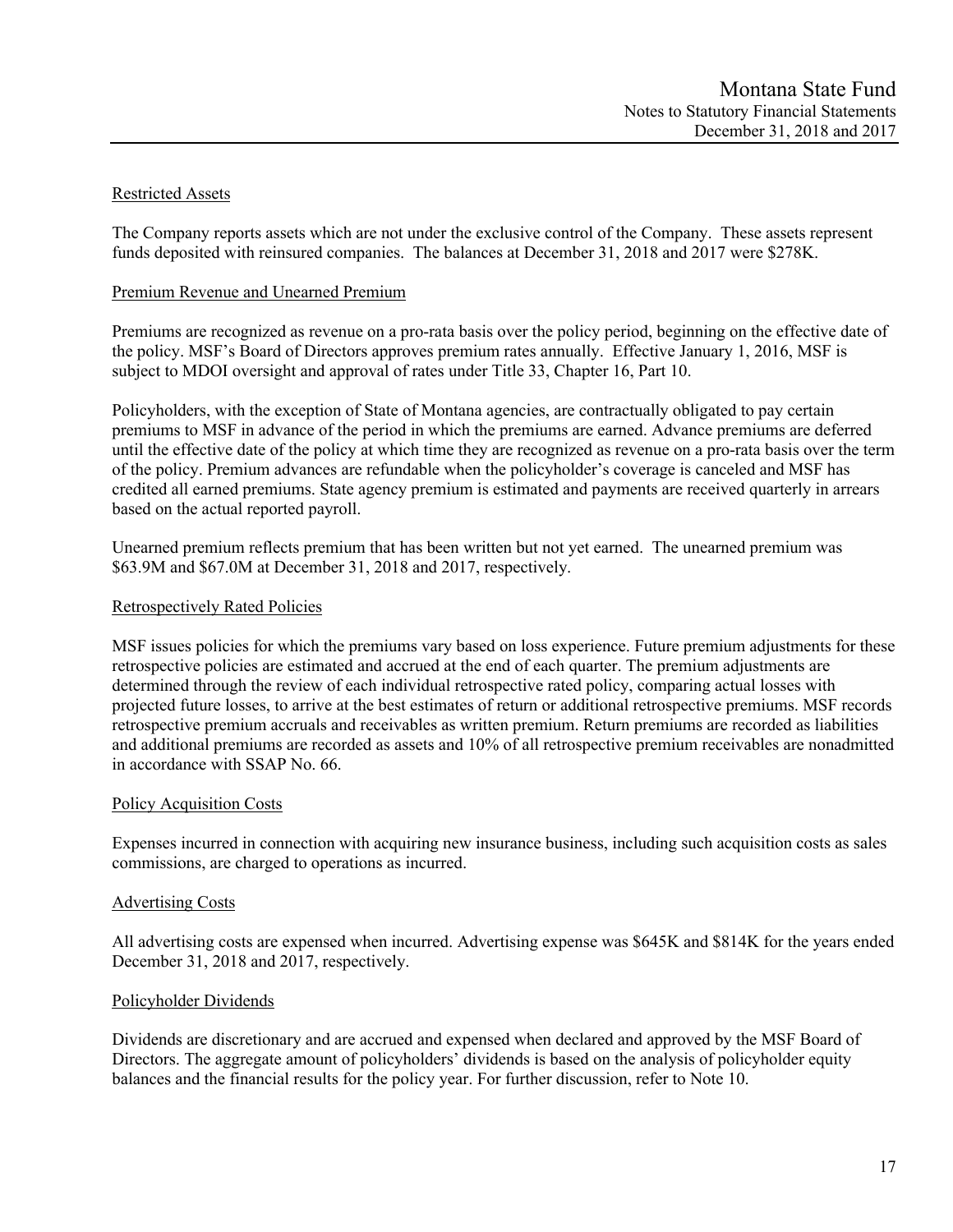# Restricted Assets

The Company reports assets which are not under the exclusive control of the Company. These assets represent funds deposited with reinsured companies. The balances at December 31, 2018 and 2017 were \$278K.

## Premium Revenue and Unearned Premium

Premiums are recognized as revenue on a pro-rata basis over the policy period, beginning on the effective date of the policy. MSF's Board of Directors approves premium rates annually. Effective January 1, 2016, MSF is subject to MDOI oversight and approval of rates under Title 33, Chapter 16, Part 10.

Policyholders, with the exception of State of Montana agencies, are contractually obligated to pay certain premiums to MSF in advance of the period in which the premiums are earned. Advance premiums are deferred until the effective date of the policy at which time they are recognized as revenue on a pro-rata basis over the term of the policy. Premium advances are refundable when the policyholder's coverage is canceled and MSF has credited all earned premiums. State agency premium is estimated and payments are received quarterly in arrears based on the actual reported payroll.

Unearned premium reflects premium that has been written but not yet earned. The unearned premium was \$63.9M and \$67.0M at December 31, 2018 and 2017, respectively.

## Retrospectively Rated Policies

MSF issues policies for which the premiums vary based on loss experience. Future premium adjustments for these retrospective policies are estimated and accrued at the end of each quarter. The premium adjustments are determined through the review of each individual retrospective rated policy, comparing actual losses with projected future losses, to arrive at the best estimates of return or additional retrospective premiums. MSF records retrospective premium accruals and receivables as written premium. Return premiums are recorded as liabilities and additional premiums are recorded as assets and 10% of all retrospective premium receivables are nonadmitted in accordance with SSAP No. 66.

## Policy Acquisition Costs

Expenses incurred in connection with acquiring new insurance business, including such acquisition costs as sales commissions, are charged to operations as incurred.

## Advertising Costs

All advertising costs are expensed when incurred. Advertising expense was \$645K and \$814K for the years ended December 31, 2018 and 2017, respectively.

## Policyholder Dividends

Dividends are discretionary and are accrued and expensed when declared and approved by the MSF Board of Directors. The aggregate amount of policyholders' dividends is based on the analysis of policyholder equity balances and the financial results for the policy year. For further discussion, refer to Note 10.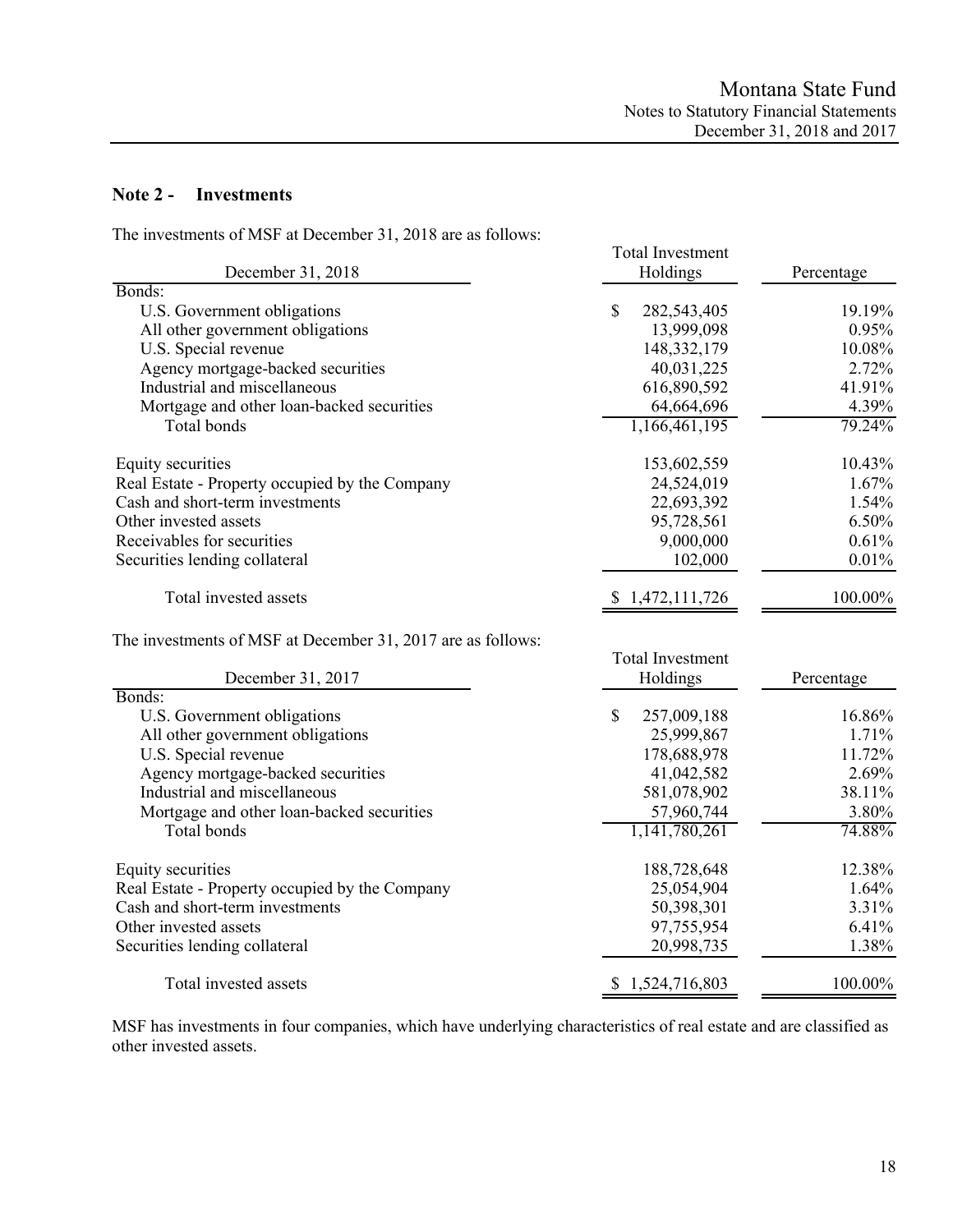# **Note 2 - Investments**

The investments of MSF at December 31, 2018 are as follows:

| The investments of more at December 21, 2010 are as follows.<br>December 31, 2018 | <b>Total Investment</b><br>Holdings | Percentage |  |  |
|-----------------------------------------------------------------------------------|-------------------------------------|------------|--|--|
| Bonds:                                                                            |                                     |            |  |  |
| U.S. Government obligations                                                       | \$<br>282,543,405                   | 19.19%     |  |  |
| All other government obligations                                                  | 13,999,098                          | $0.95\%$   |  |  |
| U.S. Special revenue                                                              | 148, 332, 179                       | 10.08%     |  |  |
| Agency mortgage-backed securities                                                 | 40,031,225                          | 2.72%      |  |  |
| Industrial and miscellaneous                                                      | 616,890,592                         | 41.91%     |  |  |
| Mortgage and other loan-backed securities                                         | 64,664,696                          | 4.39%      |  |  |
| Total bonds                                                                       | 1,166,461,195                       | 79.24%     |  |  |
| Equity securities                                                                 | 153,602,559                         | 10.43%     |  |  |
| Real Estate - Property occupied by the Company                                    | 24,524,019                          | $1.67\%$   |  |  |
| Cash and short-term investments                                                   | 22,693,392                          | 1.54%      |  |  |
| Other invested assets                                                             | 95,728,561                          | 6.50%      |  |  |
| Receivables for securities                                                        | 9,000,000                           | 0.61%      |  |  |
| Securities lending collateral                                                     | 102,000                             | 0.01%      |  |  |
| Total invested assets                                                             | 1,472,111,726                       | 100.00%    |  |  |

The investments of MSF at December 31, 2017 are as follows:

| December 31, 2017                              | <b>Total Investment</b><br>Holdings | Percentage |  |  |
|------------------------------------------------|-------------------------------------|------------|--|--|
| Bonds:                                         |                                     |            |  |  |
| U.S. Government obligations                    | \$<br>257,009,188                   | 16.86%     |  |  |
| All other government obligations               | 25,999,867                          | 1.71%      |  |  |
| U.S. Special revenue                           | 178,688,978                         | 11.72%     |  |  |
| Agency mortgage-backed securities              | 41,042,582                          | 2.69%      |  |  |
| Industrial and miscellaneous                   | 581,078,902                         | 38.11%     |  |  |
| Mortgage and other loan-backed securities      | 57,960,744                          | 3.80%      |  |  |
| Total bonds                                    | 1,141,780,261                       | 74.88%     |  |  |
| Equity securities                              | 188,728,648                         | 12.38%     |  |  |
| Real Estate - Property occupied by the Company | 25,054,904                          | 1.64%      |  |  |
| Cash and short-term investments                | 50,398,301                          | 3.31%      |  |  |
| Other invested assets                          | 97,755,954                          | 6.41%      |  |  |
| Securities lending collateral                  | 20,998,735                          | 1.38%      |  |  |
| Total invested assets                          | \$1,524,716,803                     | 100.00%    |  |  |

MSF has investments in four companies, which have underlying characteristics of real estate and are classified as other invested assets.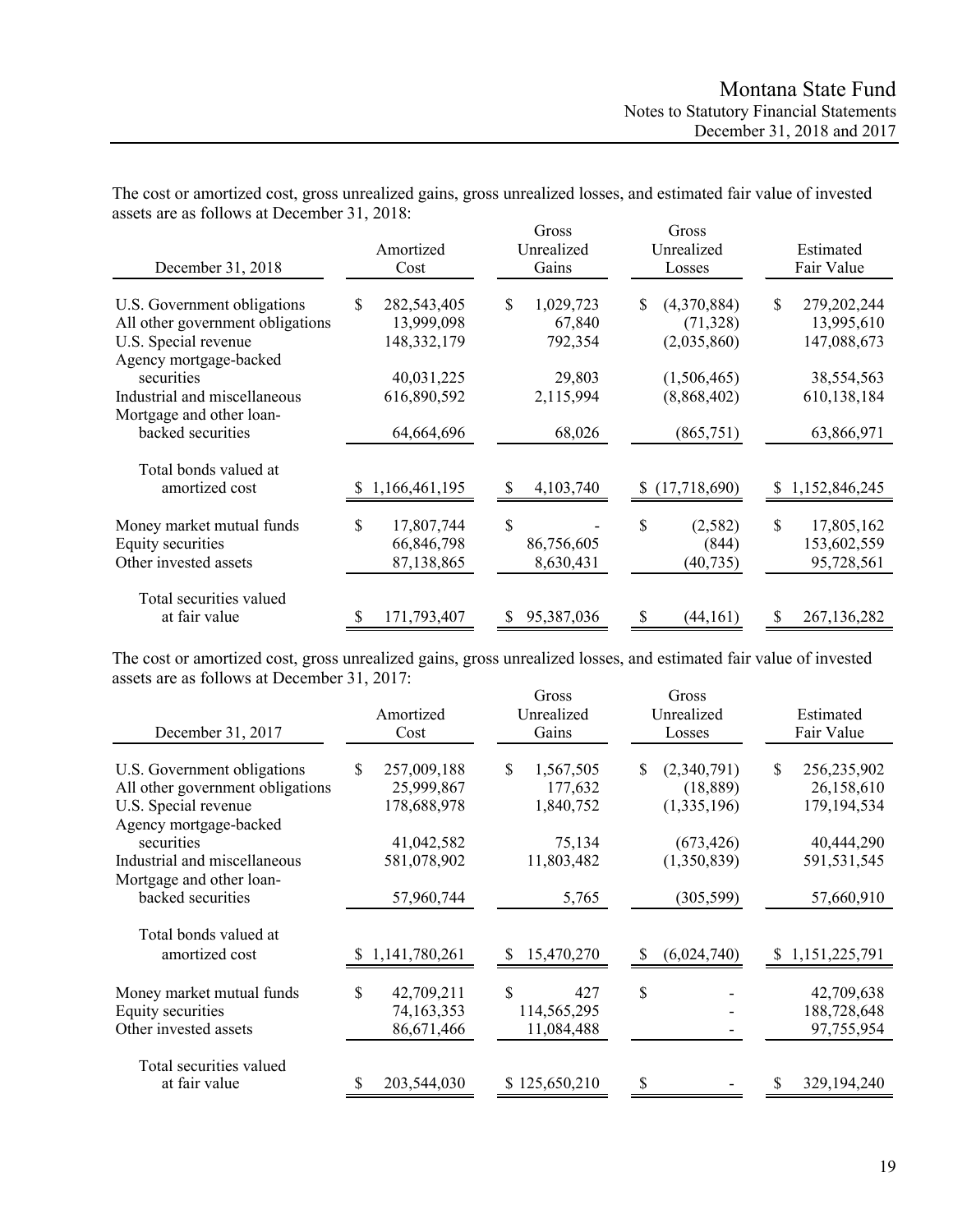| December 31, 2018                                                                                                 | Amortized<br>Cost                               | Gross<br>Unrealized<br>Gains        | Gross<br>Unrealized<br>Losses                 | Estimated<br>Fair Value                        |  |  |
|-------------------------------------------------------------------------------------------------------------------|-------------------------------------------------|-------------------------------------|-----------------------------------------------|------------------------------------------------|--|--|
| U.S. Government obligations<br>All other government obligations<br>U.S. Special revenue<br>Agency mortgage-backed | S<br>282,543,405<br>13,999,098<br>148, 332, 179 | 1,029,723<br>S<br>67,840<br>792,354 | (4,370,884)<br>S.<br>(71, 328)<br>(2,035,860) | 279,202,244<br>\$<br>13,995,610<br>147,088,673 |  |  |
| securities<br>Industrial and miscellaneous<br>Mortgage and other loan-<br>backed securities                       | 40,031,225<br>616,890,592<br>64,664,696         | 29,803<br>2,115,994<br>68,026       | (1,506,465)<br>(8,868,402)<br>(865,751)       | 38,554,563<br>610,138,184<br>63,866,971        |  |  |
| Total bonds valued at<br>amortized cost                                                                           | 1,166,461,195<br>S.                             | 4,103,740<br>S                      | (17,718,690)<br>S                             | 1,152,846,245<br>S                             |  |  |
| Money market mutual funds<br>Equity securities<br>Other invested assets                                           | \$<br>17,807,744<br>66,846,798<br>87,138,865    | \$<br>86,756,605<br>8,630,431       | \$<br>(2,582)<br>(844)<br>(40, 735)           | \$<br>17,805,162<br>153,602,559<br>95,728,561  |  |  |
| Total securities valued<br>at fair value                                                                          | 171,793,407                                     | 95,387,036                          | (44, 161)<br>S                                | 267,136,282                                    |  |  |

The cost or amortized cost, gross unrealized gains, gross unrealized losses, and estimated fair value of invested assets are as follows at December 31, 2018:

The cost or amortized cost, gross unrealized gains, gross unrealized losses, and estimated fair value of invested assets are as follows at December 31, 2017:

| December 31, 2017                                                                                                 | Amortized<br>Cost                              | Gross<br>Unrealized<br>Gains            | Gross<br>Unrealized<br>Losses                  | Estimated<br>Fair Value                         |  |  |
|-------------------------------------------------------------------------------------------------------------------|------------------------------------------------|-----------------------------------------|------------------------------------------------|-------------------------------------------------|--|--|
| U.S. Government obligations<br>All other government obligations<br>U.S. Special revenue<br>Agency mortgage-backed | \$<br>257,009,188<br>25,999,867<br>178,688,978 | \$<br>1,567,505<br>177,632<br>1,840,752 | (2,340,791)<br>\$.<br>(18, 889)<br>(1,335,196) | 256,235,902<br>S<br>26,158,610<br>179, 194, 534 |  |  |
| securities<br>Industrial and miscellaneous<br>Mortgage and other loan-                                            | 41,042,582<br>581,078,902                      | 75,134<br>11,803,482                    | (673, 426)<br>(1,350,839)                      | 40,444,290<br>591,531,545                       |  |  |
| backed securities<br>Total bonds valued at<br>amortized cost                                                      | 57,960,744<br>1,141,780,261                    | 5,765<br>15,470,270<br>S                | (305, 599)<br>(6,024,740)                      | 57,660,910<br>1,151,225,791<br>\$               |  |  |
| Money market mutual funds<br>Equity securities<br>Other invested assets                                           | \$<br>42,709,211<br>74,163,353<br>86,671,466   | S<br>427<br>114,565,295<br>11,084,488   | \$                                             | 42,709,638<br>188,728,648<br>97,755,954         |  |  |
| Total securities valued<br>at fair value                                                                          | 203,544,030                                    | \$125,650,210                           | \$                                             | 329,194,240                                     |  |  |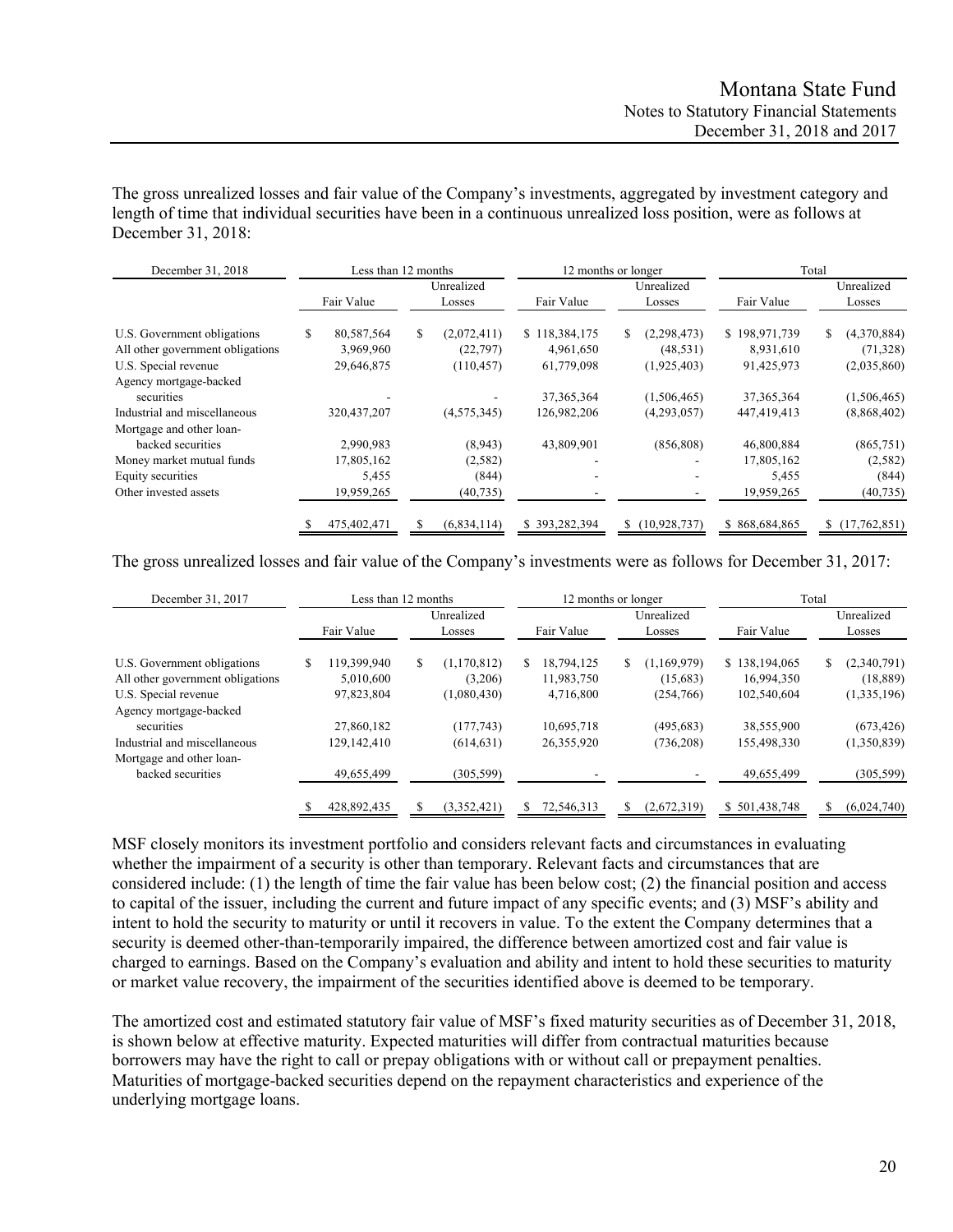The gross unrealized losses and fair value of the Company's investments, aggregated by investment category and length of time that individual securities have been in a continuous unrealized loss position, were as follows at December 31, 2018:

| December 31, 2018                | Less than 12 months |             |               | 12 months or longer | Total         |                    |  |
|----------------------------------|---------------------|-------------|---------------|---------------------|---------------|--------------------|--|
|                                  |                     | Unrealized  |               | Unrealized          |               | Unrealized         |  |
|                                  | Fair Value          | Losses      | Fair Value    | Losses              | Fair Value    | Losses             |  |
| U.S. Government obligations      | \$<br>80,587,564    | (2,072,411) | \$118,384,175 | S.<br>(2, 298, 473) | \$198,971,739 | (4,370,884)<br>\$  |  |
| All other government obligations | 3,969,960           | (22, 797)   | 4,961,650     | (48, 531)           | 8,931,610     | (71, 328)          |  |
| U.S. Special revenue             | 29,646,875          | (110, 457)  | 61,779,098    | (1,925,403)         | 91,425,973    | (2,035,860)        |  |
| Agency mortgage-backed           |                     |             |               |                     |               |                    |  |
| securities                       |                     |             | 37, 365, 364  | (1,506,465)         | 37, 365, 364  | (1,506,465)        |  |
| Industrial and miscellaneous     | 320, 437, 207       | (4,575,345) | 126,982,206   | (4,293,057)         | 447,419,413   | (8,868,402)        |  |
| Mortgage and other loan-         |                     |             |               |                     |               |                    |  |
| backed securities                | 2,990,983           | (8,943)     | 43,809,901    | (856, 808)          | 46,800,884    | (865,751)          |  |
| Money market mutual funds        | 17,805,162          | (2,582)     |               |                     | 17,805,162    | (2,582)            |  |
| Equity securities                | 5,455               | (844)       | -             |                     | 5,455         | (844)              |  |
| Other invested assets            | 19,959,265          | (40, 735)   |               |                     | 19,959,265    | (40, 735)          |  |
|                                  | 475,402,471         | (6,834,114) | \$393,282,394 | \$(10,928,737)      | \$868,684,865 | (17,762,851)<br>\$ |  |

The gross unrealized losses and fair value of the Company's investments were as follows for December 31, 2017:

| December 31, 2017                |    | Less than 12 months |    |                      | 12 months or longer |            |    |                      | Total         |                      |             |
|----------------------------------|----|---------------------|----|----------------------|---------------------|------------|----|----------------------|---------------|----------------------|-------------|
|                                  |    | Fair Value          |    | Unrealized<br>Losses |                     | Fair Value |    | Unrealized<br>Losses | Fair Value    | Unrealized<br>Losses |             |
| U.S. Government obligations      | \$ | 119.399.940         | S. | (1,170,812)          | S.                  | 18,794,125 | \$ | (1,169,979)          | \$138,194,065 | S                    | (2,340,791) |
| All other government obligations |    | 5,010,600           |    | (3,206)              |                     | 11,983,750 |    | (15,683)             | 16,994,350    |                      | (18, 889)   |
| U.S. Special revenue             |    | 97,823,804          |    | (1,080,430)          |                     | 4,716,800  |    | (254,766)            | 102,540,604   |                      | (1,335,196) |
| Agency mortgage-backed           |    |                     |    |                      |                     |            |    |                      |               |                      |             |
| securities                       |    | 27,860,182          |    | (177,743)            |                     | 10.695.718 |    | (495, 683)           | 38,555,900    |                      | (673, 426)  |
| Industrial and miscellaneous     |    | 129,142,410         |    | (614, 631)           |                     | 26,355,920 |    | (736, 208)           | 155,498,330   |                      | (1,350,839) |
| Mortgage and other loan-         |    |                     |    |                      |                     |            |    |                      |               |                      |             |
| backed securities                |    | 49,655,499          |    | (305, 599)           |                     |            |    |                      | 49,655,499    |                      | (305, 599)  |
|                                  |    | 428,892,435         |    | (3,352,421)          |                     | 72,546,313 | S  | (2,672,319)          | \$501,438,748 |                      | (6,024,740) |

MSF closely monitors its investment portfolio and considers relevant facts and circumstances in evaluating whether the impairment of a security is other than temporary. Relevant facts and circumstances that are considered include: (1) the length of time the fair value has been below cost; (2) the financial position and access to capital of the issuer, including the current and future impact of any specific events; and (3) MSF's ability and intent to hold the security to maturity or until it recovers in value. To the extent the Company determines that a security is deemed other-than-temporarily impaired, the difference between amortized cost and fair value is charged to earnings. Based on the Company's evaluation and ability and intent to hold these securities to maturity or market value recovery, the impairment of the securities identified above is deemed to be temporary.

The amortized cost and estimated statutory fair value of MSF's fixed maturity securities as of December 31, 2018, is shown below at effective maturity. Expected maturities will differ from contractual maturities because borrowers may have the right to call or prepay obligations with or without call or prepayment penalties. Maturities of mortgage-backed securities depend on the repayment characteristics and experience of the underlying mortgage loans.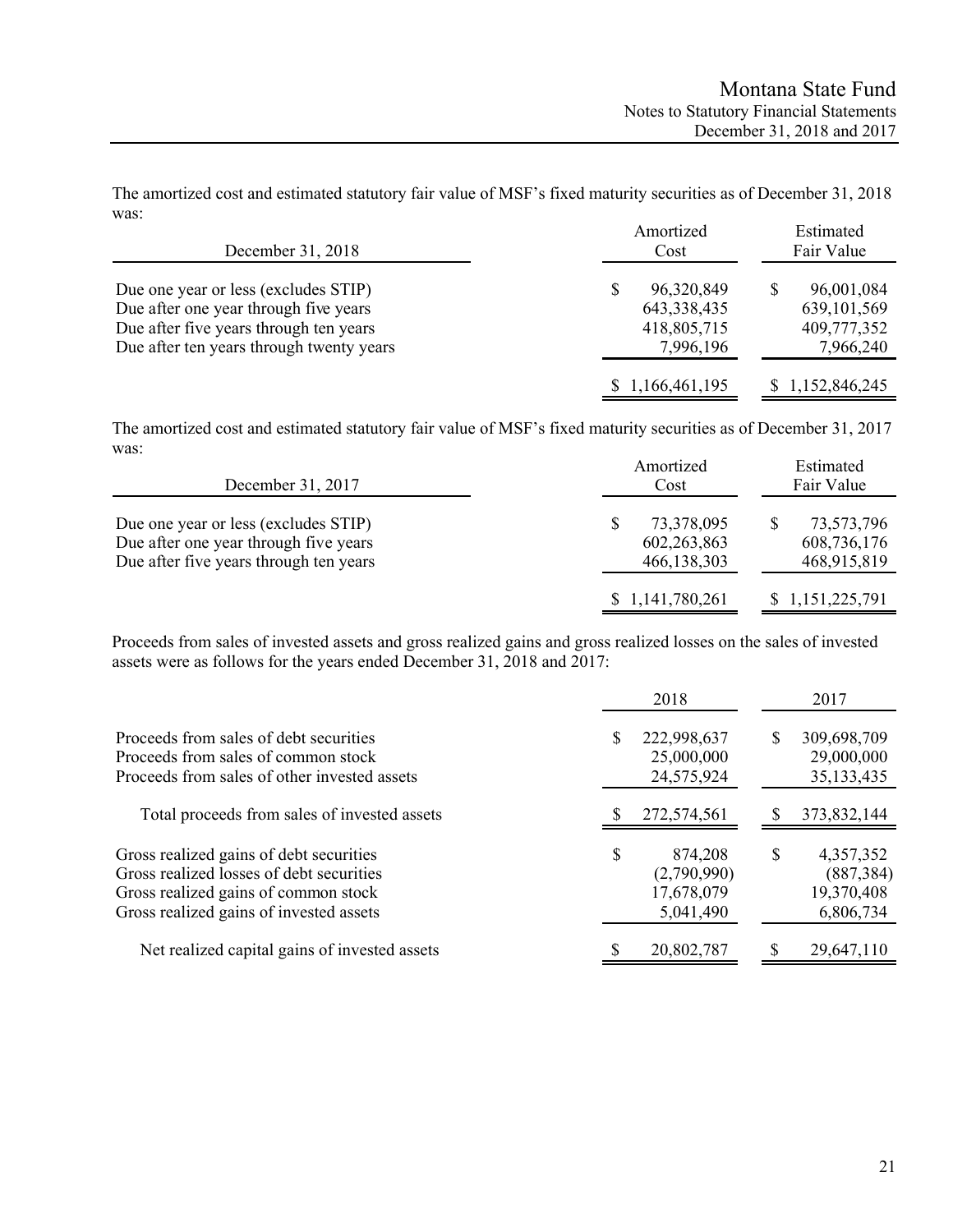The amortized cost and estimated statutory fair value of MSF's fixed maturity securities as of December 31, 2018 was: Amortized Estimated

| December 31, 2018                        | Amoruzea<br>Cost | esumated<br>Fair Value |
|------------------------------------------|------------------|------------------------|
| Due one year or less (excludes STIP)     | 96,320,849       | 96,001,084             |
| Due after one year through five years    | 643, 338, 435    | 639, 101, 569          |
| Due after five years through ten years   | 418,805,715      | 409,777,352            |
| Due after ten years through twenty years | 7,996,196        | 7,966,240              |
|                                          | \$1,166,461,195  | \$1,152,846,245        |

The amortized cost and estimated statutory fair value of MSF's fixed maturity securities as of December 31, 2017 was:

| December 31, 2017                                                                                                       | Amortized<br>Cost                        | Estimated<br>Fair Value                  |
|-------------------------------------------------------------------------------------------------------------------------|------------------------------------------|------------------------------------------|
| Due one year or less (excludes STIP)<br>Due after one year through five years<br>Due after five years through ten years | 73,378,095<br>602,263,863<br>466,138,303 | 73,573,796<br>608,736,176<br>468,915,819 |
|                                                                                                                         | \$1,141,780,261                          | \$1,151,225,791                          |

Proceeds from sales of invested assets and gross realized gains and gross realized losses on the sales of invested assets were as follows for the years ended December 31, 2018 and 2017:

|                                                                                                                                                                        |    | 2018                                              |   | 2017                                               |
|------------------------------------------------------------------------------------------------------------------------------------------------------------------------|----|---------------------------------------------------|---|----------------------------------------------------|
| Proceeds from sales of debt securities<br>Proceeds from sales of common stock<br>Proceeds from sales of other invested assets                                          | S  | 222,998,637<br>25,000,000<br>24,575,924           | S | 309,698,709<br>29,000,000<br>35, 133, 435          |
| Total proceeds from sales of invested assets                                                                                                                           |    | 272,574,561                                       |   | 373,832,144                                        |
| Gross realized gains of debt securities<br>Gross realized losses of debt securities<br>Gross realized gains of common stock<br>Gross realized gains of invested assets | \$ | 874,208<br>(2,790,990)<br>17,678,079<br>5,041,490 | S | 4,357,352<br>(887, 384)<br>19,370,408<br>6,806,734 |
| Net realized capital gains of invested assets                                                                                                                          |    | 20,802,787                                        |   | 29,647,110                                         |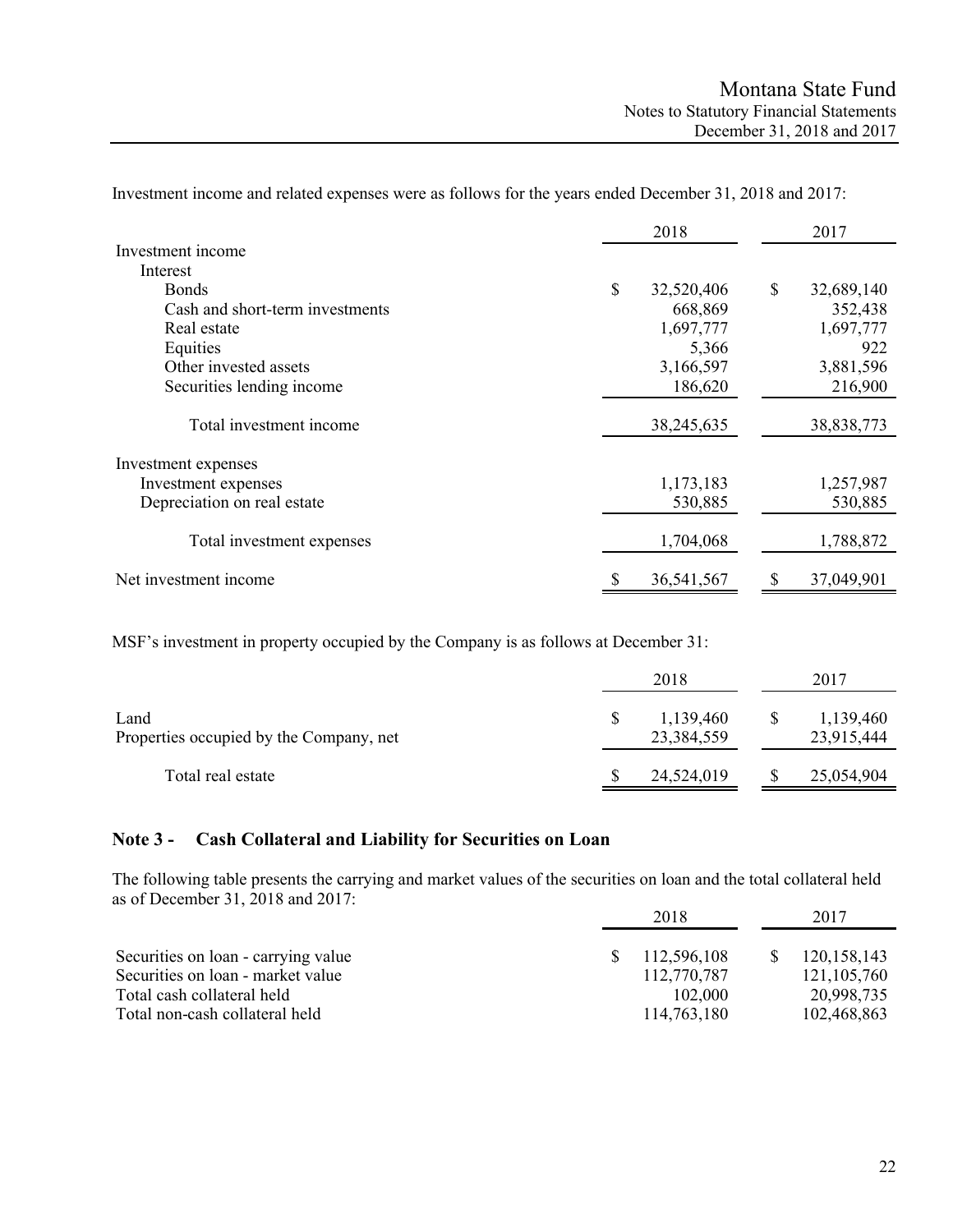|                                 | 2018             |    | 2017       |
|---------------------------------|------------------|----|------------|
| Investment income               |                  |    |            |
| Interest                        |                  |    |            |
| <b>Bonds</b>                    | \$<br>32,520,406 | \$ | 32,689,140 |
| Cash and short-term investments | 668,869          |    | 352,438    |
| Real estate                     | 1,697,777        |    | 1,697,777  |
| Equities                        | 5,366            |    | 922        |
| Other invested assets           | 3,166,597        |    | 3,881,596  |
| Securities lending income       | 186,620          |    | 216,900    |
| Total investment income         | 38,245,635       |    | 38,838,773 |
| Investment expenses             |                  |    |            |
| Investment expenses             | 1,173,183        |    | 1,257,987  |
| Depreciation on real estate     | 530,885          |    | 530,885    |
| Total investment expenses       | 1,704,068        |    | 1,788,872  |
| Net investment income           | \$<br>36,541,567 | S  | 37,049,901 |

Investment income and related expenses were as follows for the years ended December 31, 2018 and 2017:

MSF's investment in property occupied by the Company is as follows at December 31:

|                                                 |              | 2018                    | 2017                    |
|-------------------------------------------------|--------------|-------------------------|-------------------------|
| Land<br>Properties occupied by the Company, net | <sup>S</sup> | 1,139,460<br>23,384,559 | 1,139,460<br>23,915,444 |
| Total real estate                               |              | 24,524,019              | 25,054,904              |

## **Note 3 - Cash Collateral and Liability for Securities on Loan**

The following table presents the carrying and market values of the securities on loan and the total collateral held as of December 31, 2018 and 2017:

|                                     | 2018 |             | 2017          |  |
|-------------------------------------|------|-------------|---------------|--|
| Securities on loan - carrying value |      | 112,596,108 | 120, 158, 143 |  |
| Securities on loan - market value   |      | 112,770,787 | 121, 105, 760 |  |
| Total cash collateral held          |      | 102,000     | 20,998,735    |  |
| Total non-cash collateral held      |      | 114,763,180 | 102,468,863   |  |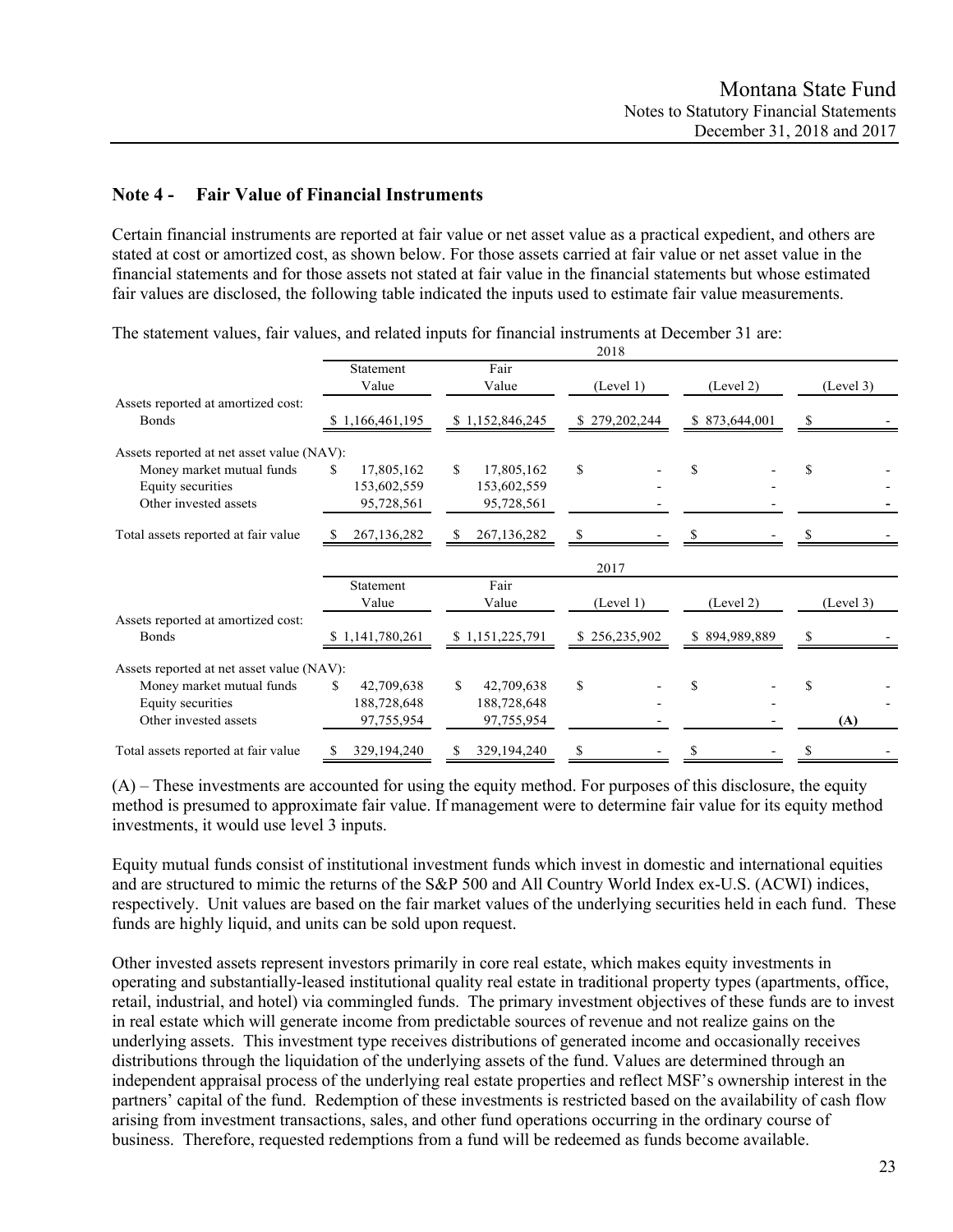# **Note 4 - Fair Value of Financial Instruments**

Certain financial instruments are reported at fair value or net asset value as a practical expedient, and others are stated at cost or amortized cost, as shown below. For those assets carried at fair value or net asset value in the financial statements and for those assets not stated at fair value in the financial statements but whose estimated fair values are disclosed, the following table indicated the inputs used to estimate fair value measurements.

|                                                    |                  |                   | 2018          |               |           |
|----------------------------------------------------|------------------|-------------------|---------------|---------------|-----------|
|                                                    | Statement        | Fair              |               |               |           |
|                                                    | Value            | Value             | (Level 1)     | (Level 2)     | (Level 3) |
| Assets reported at amortized cost:<br><b>Bonds</b> | \$1,166,461,195  | \$1,152,846,245   | \$279,202,244 | \$873,644,001 | S         |
| Assets reported at net asset value (NAV):          |                  |                   |               |               |           |
| Money market mutual funds                          | S.<br>17,805,162 | \$.<br>17,805,162 | \$            | \$            | S         |
| Equity securities                                  | 153,602,559      | 153,602,559       |               |               |           |
| Other invested assets                              | 95,728,561       | 95,728,561        |               |               |           |
|                                                    |                  |                   |               |               |           |
| Total assets reported at fair value                | 267, 136, 282    | 267, 136, 282     | S             |               |           |
|                                                    |                  |                   | 2017          |               |           |
|                                                    | Statement        | Fair              |               |               |           |
|                                                    | Value            | Value             | (Level 1)     | (Level 2)     | (Level 3) |
| Assets reported at amortized cost:                 |                  |                   |               |               |           |
| <b>Bonds</b>                                       | \$1,141,780,261  | \$1,151,225,791   | \$256,235,902 | \$894,989,889 |           |
|                                                    |                  |                   |               |               |           |
| Assets reported at net asset value (NAV):          |                  |                   |               |               |           |
| Money market mutual funds                          | 42,709,638<br>S  | S.<br>42,709,638  | \$            | \$            | S         |
| Equity securities                                  | 188,728,648      | 188,728,648       |               |               |           |
| Other invested assets                              | 97,755,954       | 97,755,954        |               |               | (A)       |
| Total assets reported at fair value                | 329,194,240<br>S | 329,194,240<br>S. | \$            | \$            | \$        |

The statement values, fair values, and related inputs for financial instruments at December 31 are:

(A) – These investments are accounted for using the equity method. For purposes of this disclosure, the equity method is presumed to approximate fair value. If management were to determine fair value for its equity method investments, it would use level 3 inputs.

Equity mutual funds consist of institutional investment funds which invest in domestic and international equities and are structured to mimic the returns of the S&P 500 and All Country World Index ex-U.S. (ACWI) indices, respectively. Unit values are based on the fair market values of the underlying securities held in each fund. These funds are highly liquid, and units can be sold upon request.

Other invested assets represent investors primarily in core real estate, which makes equity investments in operating and substantially-leased institutional quality real estate in traditional property types (apartments, office, retail, industrial, and hotel) via commingled funds. The primary investment objectives of these funds are to invest in real estate which will generate income from predictable sources of revenue and not realize gains on the underlying assets. This investment type receives distributions of generated income and occasionally receives distributions through the liquidation of the underlying assets of the fund. Values are determined through an independent appraisal process of the underlying real estate properties and reflect MSF's ownership interest in the partners' capital of the fund. Redemption of these investments is restricted based on the availability of cash flow arising from investment transactions, sales, and other fund operations occurring in the ordinary course of business. Therefore, requested redemptions from a fund will be redeemed as funds become available.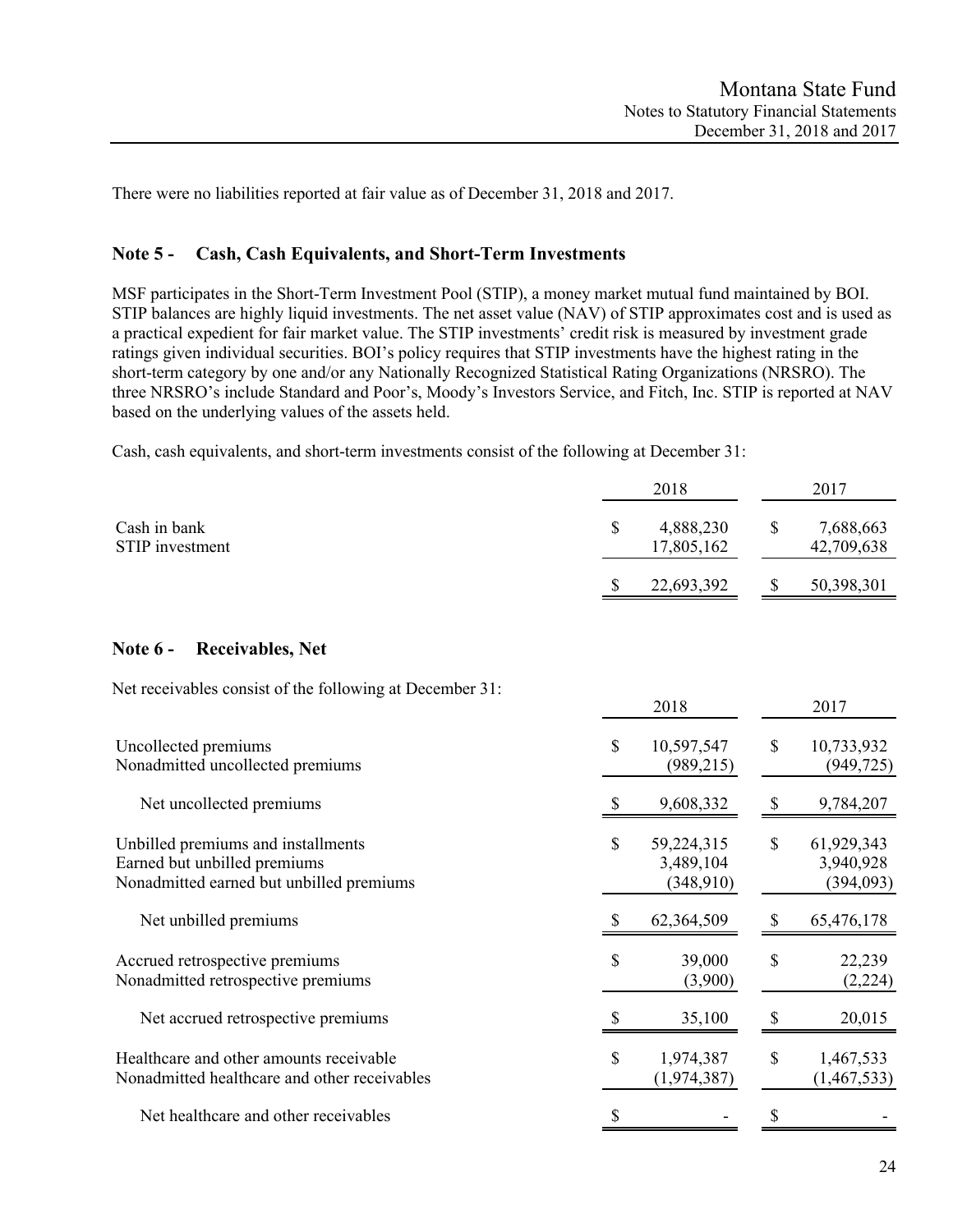There were no liabilities reported at fair value as of December 31, 2018 and 2017.

## **Note 5 - Cash, Cash Equivalents, and Short-Term Investments**

MSF participates in the Short-Term Investment Pool (STIP), a money market mutual fund maintained by BOI. STIP balances are highly liquid investments. The net asset value (NAV) of STIP approximates cost and is used as a practical expedient for fair market value. The STIP investments' credit risk is measured by investment grade ratings given individual securities. BOI's policy requires that STIP investments have the highest rating in the short-term category by one and/or any Nationally Recognized Statistical Rating Organizations (NRSRO). The three NRSRO's include Standard and Poor's, Moody's Investors Service, and Fitch, Inc. STIP is reported at NAV based on the underlying values of the assets held.

Cash, cash equivalents, and short-term investments consist of the following at December 31:

|                                                                                                                |              | 2018                                 |               | 2017                                 |
|----------------------------------------------------------------------------------------------------------------|--------------|--------------------------------------|---------------|--------------------------------------|
| Cash in bank<br>STIP investment                                                                                | \$           | 4,888,230<br>17,805,162              | \$            | 7,688,663<br>42,709,638              |
|                                                                                                                | <sup>2</sup> | 22,693,392                           | S             | 50,398,301                           |
| Note $6 -$<br><b>Receivables, Net</b>                                                                          |              |                                      |               |                                      |
| Net receivables consist of the following at December 31:                                                       |              | 2018                                 |               | 2017                                 |
| Uncollected premiums<br>Nonadmitted uncollected premiums                                                       | S            | 10,597,547<br>(989, 215)             | <sup>\$</sup> | 10,733,932<br>(949, 725)             |
| Net uncollected premiums                                                                                       | S            | 9,608,332                            | S             | 9,784,207                            |
| Unbilled premiums and installments<br>Earned but unbilled premiums<br>Nonadmitted earned but unbilled premiums | \$           | 59,224,315<br>3,489,104<br>(348,910) | S             | 61,929,343<br>3,940,928<br>(394,093) |
| Net unbilled premiums                                                                                          | $\mathbb{S}$ | 62,364,509                           | S             | 65,476,178                           |
| Accrued retrospective premiums<br>Nonadmitted retrospective premiums                                           | \$           | 39,000<br>(3,900)                    | \$            | 22,239<br>(2,224)                    |
| Net accrued retrospective premiums                                                                             | S            | 35,100                               | S             | 20,015                               |
| Healthcare and other amounts receivable<br>Nonadmitted healthcare and other receivables                        | $\mathbb{S}$ | 1,974,387<br>(1, 974, 387)           | $\mathcal{S}$ | 1,467,533<br>(1,467,533)             |
| Net healthcare and other receivables                                                                           | \$           |                                      | \$            |                                      |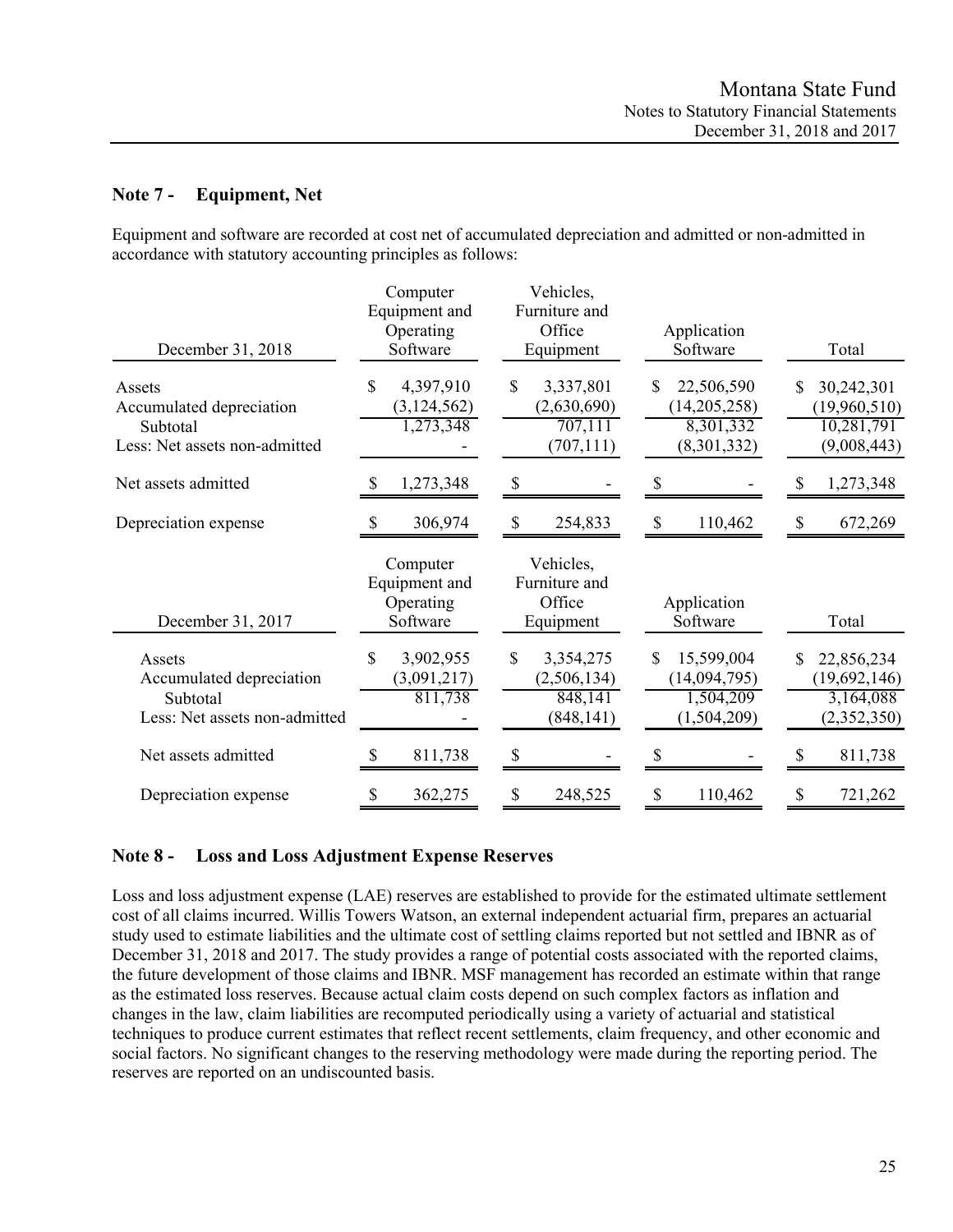# **Note 7 - Equipment, Net**

Equipment and software are recorded at cost net of accumulated depreciation and admitted or non-admitted in accordance with statutory accounting principles as follows:

| December 31, 2018                                                               | Computer<br>Equipment and<br>Operating<br>Software | Vehicles,<br>Furniture and<br>Office<br>Equipment       | Application<br>Software                                     | Total                                                         |
|---------------------------------------------------------------------------------|----------------------------------------------------|---------------------------------------------------------|-------------------------------------------------------------|---------------------------------------------------------------|
| Assets<br>Accumulated depreciation<br>Subtotal<br>Less: Net assets non-admitted | \$<br>4,397,910<br>(3, 124, 562)<br>1,273,348      | \$<br>3,337,801<br>(2,630,690)<br>707,111<br>(707, 111) | 22,506,590<br>S<br>(14,205,258)<br>8,301,332<br>(8,301,332) | \$<br>30,242,301<br>(19,960,510)<br>10,281,791<br>(9,008,443) |
| Net assets admitted                                                             | 1,273,348<br>S                                     | \$                                                      | S                                                           | 1,273,348<br>S                                                |
| Depreciation expense                                                            | 306,974<br>S                                       | \$<br>254,833                                           | $\mathbb{S}$<br>110,462                                     | 672,269<br>\$                                                 |
| December 31, 2017                                                               | Computer<br>Equipment and<br>Operating<br>Software | Vehicles,<br>Furniture and<br>Office<br>Equipment       | Application<br>Software                                     | Total                                                         |
| Assets<br>Accumulated depreciation<br>Subtotal<br>Less: Net assets non-admitted | \$<br>3,902,955<br>(3,091,217)<br>811,738          | 3,354,275<br>S<br>(2,506,134)<br>848,141<br>(848, 141)  | 15,599,004<br>S<br>(14,094,795)<br>1,504,209<br>(1,504,209) | 22,856,234<br>\$<br>(19,692,146)<br>3,164,088<br>(2,352,350)  |
| Net assets admitted                                                             | 811,738                                            |                                                         |                                                             | 811,738                                                       |
| Depreciation expense                                                            | 362,275<br>\$                                      | \$<br>248,525                                           | 110,462<br>\$                                               | 721,262<br>\$                                                 |

# **Note 8 - Loss and Loss Adjustment Expense Reserves**

Loss and loss adjustment expense (LAE) reserves are established to provide for the estimated ultimate settlement cost of all claims incurred. Willis Towers Watson, an external independent actuarial firm, prepares an actuarial study used to estimate liabilities and the ultimate cost of settling claims reported but not settled and IBNR as of December 31, 2018 and 2017. The study provides a range of potential costs associated with the reported claims, the future development of those claims and IBNR. MSF management has recorded an estimate within that range as the estimated loss reserves. Because actual claim costs depend on such complex factors as inflation and changes in the law, claim liabilities are recomputed periodically using a variety of actuarial and statistical techniques to produce current estimates that reflect recent settlements, claim frequency, and other economic and social factors. No significant changes to the reserving methodology were made during the reporting period. The reserves are reported on an undiscounted basis.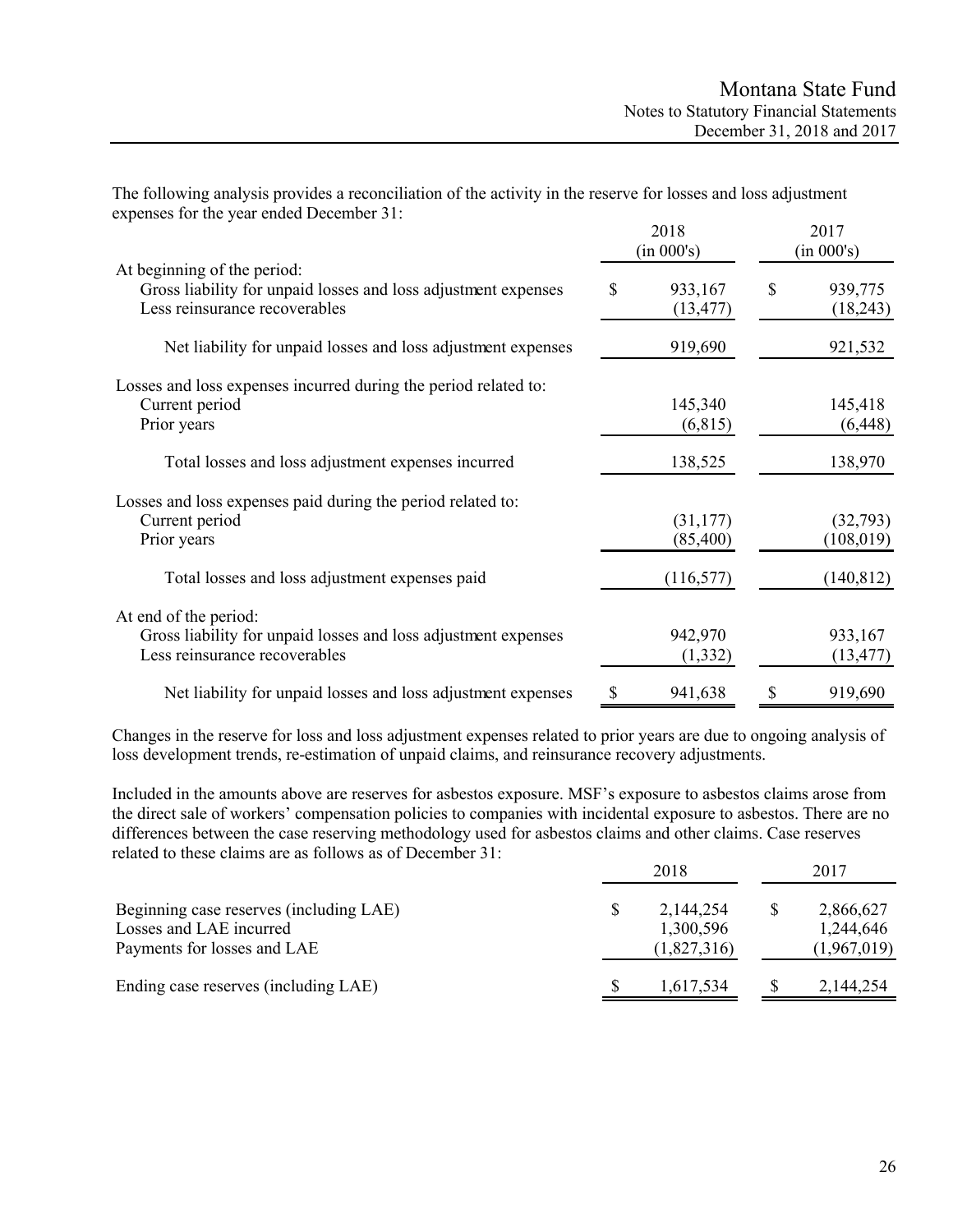The following analysis provides a reconciliation of the activity in the reserve for losses and loss adjustment expenses for the year ended December 31:

|                                                                                                                                | 2018<br>(in 000's)         | 2017<br>(in 000's)        |
|--------------------------------------------------------------------------------------------------------------------------------|----------------------------|---------------------------|
| At beginning of the period:<br>Gross liability for unpaid losses and loss adjustment expenses<br>Less reinsurance recoverables | \$<br>933,167<br>(13, 477) | \$<br>939,775<br>(18,243) |
| Net liability for unpaid losses and loss adjustment expenses                                                                   | 919,690                    | 921,532                   |
| Losses and loss expenses incurred during the period related to:<br>Current period<br>Prior years                               | 145,340<br>(6,815)         | 145,418<br>(6, 448)       |
| Total losses and loss adjustment expenses incurred                                                                             | 138,525                    | 138,970                   |
| Losses and loss expenses paid during the period related to:<br>Current period<br>Prior years                                   | (31, 177)<br>(85,400)      | (32,793)<br>(108, 019)    |
| Total losses and loss adjustment expenses paid                                                                                 | (116, 577)                 | (140, 812)                |
| At end of the period:<br>Gross liability for unpaid losses and loss adjustment expenses<br>Less reinsurance recoverables       | 942,970<br>(1, 332)        | 933,167<br>(13, 477)      |
| Net liability for unpaid losses and loss adjustment expenses                                                                   | 941,638                    | 919,690                   |

Changes in the reserve for loss and loss adjustment expenses related to prior years are due to ongoing analysis of loss development trends, re-estimation of unpaid claims, and reinsurance recovery adjustments.

Included in the amounts above are reserves for asbestos exposure. MSF's exposure to asbestos claims arose from the direct sale of workers' compensation policies to companies with incidental exposure to asbestos. There are no differences between the case reserving methodology used for asbestos claims and other claims. Case reserves related to these claims are as follows as of December 31:

|                                                                                                   | 2018                                  | 2017                                  |
|---------------------------------------------------------------------------------------------------|---------------------------------------|---------------------------------------|
| Beginning case reserves (including LAE)<br>Losses and LAE incurred<br>Payments for losses and LAE | 2,144,254<br>1,300,596<br>(1,827,316) | 2,866,627<br>1,244,646<br>(1,967,019) |
| Ending case reserves (including LAE)                                                              | 1,617,534                             | 2,144,254                             |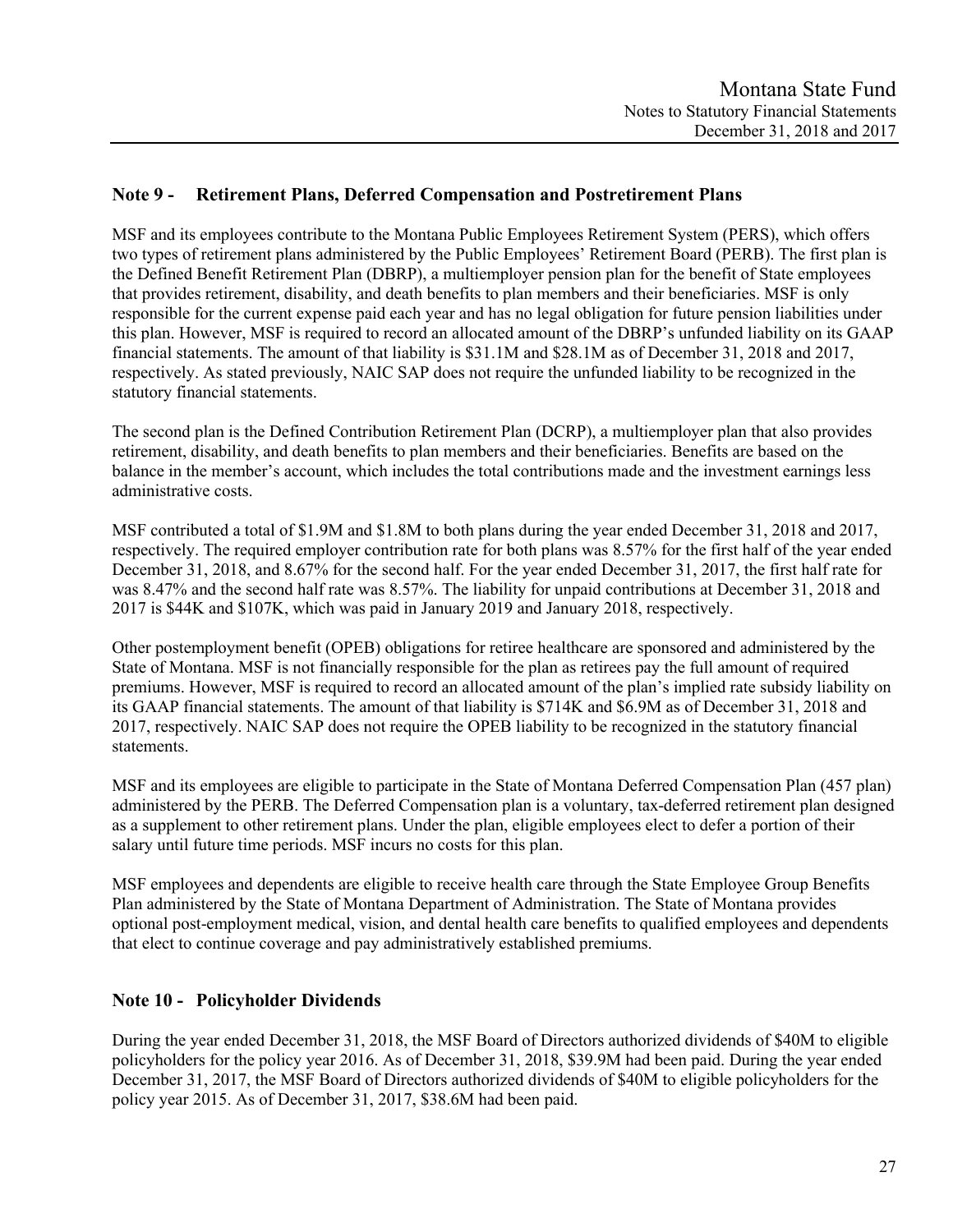# **Note 9 - Retirement Plans, Deferred Compensation and Postretirement Plans**

MSF and its employees contribute to the Montana Public Employees Retirement System (PERS), which offers two types of retirement plans administered by the Public Employees' Retirement Board (PERB). The first plan is the Defined Benefit Retirement Plan (DBRP), a multiemployer pension plan for the benefit of State employees that provides retirement, disability, and death benefits to plan members and their beneficiaries. MSF is only responsible for the current expense paid each year and has no legal obligation for future pension liabilities under this plan. However, MSF is required to record an allocated amount of the DBRP's unfunded liability on its GAAP financial statements. The amount of that liability is \$31.1M and \$28.1M as of December 31, 2018 and 2017, respectively. As stated previously, NAIC SAP does not require the unfunded liability to be recognized in the statutory financial statements.

The second plan is the Defined Contribution Retirement Plan (DCRP), a multiemployer plan that also provides retirement, disability, and death benefits to plan members and their beneficiaries. Benefits are based on the balance in the member's account, which includes the total contributions made and the investment earnings less administrative costs.

MSF contributed a total of \$1.9M and \$1.8M to both plans during the year ended December 31, 2018 and 2017, respectively. The required employer contribution rate for both plans was 8.57% for the first half of the year ended December 31, 2018, and 8.67% for the second half. For the year ended December 31, 2017, the first half rate for was 8.47% and the second half rate was 8.57%. The liability for unpaid contributions at December 31, 2018 and 2017 is \$44K and \$107K, which was paid in January 2019 and January 2018, respectively.

Other postemployment benefit (OPEB) obligations for retiree healthcare are sponsored and administered by the State of Montana. MSF is not financially responsible for the plan as retirees pay the full amount of required premiums. However, MSF is required to record an allocated amount of the plan's implied rate subsidy liability on its GAAP financial statements. The amount of that liability is \$714K and \$6.9M as of December 31, 2018 and 2017, respectively. NAIC SAP does not require the OPEB liability to be recognized in the statutory financial statements.

MSF and its employees are eligible to participate in the State of Montana Deferred Compensation Plan (457 plan) administered by the PERB. The Deferred Compensation plan is a voluntary, tax-deferred retirement plan designed as a supplement to other retirement plans. Under the plan, eligible employees elect to defer a portion of their salary until future time periods. MSF incurs no costs for this plan.

MSF employees and dependents are eligible to receive health care through the State Employee Group Benefits Plan administered by the State of Montana Department of Administration. The State of Montana provides optional post-employment medical, vision, and dental health care benefits to qualified employees and dependents that elect to continue coverage and pay administratively established premiums.

# **Note 10 - Policyholder Dividends**

During the year ended December 31, 2018, the MSF Board of Directors authorized dividends of \$40M to eligible policyholders for the policy year 2016. As of December 31, 2018, \$39.9M had been paid. During the year ended December 31, 2017, the MSF Board of Directors authorized dividends of \$40M to eligible policyholders for the policy year 2015. As of December 31, 2017, \$38.6M had been paid.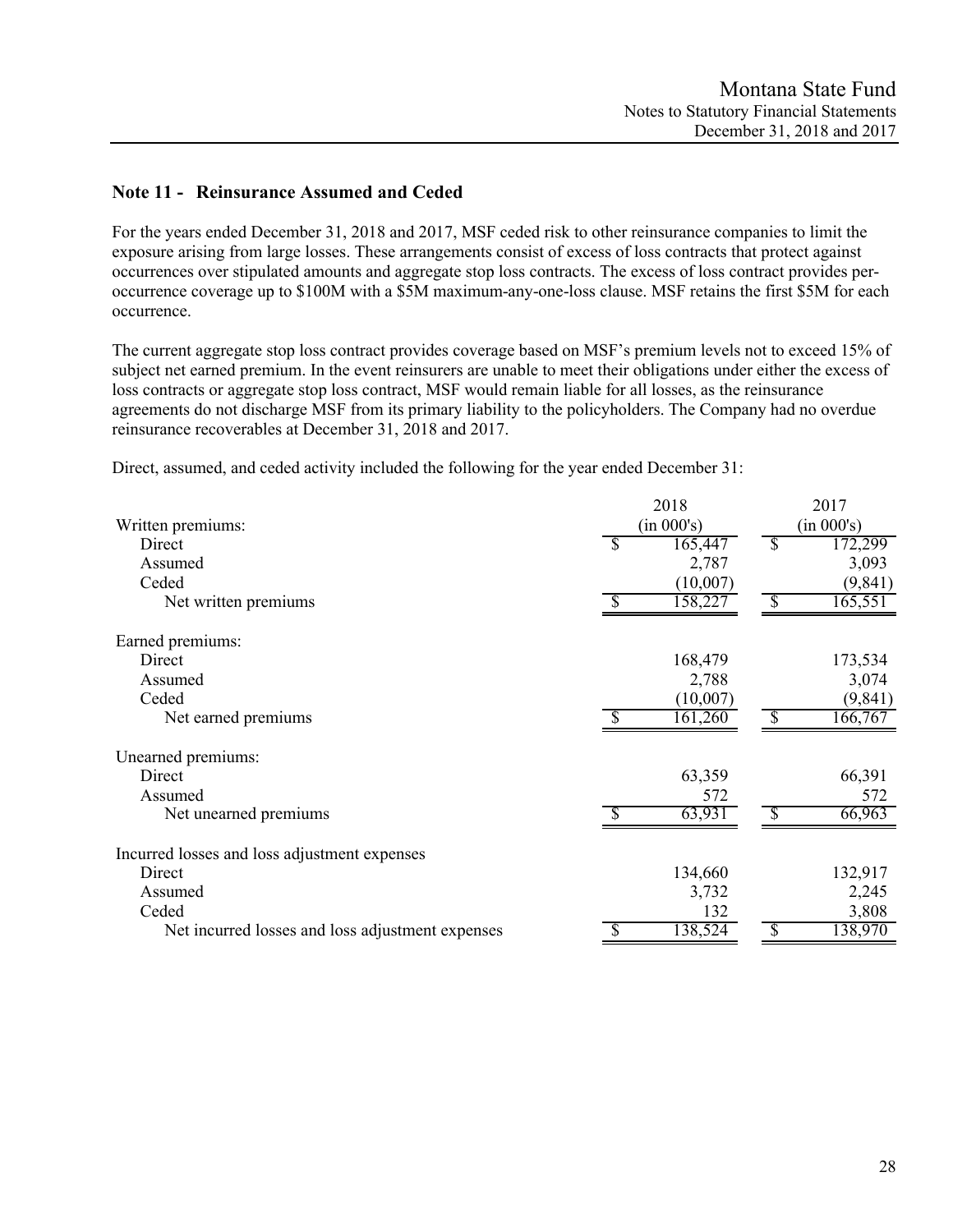# **Note 11 - Reinsurance Assumed and Ceded**

For the years ended December 31, 2018 and 2017, MSF ceded risk to other reinsurance companies to limit the exposure arising from large losses. These arrangements consist of excess of loss contracts that protect against occurrences over stipulated amounts and aggregate stop loss contracts. The excess of loss contract provides peroccurrence coverage up to \$100M with a \$5M maximum-any-one-loss clause. MSF retains the first \$5M for each occurrence.

The current aggregate stop loss contract provides coverage based on MSF's premium levels not to exceed 15% of subject net earned premium. In the event reinsurers are unable to meet their obligations under either the excess of loss contracts or aggregate stop loss contract, MSF would remain liable for all losses, as the reinsurance agreements do not discharge MSF from its primary liability to the policyholders. The Company had no overdue reinsurance recoverables at December 31, 2018 and 2017.

Direct, assumed, and ceded activity included the following for the year ended December 31:

|                                                  | 2018          | 2017          |
|--------------------------------------------------|---------------|---------------|
| Written premiums:                                | (in 000's)    | (in 000's)    |
| Direct                                           | 165,447<br>-S | 172,299<br>S  |
| Assumed                                          | 2,787         | 3,093         |
| Ceded                                            | (10,007)      | (9, 841)      |
| Net written premiums                             | 158,227       | S<br>165,551  |
| Earned premiums:                                 |               |               |
| Direct                                           | 168,479       | 173,534       |
| Assumed                                          | 2,788         | 3,074         |
| Ceded                                            | (10,007)      | (9, 841)      |
| Net earned premiums                              | 161,260       | 166,767<br>-8 |
| Unearned premiums:                               |               |               |
| Direct                                           | 63,359        | 66,391        |
| Assumed                                          | 572           | 572           |
| Net unearned premiums                            | 63,931        | 66,963<br>-S  |
| Incurred losses and loss adjustment expenses     |               |               |
| Direct                                           | 134,660       | 132,917       |
| Assumed                                          | 3,732         | 2,245         |
| Ceded                                            | 132           | 3,808         |
| Net incurred losses and loss adjustment expenses | 138,524       | 138,970       |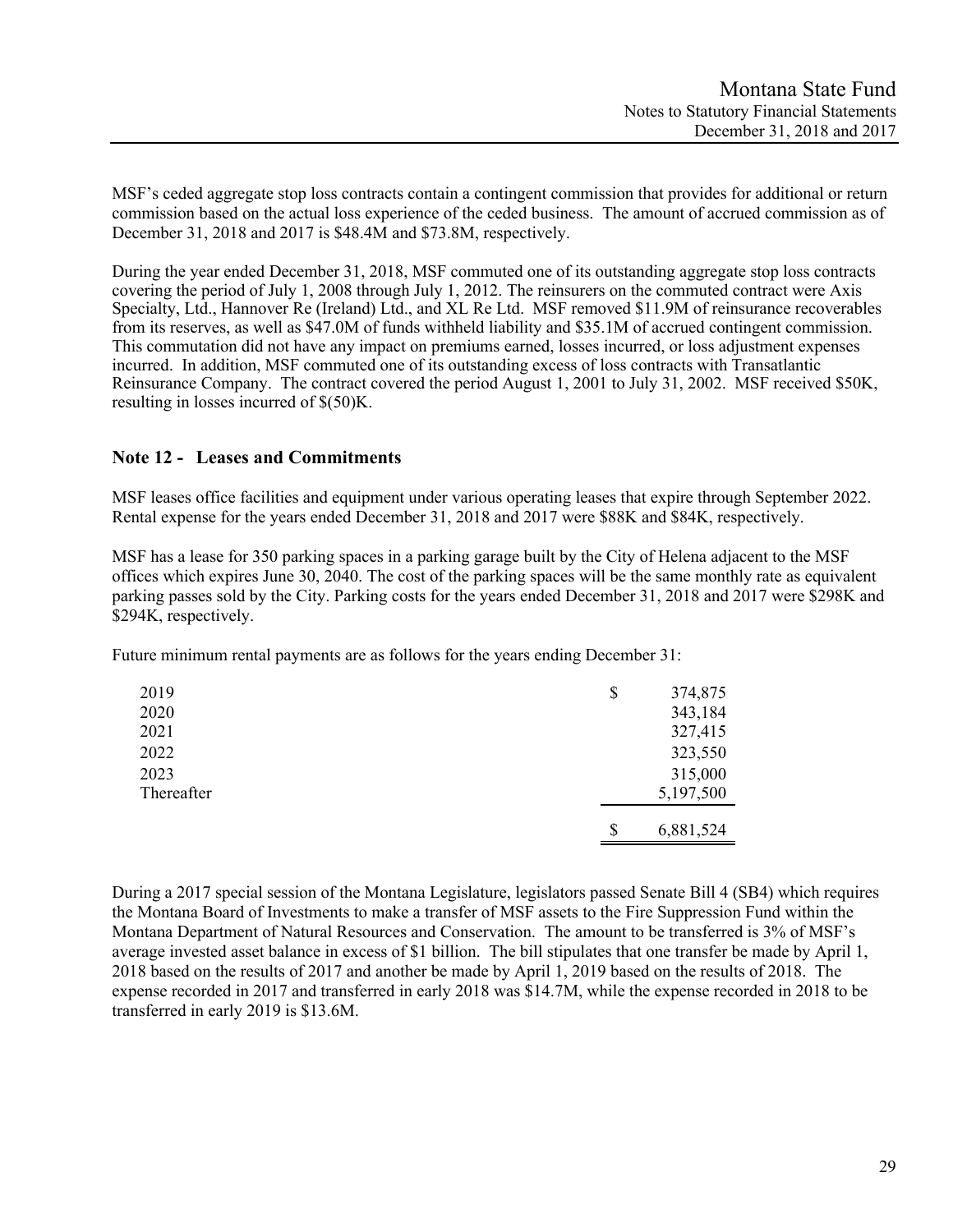MSF's ceded aggregate stop loss contracts contain a contingent commission that provides for additional or return commission based on the actual loss experience of the ceded business. The amount of accrued commission as of December 31, 2018 and 2017 is \$48.4M and \$73.8M, respectively.

During the year ended December 31, 2018, MSF commuted one of its outstanding aggregate stop loss contracts covering the period of July 1, 2008 through July 1, 2012. The reinsurers on the commuted contract were Axis Specialty, Ltd., Hannover Re (Ireland) Ltd., and XL Re Ltd. MSF removed \$11.9M of reinsurance recoverables from its reserves, as well as \$47.0M of funds withheld liability and \$35.1M of accrued contingent commission. This commutation did not have any impact on premiums earned, losses incurred, or loss adjustment expenses incurred. In addition, MSF commuted one of its outstanding excess of loss contracts with Transatlantic Reinsurance Company. The contract covered the period August 1, 2001 to July 31, 2002. MSF received \$50K, resulting in losses incurred of \$(50)K.

# **Note 12 - Leases and Commitments**

MSF leases office facilities and equipment under various operating leases that expire through September 2022. Rental expense for the years ended December 31, 2018 and 2017 were \$88K and \$84K, respectively.

MSF has a lease for 350 parking spaces in a parking garage built by the City of Helena adjacent to the MSF offices which expires June 30, 2040. The cost of the parking spaces will be the same monthly rate as equivalent parking passes sold by the City. Parking costs for the years ended December 31, 2018 and 2017 were \$298K and \$294K, respectively.

Future minimum rental payments are as follows for the years ending December 31:

| 2019       | \$<br>374,875   |
|------------|-----------------|
| 2020       | 343,184         |
| 2021       | 327,415         |
| 2022       | 323,550         |
| 2023       | 315,000         |
| Thereafter | 5,197,500       |
|            | \$<br>6,881,524 |

During a 2017 special session of the Montana Legislature, legislators passed Senate Bill 4 (SB4) which requires the Montana Board of Investments to make a transfer of MSF assets to the Fire Suppression Fund within the Montana Department of Natural Resources and Conservation. The amount to be transferred is 3% of MSF's average invested asset balance in excess of \$1 billion. The bill stipulates that one transfer be made by April 1, 2018 based on the results of 2017 and another be made by April 1, 2019 based on the results of 2018. The expense recorded in 2017 and transferred in early 2018 was \$14.7M, while the expense recorded in 2018 to be transferred in early 2019 is \$13.6M.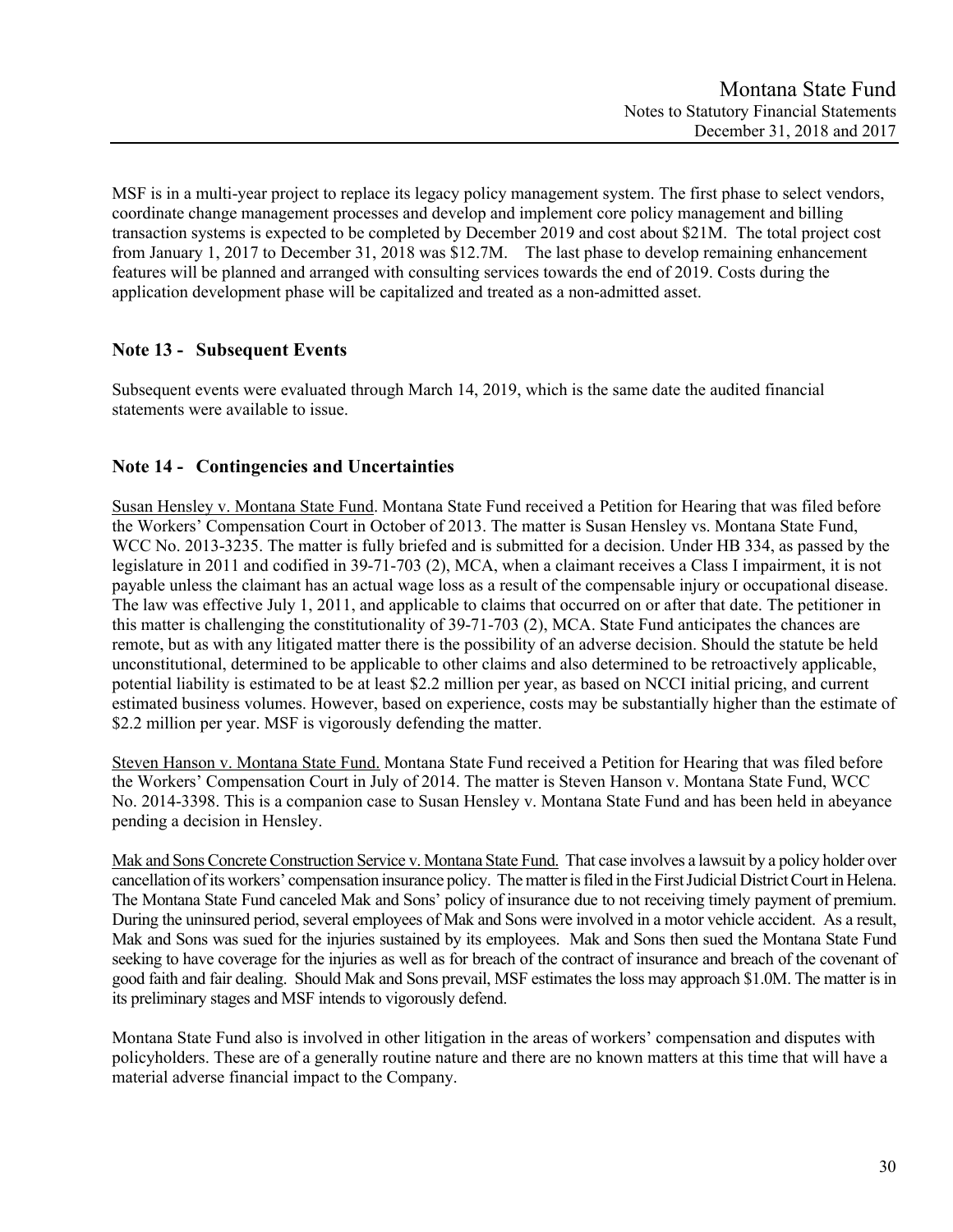MSF is in a multi-year project to replace its legacy policy management system. The first phase to select vendors, coordinate change management processes and develop and implement core policy management and billing transaction systems is expected to be completed by December 2019 and cost about \$21M. The total project cost from January 1, 2017 to December 31, 2018 was \$12.7M. The last phase to develop remaining enhancement features will be planned and arranged with consulting services towards the end of 2019. Costs during the application development phase will be capitalized and treated as a non-admitted asset.

# **Note 13 - Subsequent Events**

Subsequent events were evaluated through March 14, 2019, which is the same date the audited financial statements were available to issue.

# **Note 14 - Contingencies and Uncertainties**

Susan Hensley v. Montana State Fund. Montana State Fund received a Petition for Hearing that was filed before the Workers' Compensation Court in October of 2013. The matter is Susan Hensley vs. Montana State Fund, WCC No. 2013-3235. The matter is fully briefed and is submitted for a decision. Under HB 334, as passed by the legislature in 2011 and codified in 39-71-703 (2), MCA, when a claimant receives a Class I impairment, it is not payable unless the claimant has an actual wage loss as a result of the compensable injury or occupational disease. The law was effective July 1, 2011, and applicable to claims that occurred on or after that date. The petitioner in this matter is challenging the constitutionality of 39-71-703 (2), MCA. State Fund anticipates the chances are remote, but as with any litigated matter there is the possibility of an adverse decision. Should the statute be held unconstitutional, determined to be applicable to other claims and also determined to be retroactively applicable, potential liability is estimated to be at least \$2.2 million per year, as based on NCCI initial pricing, and current estimated business volumes. However, based on experience, costs may be substantially higher than the estimate of \$2.2 million per year. MSF is vigorously defending the matter.

Steven Hanson v. Montana State Fund. Montana State Fund received a Petition for Hearing that was filed before the Workers' Compensation Court in July of 2014. The matter is Steven Hanson v. Montana State Fund, WCC No. 2014-3398. This is a companion case to Susan Hensley v. Montana State Fund and has been held in abeyance pending a decision in Hensley.

Mak and Sons Concrete Construction Service v. Montana State Fund. That case involves a lawsuit by a policy holder over cancellation of its workers' compensation insurance policy. The matter is filed in the First Judicial District Court in Helena. The Montana State Fund canceled Mak and Sons' policy of insurance due to not receiving timely payment of premium. During the uninsured period, several employees of Mak and Sons were involved in a motor vehicle accident. As a result, Mak and Sons was sued for the injuries sustained by its employees. Mak and Sons then sued the Montana State Fund seeking to have coverage for the injuries as well as for breach of the contract of insurance and breach of the covenant of good faith and fair dealing. Should Mak and Sons prevail, MSF estimates the loss may approach \$1.0M. The matter is in its preliminary stages and MSF intends to vigorously defend.

Montana State Fund also is involved in other litigation in the areas of workers' compensation and disputes with policyholders. These are of a generally routine nature and there are no known matters at this time that will have a material adverse financial impact to the Company.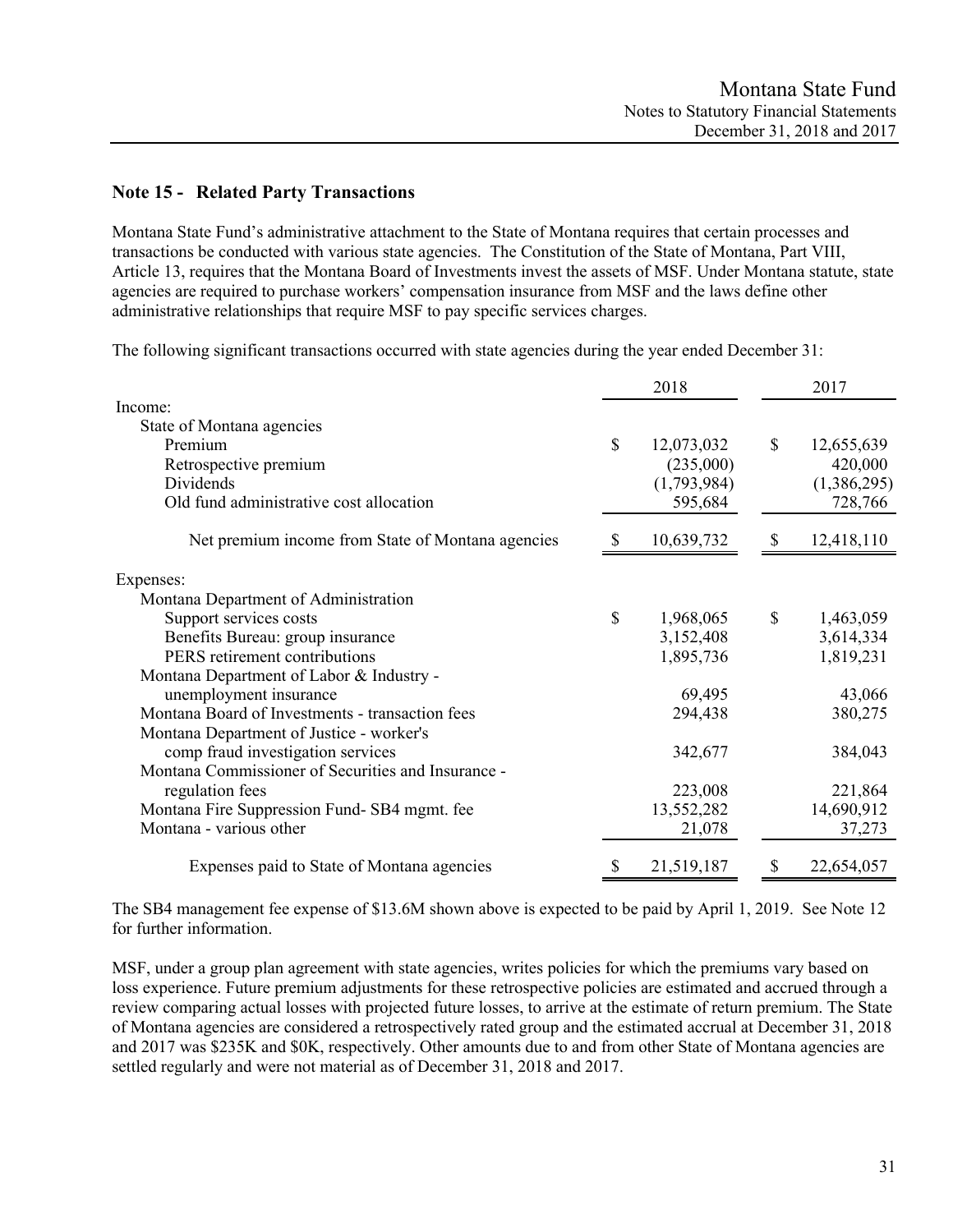# **Note 15 - Related Party Transactions**

Montana State Fund's administrative attachment to the State of Montana requires that certain processes and transactions be conducted with various state agencies. The Constitution of the State of Montana, Part VIII, Article 13, requires that the Montana Board of Investments invest the assets of MSF. Under Montana statute, state agencies are required to purchase workers' compensation insurance from MSF and the laws define other administrative relationships that require MSF to pay specific services charges.

The following significant transactions occurred with state agencies during the year ended December 31:

|                                                    |    | 2018        |               | 2017        |
|----------------------------------------------------|----|-------------|---------------|-------------|
| Income:                                            |    |             |               |             |
| State of Montana agencies                          |    |             |               |             |
| Premium                                            | \$ | 12,073,032  | \$            | 12,655,639  |
| Retrospective premium                              |    | (235,000)   |               | 420,000     |
| Dividends                                          |    | (1,793,984) |               | (1,386,295) |
| Old fund administrative cost allocation            |    | 595,684     |               | 728,766     |
| Net premium income from State of Montana agencies  |    | 10,639,732  |               | 12,418,110  |
| Expenses:                                          |    |             |               |             |
| Montana Department of Administration               |    |             |               |             |
| Support services costs                             | \$ | 1,968,065   | \$            | 1,463,059   |
| Benefits Bureau: group insurance                   |    | 3,152,408   |               | 3,614,334   |
| PERS retirement contributions                      |    | 1,895,736   |               | 1,819,231   |
| Montana Department of Labor & Industry -           |    |             |               |             |
| unemployment insurance                             |    | 69,495      |               | 43,066      |
| Montana Board of Investments - transaction fees    |    | 294,438     |               | 380,275     |
| Montana Department of Justice - worker's           |    |             |               |             |
| comp fraud investigation services                  |    | 342,677     |               | 384,043     |
| Montana Commissioner of Securities and Insurance - |    |             |               |             |
| regulation fees                                    |    | 223,008     |               | 221,864     |
| Montana Fire Suppression Fund-SB4 mgmt. fee        |    | 13,552,282  |               | 14,690,912  |
| Montana - various other                            |    | 21,078      |               | 37,273      |
| Expenses paid to State of Montana agencies         | S  | 21,519,187  | $\mathcal{P}$ | 22,654,057  |

The SB4 management fee expense of \$13.6M shown above is expected to be paid by April 1, 2019. See Note 12 for further information.

MSF, under a group plan agreement with state agencies, writes policies for which the premiums vary based on loss experience. Future premium adjustments for these retrospective policies are estimated and accrued through a review comparing actual losses with projected future losses, to arrive at the estimate of return premium. The State of Montana agencies are considered a retrospectively rated group and the estimated accrual at December 31, 2018 and 2017 was \$235K and \$0K, respectively. Other amounts due to and from other State of Montana agencies are settled regularly and were not material as of December 31, 2018 and 2017.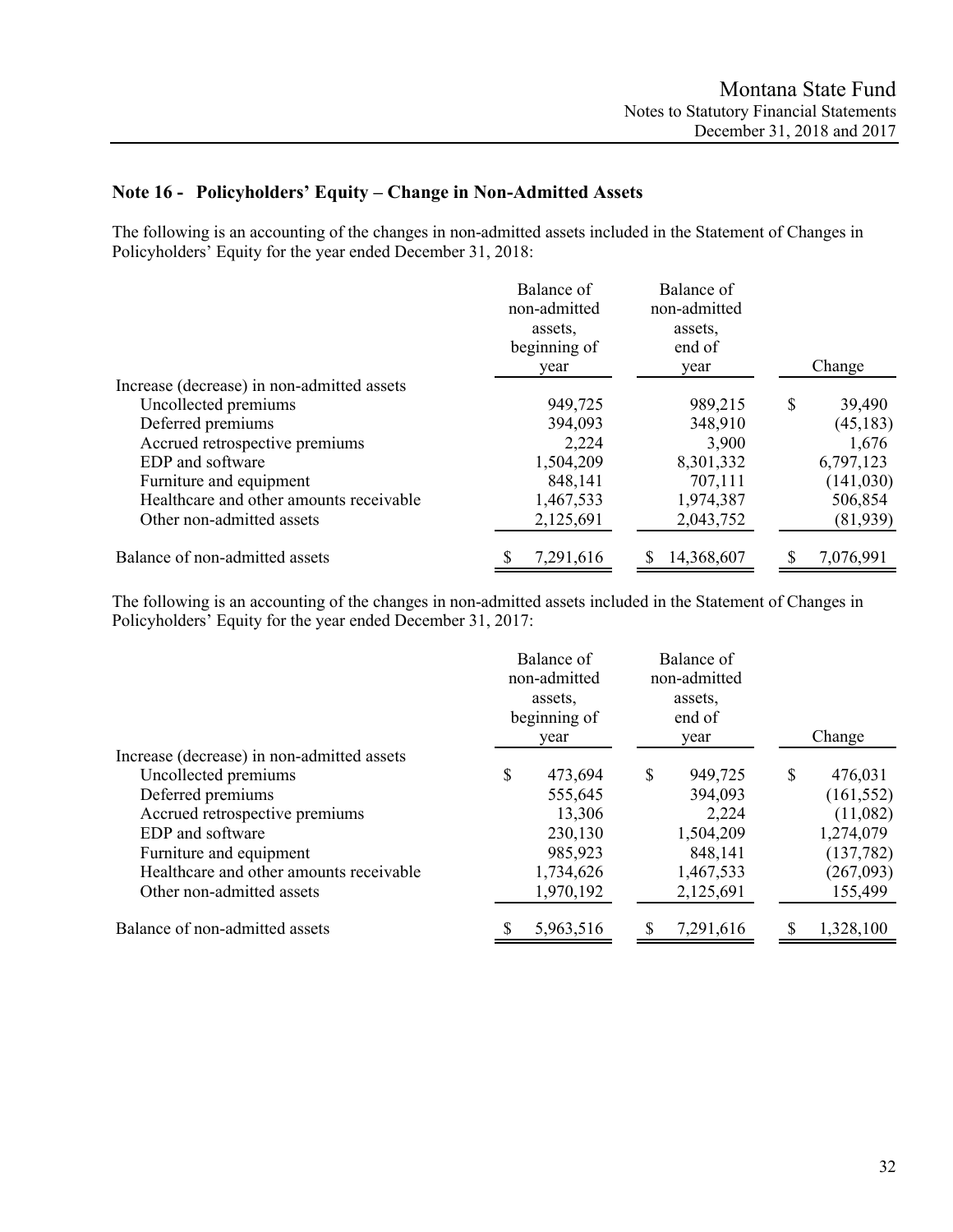# **Note 16 - Policyholders' Equity – Change in Non-Admitted Assets**

The following is an accounting of the changes in non-admitted assets included in the Statement of Changes in Policyholders' Equity for the year ended December 31, 2018:

|                                            | Balance of<br>non-admitted<br>assets.<br>beginning of<br>year | Balance of<br>non-admitted<br>assets.<br>end of<br>year | Change       |
|--------------------------------------------|---------------------------------------------------------------|---------------------------------------------------------|--------------|
| Increase (decrease) in non-admitted assets |                                                               |                                                         |              |
| Uncollected premiums                       | 949,725                                                       | 989,215                                                 | \$<br>39,490 |
| Deferred premiums                          | 394,093                                                       | 348,910                                                 | (45, 183)    |
| Accrued retrospective premiums             | 2,224                                                         | 3,900                                                   | 1,676        |
| EDP and software                           | 1,504,209                                                     | 8,301,332                                               | 6,797,123    |
| Furniture and equipment                    | 848,141                                                       | 707,111                                                 | (141, 030)   |
| Healthcare and other amounts receivable    | 1,467,533                                                     | 1,974,387                                               | 506,854      |
| Other non-admitted assets                  | 2,125,691                                                     | 2,043,752                                               | (81,939)     |
| Balance of non-admitted assets             | 7,291,616                                                     | 14,368,607                                              | 7,076,991    |

The following is an accounting of the changes in non-admitted assets included in the Statement of Changes in Policyholders' Equity for the year ended December 31, 2017:

|                                            | Balance of<br>non-admitted<br>assets.<br>beginning of<br>year |           |          | Balance of<br>non-admitted<br>assets,<br>end of<br>year |   | Change     |
|--------------------------------------------|---------------------------------------------------------------|-----------|----------|---------------------------------------------------------|---|------------|
| Increase (decrease) in non-admitted assets |                                                               |           |          |                                                         |   |            |
| Uncollected premiums                       | \$                                                            | 473,694   | <b>S</b> | 949,725                                                 | S | 476,031    |
| Deferred premiums                          |                                                               | 555,645   |          | 394,093                                                 |   | (161, 552) |
| Accrued retrospective premiums             |                                                               | 13,306    |          | 2,224                                                   |   | (11,082)   |
| EDP and software                           |                                                               | 230,130   |          | 1,504,209                                               |   | 1,274,079  |
| Furniture and equipment                    |                                                               | 985,923   |          | 848,141                                                 |   | (137, 782) |
| Healthcare and other amounts receivable    |                                                               | 1,734,626 |          | 1,467,533                                               |   | (267,093)  |
| Other non-admitted assets                  |                                                               | 1,970,192 |          | 2,125,691                                               |   | 155,499    |
| Balance of non-admitted assets             |                                                               | 5,963,516 |          | 7,291,616                                               |   | 1,328,100  |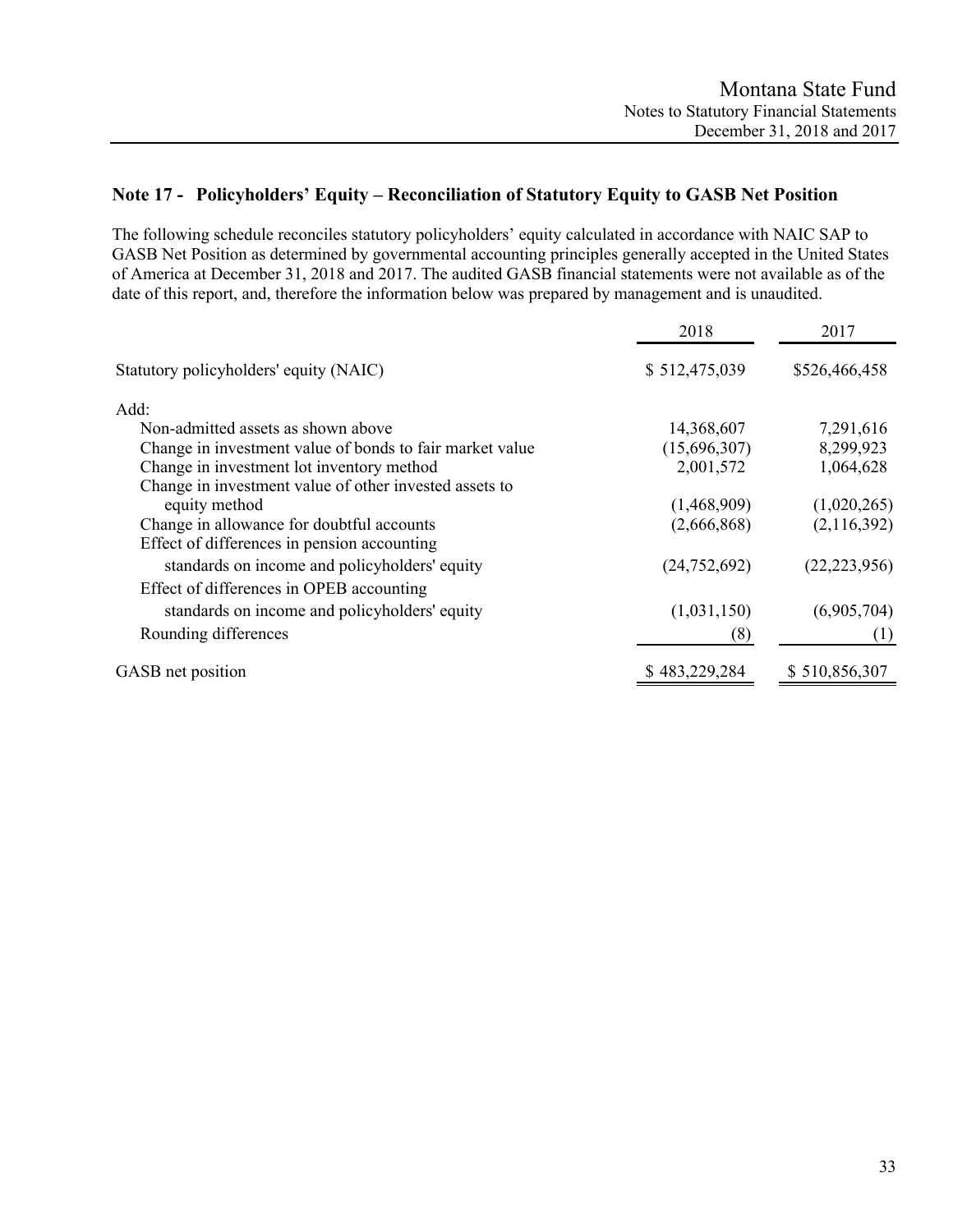# **Note 17 - Policyholders' Equity – Reconciliation of Statutory Equity to GASB Net Position**

The following schedule reconciles statutory policyholders' equity calculated in accordance with NAIC SAP to GASB Net Position as determined by governmental accounting principles generally accepted in the United States of America at December 31, 2018 and 2017. The audited GASB financial statements were not available as of the date of this report, and, therefore the information below was prepared by management and is unaudited.

| 2018          | 2017                                 |
|---------------|--------------------------------------|
| \$512,475,039 | \$526,466,458                        |
|               |                                      |
| 14,368,607    | 7,291,616                            |
| (15,696,307)  | 8,299,923                            |
| 2,001,572     | 1,064,628                            |
|               |                                      |
| (1,468,909)   | (1,020,265)                          |
| (2,666,868)   | (2,116,392)                          |
|               |                                      |
|               | (22, 223, 956)                       |
|               |                                      |
|               | (6,905,704)                          |
|               |                                      |
|               | (1)                                  |
| \$483,229,284 | \$510,856,307                        |
|               | (24, 752, 692)<br>(1,031,150)<br>(8) |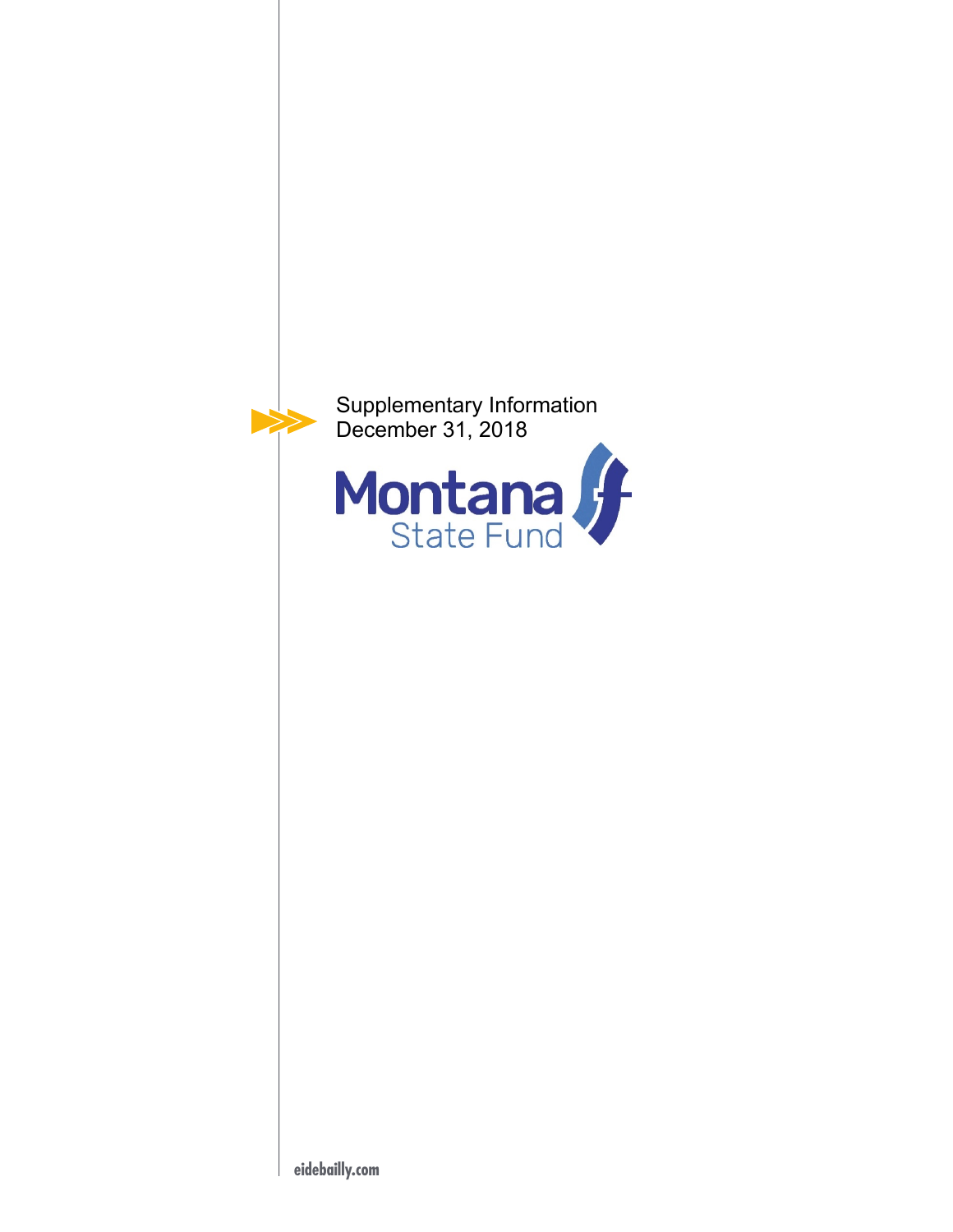

**eidebailly.com**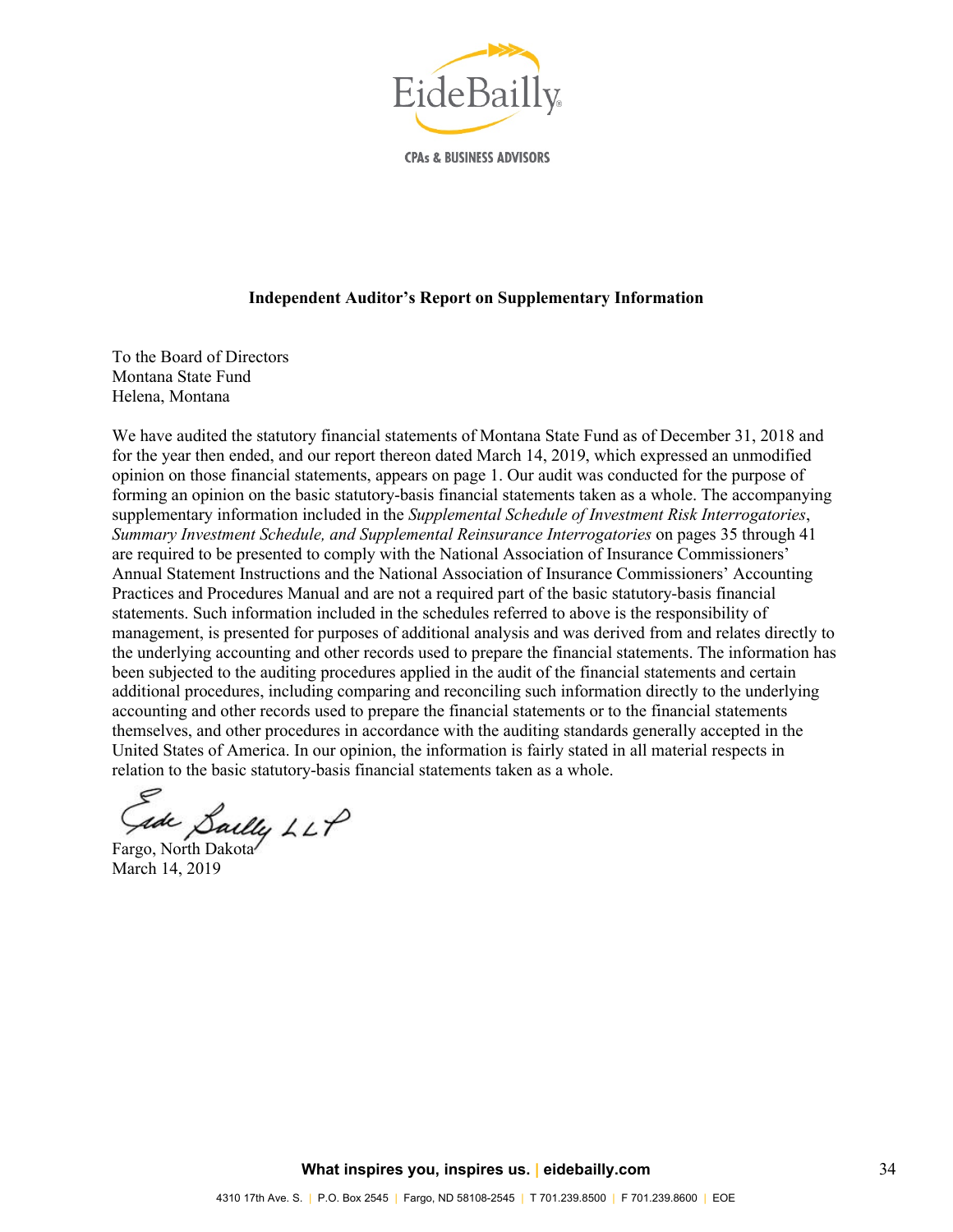

**CPAs & BUSINESS ADVISORS** 

#### **Independent Auditor's Report on Supplementary Information**

To the Board of Directors Montana State Fund Helena, Montana

We have audited the statutory financial statements of Montana State Fund as of December 31, 2018 and for the year then ended, and our report thereon dated March 14, 2019, which expressed an unmodified opinion on those financial statements, appears on page 1. Our audit was conducted for the purpose of forming an opinion on the basic statutory-basis financial statements taken as a whole. The accompanying supplementary information included in the *Supplemental Schedule of Investment Risk Interrogatories*, *Summary Investment Schedule, and Supplemental Reinsurance Interrogatories* on pages 35 through 41 are required to be presented to comply with the National Association of Insurance Commissioners' Annual Statement Instructions and the National Association of Insurance Commissioners' Accounting Practices and Procedures Manual and are not a required part of the basic statutory-basis financial statements. Such information included in the schedules referred to above is the responsibility of management, is presented for purposes of additional analysis and was derived from and relates directly to the underlying accounting and other records used to prepare the financial statements. The information has been subjected to the auditing procedures applied in the audit of the financial statements and certain additional procedures, including comparing and reconciling such information directly to the underlying accounting and other records used to prepare the financial statements or to the financial statements themselves, and other procedures in accordance with the auditing standards generally accepted in the United States of America. In our opinion, the information is fairly stated in all material respects in relation to the basic statutory-basis financial statements taken as a whole.

Gade Sailly LLP

March 14, 2019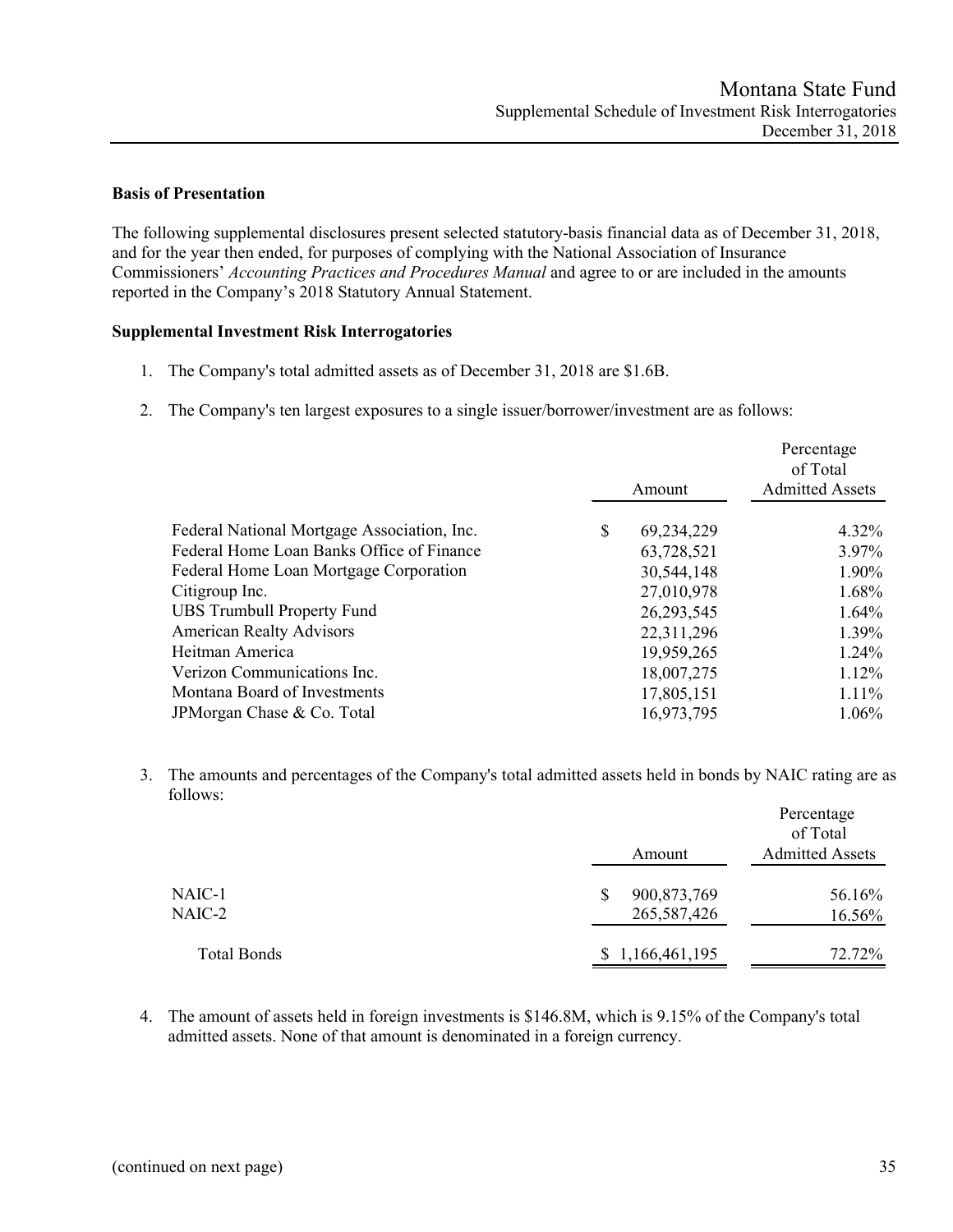### **Basis of Presentation**

The following supplemental disclosures present selected statutory-basis financial data as of December 31, 2018, and for the year then ended, for purposes of complying with the National Association of Insurance Commissioners' *Accounting Practices and Procedures Manual* and agree to or are included in the amounts reported in the Company's 2018 Statutory Annual Statement.

#### **Supplemental Investment Risk Interrogatories**

- 1. The Company's total admitted assets as of December 31, 2018 are \$1.6B.
- 2. The Company's ten largest exposures to a single issuer/borrower/investment are as follows:

|                                             |                  | Percentage<br>of Total |
|---------------------------------------------|------------------|------------------------|
|                                             | Amount           | <b>Admitted Assets</b> |
| Federal National Mortgage Association, Inc. | \$<br>69,234,229 | $4.32\%$               |
| Federal Home Loan Banks Office of Finance   | 63,728,521       | 3.97%                  |
| Federal Home Loan Mortgage Corporation      | 30,544,148       | 1.90%                  |
| Citigroup Inc.                              | 27,010,978       | 1.68%                  |
| <b>UBS Trumbull Property Fund</b>           | 26,293,545       | 1.64%                  |
| <b>American Realty Advisors</b>             | 22,311,296       | 1.39%                  |
| Heitman America                             | 19,959,265       | 1.24%                  |
| Verizon Communications Inc.                 | 18,007,275       | 1.12%                  |
| Montana Board of Investments                | 17,805,151       | $1.11\%$               |
| JPMorgan Chase & Co. Total                  | 16,973,795       | $1.06\%$               |

3. The amounts and percentages of the Company's total admitted assets held in bonds by NAIC rating are as follows:

|                  | Amount                     | Percentage<br>of Total<br><b>Admitted Assets</b> |
|------------------|----------------------------|--------------------------------------------------|
| NAIC-1<br>NAIC-2 | 900,873,769<br>265,587,426 | 56.16%<br>16.56%                                 |
| Total Bonds      | \$1,166,461,195            | 72.72%                                           |

4. The amount of assets held in foreign investments is \$146.8M, which is 9.15% of the Company's total admitted assets. None of that amount is denominated in a foreign currency.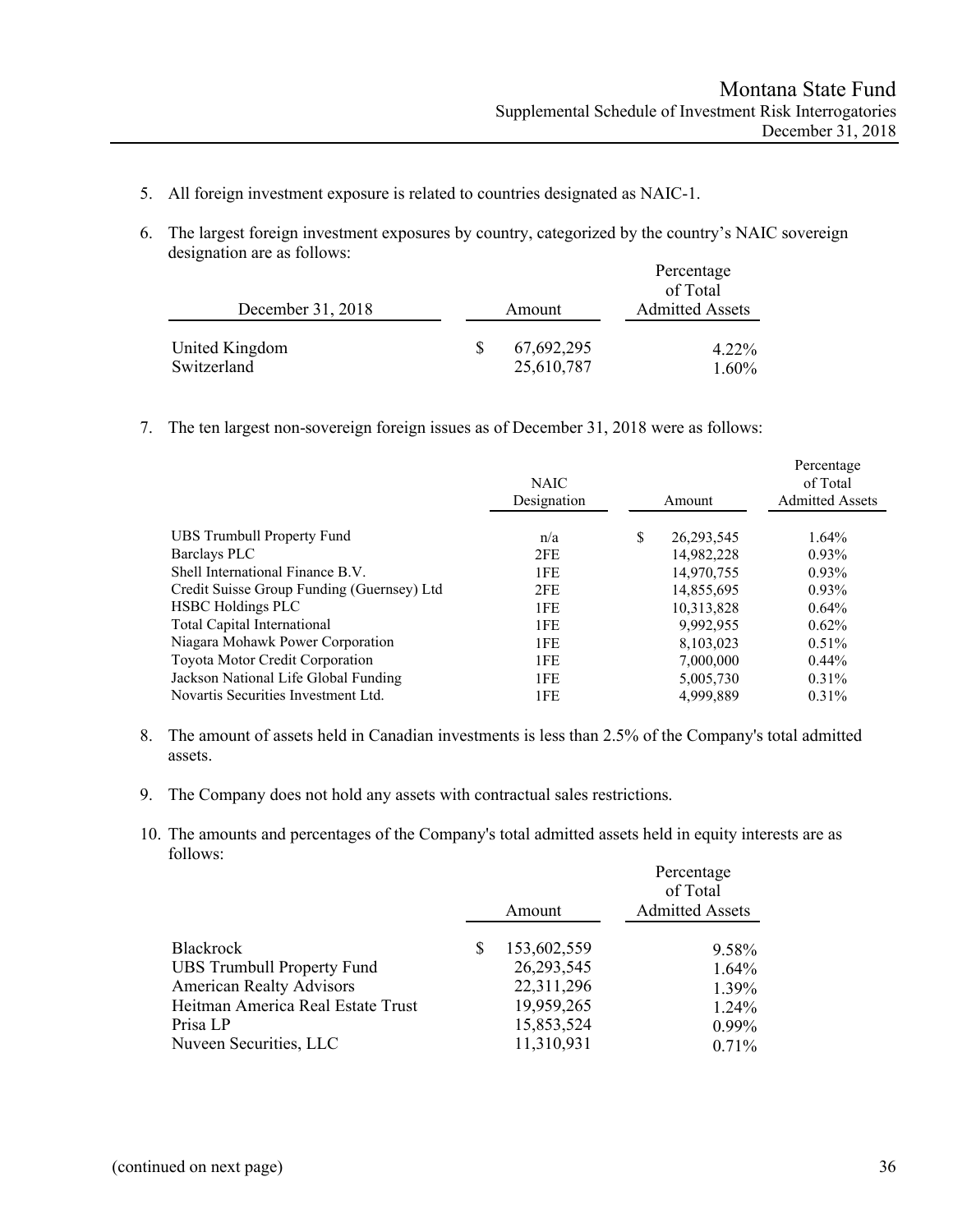- 5. All foreign investment exposure is related to countries designated as NAIC-1.
- 6. The largest foreign investment exposures by country, categorized by the country's NAIC sovereign designation are as follows:

|                               |                          | Percentage<br>of Total |
|-------------------------------|--------------------------|------------------------|
| December 31, 2018             | Amount                   | <b>Admitted Assets</b> |
| United Kingdom<br>Switzerland | 67,692,295<br>25,610,787 | $4.22\%$<br>$1.60\%$   |

7. The ten largest non-sovereign foreign issues as of December 31, 2018 were as follows:

|                                            | <b>NAIC</b><br>Designation |    | Amount       | Percentage<br>of Total<br><b>Admitted Assets</b> |
|--------------------------------------------|----------------------------|----|--------------|--------------------------------------------------|
| UBS Trumbull Property Fund                 | n/a                        | S. | 26, 293, 545 | $1.64\%$                                         |
| Barclays PLC                               | 2FE                        |    | 14,982,228   | $0.93\%$                                         |
| Shell International Finance B.V.           | 1FE                        |    | 14,970,755   | $0.93\%$                                         |
| Credit Suisse Group Funding (Guernsey) Ltd | 2FE                        |    | 14,855,695   | $0.93\%$                                         |
| <b>HSBC</b> Holdings PLC                   | 1FE                        |    | 10,313,828   | 0.64%                                            |
| Total Capital International                | 1FE                        |    | 9.992.955    | $0.62\%$                                         |
| Niagara Mohawk Power Corporation           | 1FE                        |    | 8,103,023    | 0.51%                                            |
| Toyota Motor Credit Corporation            | 1FE                        |    | 7,000,000    | $0.44\%$                                         |
| Jackson National Life Global Funding       | 1FE                        |    | 5,005,730    | 0.31%                                            |
| Novartis Securities Investment Ltd.        | 1FE                        |    | 4,999,889    | 0.31%                                            |

- 8. The amount of assets held in Canadian investments is less than 2.5% of the Company's total admitted assets.
- 9. The Company does not hold any assets with contractual sales restrictions.
- 10. The amounts and percentages of the Company's total admitted assets held in equity interests are as follows:

|                                   |             | Percentage<br>of Total |
|-----------------------------------|-------------|------------------------|
|                                   | Amount      | <b>Admitted Assets</b> |
| <b>Blackrock</b>                  | 153,602,559 | 9.58%                  |
| <b>UBS Trumbull Property Fund</b> | 26,293,545  | 1.64%                  |
| <b>American Realty Advisors</b>   | 22,311,296  | 1.39%                  |
| Heitman America Real Estate Trust | 19,959,265  | 1.24%                  |
| Prisa LP                          | 15,853,524  | $0.99\%$               |
| Nuveen Securities, LLC            | 11,310,931  | 0.71%                  |
|                                   |             |                        |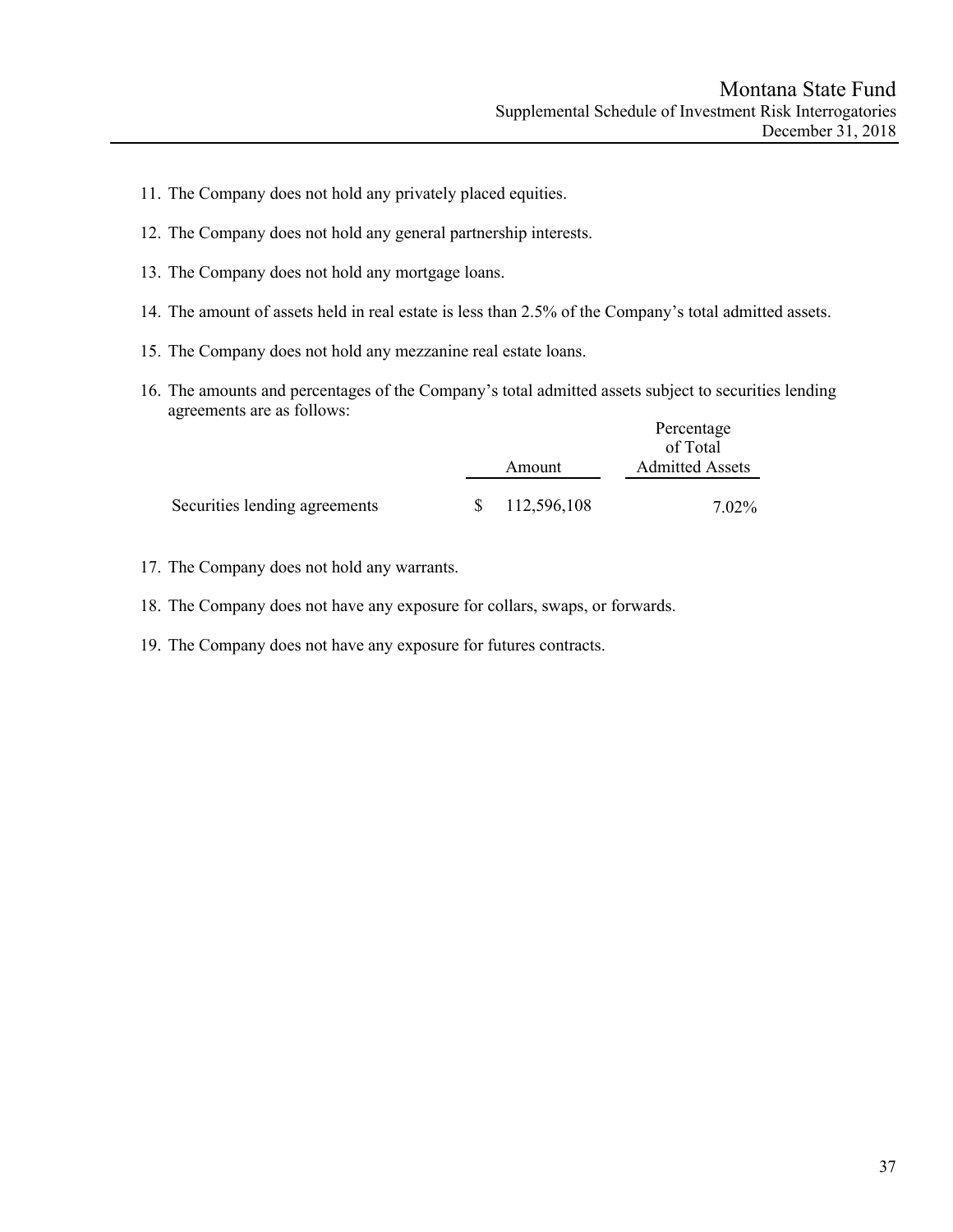- 11. The Company does not hold any privately placed equities.
- 12. The Company does not hold any general partnership interests.
- 13. The Company does not hold any mortgage loans.
- 14. The amount of assets held in real estate is less than 2.5% of the Company's total admitted assets.
- 15. The Company does not hold any mezzanine real estate loans.
- 16. The amounts and percentages of the Company's total admitted assets subject to securities lending agreements are as follows:

|                               |              |             | Percentage                         |
|-------------------------------|--------------|-------------|------------------------------------|
|                               |              | Amount      | of Total<br><b>Admitted Assets</b> |
| Securities lending agreements | <sup>S</sup> | 112,596,108 | 7.02%                              |

- 17. The Company does not hold any warrants.
- 18. The Company does not have any exposure for collars, swaps, or forwards.
- 19. The Company does not have any exposure for futures contracts.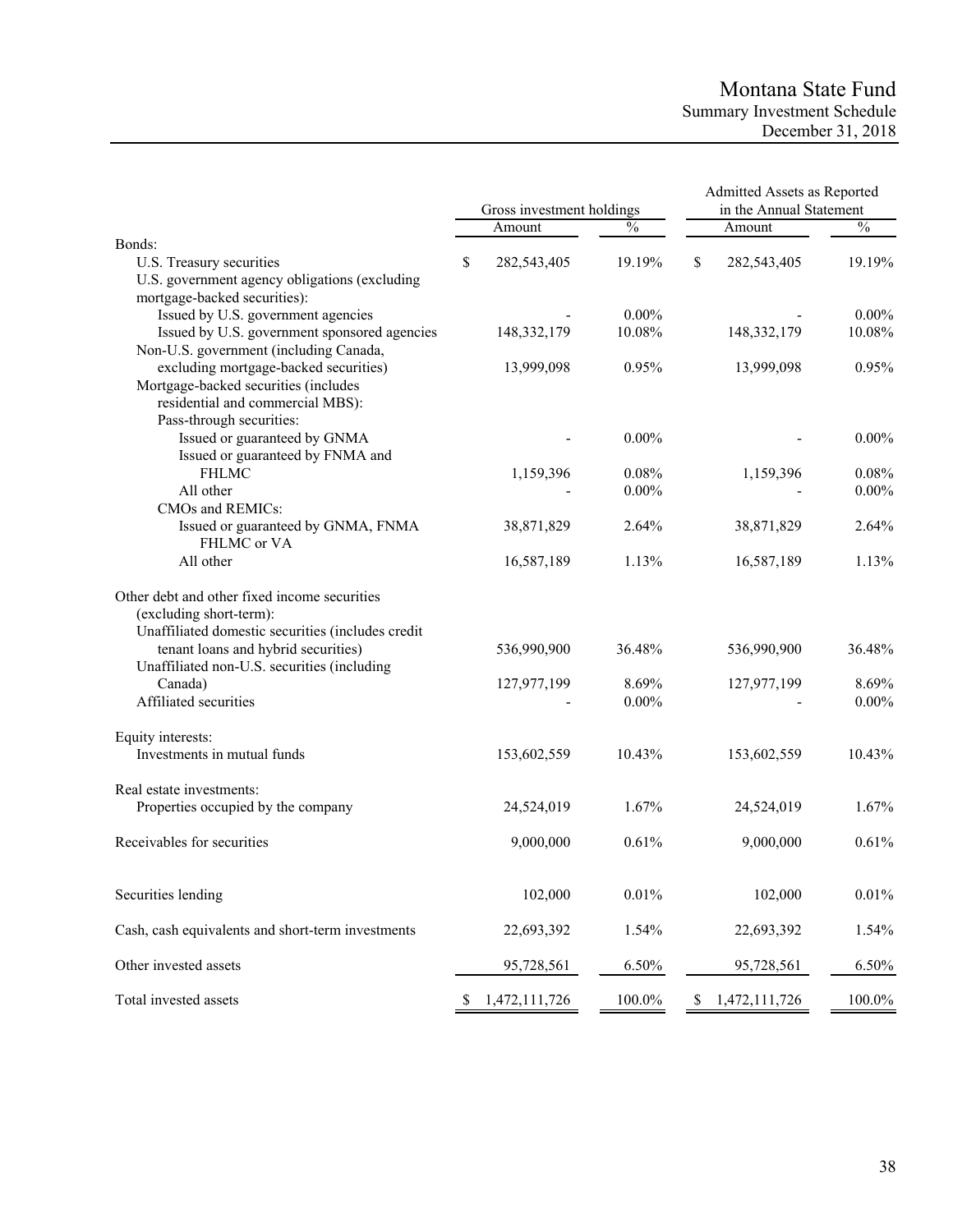# Montana State Fund Summary Investment Schedule December 31, 2018

|                                                   | Gross investment holdings |               |    | Admitted Assets as Reported<br>in the Annual Statement |               |  |
|---------------------------------------------------|---------------------------|---------------|----|--------------------------------------------------------|---------------|--|
|                                                   | Amount                    | $\frac{0}{0}$ |    | Amount                                                 | $\frac{0}{0}$ |  |
| Bonds:                                            |                           |               |    |                                                        |               |  |
| U.S. Treasury securities                          | \$<br>282,543,405         | 19.19%        | \$ | 282,543,405                                            | 19.19%        |  |
| U.S. government agency obligations (excluding     |                           |               |    |                                                        |               |  |
| mortgage-backed securities):                      |                           |               |    |                                                        |               |  |
| Issued by U.S. government agencies                |                           | $0.00\%$      |    |                                                        | $0.00\%$      |  |
| Issued by U.S. government sponsored agencies      | 148, 332, 179             | 10.08%        |    | 148, 332, 179                                          | 10.08%        |  |
| Non-U.S. government (including Canada,            |                           |               |    |                                                        |               |  |
| excluding mortgage-backed securities)             | 13,999,098                | 0.95%         |    | 13,999,098                                             | 0.95%         |  |
| Mortgage-backed securities (includes              |                           |               |    |                                                        |               |  |
| residential and commercial MBS):                  |                           |               |    |                                                        |               |  |
| Pass-through securities:                          |                           |               |    |                                                        |               |  |
| Issued or guaranteed by GNMA                      |                           | $0.00\%$      |    |                                                        | $0.00\%$      |  |
| Issued or guaranteed by FNMA and                  |                           |               |    |                                                        |               |  |
| <b>FHLMC</b>                                      | 1,159,396                 | 0.08%         |    | 1,159,396                                              | 0.08%         |  |
| All other                                         |                           | $0.00\%$      |    |                                                        | $0.00\%$      |  |
| CMOs and REMICs:                                  |                           |               |    |                                                        |               |  |
| Issued or guaranteed by GNMA, FNMA                | 38,871,829                | 2.64%         |    | 38,871,829                                             | 2.64%         |  |
| FHLMC or VA                                       |                           |               |    |                                                        |               |  |
| All other                                         | 16,587,189                | 1.13%         |    | 16,587,189                                             | 1.13%         |  |
|                                                   |                           |               |    |                                                        |               |  |
| Other debt and other fixed income securities      |                           |               |    |                                                        |               |  |
| (excluding short-term):                           |                           |               |    |                                                        |               |  |
| Unaffiliated domestic securities (includes credit |                           |               |    |                                                        |               |  |
| tenant loans and hybrid securities)               | 536,990,900               | 36.48%        |    | 536,990,900                                            | 36.48%        |  |
| Unaffiliated non-U.S. securities (including       |                           |               |    |                                                        |               |  |
|                                                   |                           |               |    |                                                        | 8.69%         |  |
| Canada)                                           | 127,977,199               | 8.69%         |    | 127,977,199                                            |               |  |
| Affiliated securities                             |                           | $0.00\%$      |    |                                                        | $0.00\%$      |  |
| Equity interests:                                 |                           |               |    |                                                        |               |  |
| Investments in mutual funds                       | 153,602,559               | 10.43%        |    | 153,602,559                                            | 10.43%        |  |
|                                                   |                           |               |    |                                                        |               |  |
| Real estate investments:                          |                           |               |    |                                                        |               |  |
| Properties occupied by the company                | 24,524,019                | 1.67%         |    | 24,524,019                                             | 1.67%         |  |
|                                                   |                           |               |    |                                                        |               |  |
| Receivables for securities                        | 9,000,000                 | 0.61%         |    | 9,000,000                                              | 0.61%         |  |
|                                                   |                           |               |    |                                                        |               |  |
|                                                   |                           |               |    |                                                        |               |  |
| Securities lending                                | 102,000                   | $0.01\%$      |    | 102,000                                                | $0.01\%$      |  |
| Cash, cash equivalents and short-term investments | 22,693,392                | 1.54%         |    | 22,693,392                                             | 1.54%         |  |
|                                                   |                           |               |    |                                                        |               |  |
| Other invested assets                             | 95,728,561                | 6.50%         |    | 95,728,561                                             | 6.50%         |  |
| Total invested assets                             | \$<br>1,472,111,726       | 100.0%        | S  | 1,472,111,726                                          | 100.0%        |  |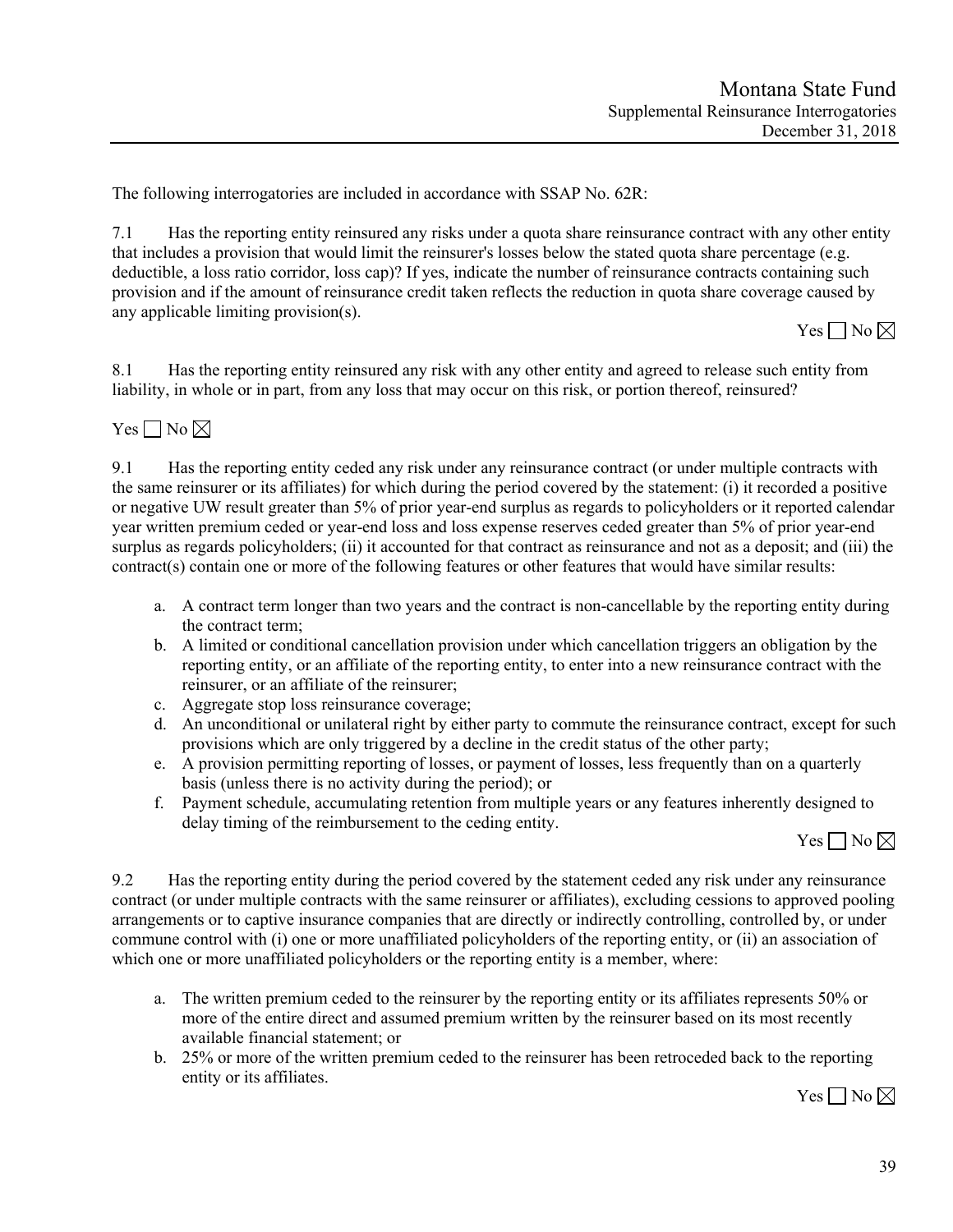The following interrogatories are included in accordance with SSAP No. 62R:

7.1 Has the reporting entity reinsured any risks under a quota share reinsurance contract with any other entity that includes a provision that would limit the reinsurer's losses below the stated quota share percentage (e.g. deductible, a loss ratio corridor, loss cap)? If yes, indicate the number of reinsurance contracts containing such provision and if the amount of reinsurance credit taken reflects the reduction in quota share coverage caused by any applicable limiting provision(s).

 $Yes \Box No \boxtimes$ 

8.1 Has the reporting entity reinsured any risk with any other entity and agreed to release such entity from liability, in whole or in part, from any loss that may occur on this risk, or portion thereof, reinsured?

Yes  $\Box$  No  $\boxtimes$ 

9.1 Has the reporting entity ceded any risk under any reinsurance contract (or under multiple contracts with the same reinsurer or its affiliates) for which during the period covered by the statement: (i) it recorded a positive or negative UW result greater than 5% of prior year-end surplus as regards to policyholders or it reported calendar year written premium ceded or year-end loss and loss expense reserves ceded greater than 5% of prior year-end surplus as regards policyholders; (ii) it accounted for that contract as reinsurance and not as a deposit; and (iii) the contract(s) contain one or more of the following features or other features that would have similar results:

- a. A contract term longer than two years and the contract is non-cancellable by the reporting entity during the contract term;
- b. A limited or conditional cancellation provision under which cancellation triggers an obligation by the reporting entity, or an affiliate of the reporting entity, to enter into a new reinsurance contract with the reinsurer, or an affiliate of the reinsurer;
- c. Aggregate stop loss reinsurance coverage;
- d. An unconditional or unilateral right by either party to commute the reinsurance contract, except for such provisions which are only triggered by a decline in the credit status of the other party;
- e. A provision permitting reporting of losses, or payment of losses, less frequently than on a quarterly basis (unless there is no activity during the period); or
- f. Payment schedule, accumulating retention from multiple years or any features inherently designed to delay timing of the reimbursement to the ceding entity.

 $Yes \Box No \boxtimes$ 

9.2 Has the reporting entity during the period covered by the statement ceded any risk under any reinsurance contract (or under multiple contracts with the same reinsurer or affiliates), excluding cessions to approved pooling arrangements or to captive insurance companies that are directly or indirectly controlling, controlled by, or under commune control with (i) one or more unaffiliated policyholders of the reporting entity, or (ii) an association of which one or more unaffiliated policyholders or the reporting entity is a member, where:

- a. The written premium ceded to the reinsurer by the reporting entity or its affiliates represents 50% or more of the entire direct and assumed premium written by the reinsurer based on its most recently available financial statement; or
- b. 25% or more of the written premium ceded to the reinsurer has been retroceded back to the reporting entity or its affiliates.

Yes  $\Box$  No  $\boxtimes$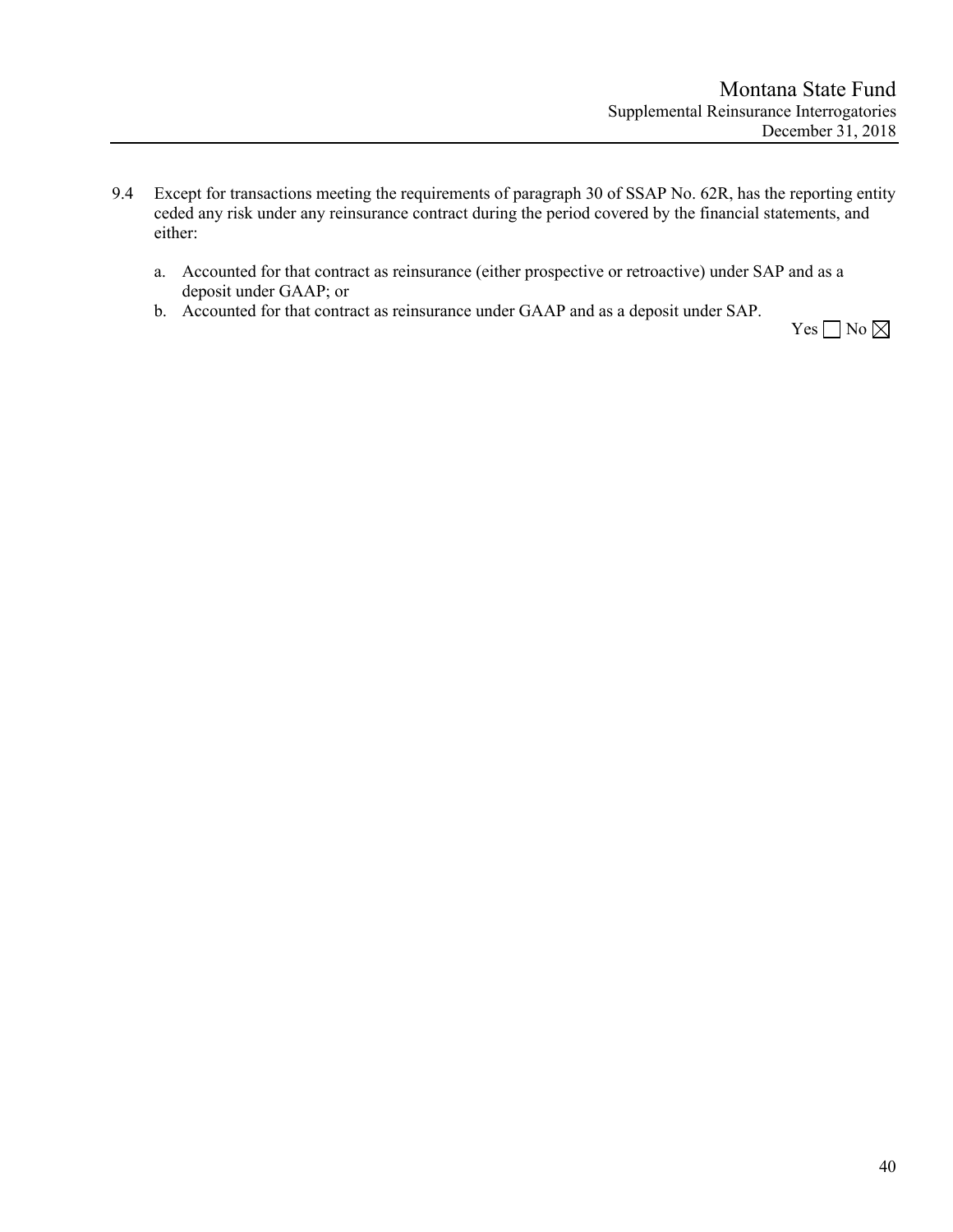- 9.4 Except for transactions meeting the requirements of paragraph 30 of SSAP No. 62R, has the reporting entity ceded any risk under any reinsurance contract during the period covered by the financial statements, and either:
	- a. Accounted for that contract as reinsurance (either prospective or retroactive) under SAP and as a deposit under GAAP; or
	- b. Accounted for that contract as reinsurance under GAAP and as a deposit under SAP.

Yes  $\Box$  No  $\boxtimes$